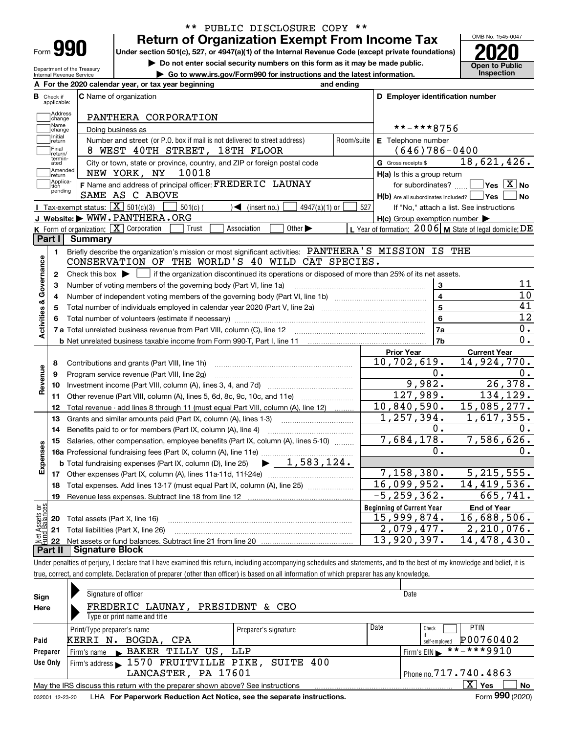| Form |  |
|------|--|

### **Return of Organization Exempt From Income Tax** \*\* PUBLIC DISCLOSURE COPY \*\*

**Under section 501(c), 527, or 4947(a)(1) of the Internal Revenue Code (except private foundations) 2020**

**| Do not enter social security numbers on this form as it may be made public.**

**| Go to www.irs.gov/Form990 for instructions and the latest information. Inspection**



Department of the Treasury Internal Revenue Service

|                              | A For the 2020 calendar year, or tax year beginning                                                                                         | and ending |                                                         |                                                           |  |  |  |  |  |  |
|------------------------------|---------------------------------------------------------------------------------------------------------------------------------------------|------------|---------------------------------------------------------|-----------------------------------------------------------|--|--|--|--|--|--|
| В<br>Check if<br>applicable: | <b>C</b> Name of organization                                                                                                               |            | D Employer identification number                        |                                                           |  |  |  |  |  |  |
| Address<br>change            | PANTHERA CORPORATION                                                                                                                        |            |                                                         |                                                           |  |  |  |  |  |  |
| Name<br>change               | Doing business as                                                                                                                           |            | **-***8756                                              |                                                           |  |  |  |  |  |  |
| Initial<br>]return           | Number and street (or P.O. box if mail is not delivered to street address)                                                                  | Room/suite | E Telephone number                                      |                                                           |  |  |  |  |  |  |
| Final                        | 8 WEST 40TH STREET, 18TH FLOOR                                                                                                              |            | $(646)786 - 0400$                                       |                                                           |  |  |  |  |  |  |
| termin-<br>ated              | return/<br>City or town, state or province, country, and ZIP or foreign postal code<br><b>G</b> Gross receipts \$                           |            |                                                         |                                                           |  |  |  |  |  |  |
| Amended<br>return            | NEW YORK, NY<br>10018                                                                                                                       |            | H(a) Is this a group return                             | 18,621,426.                                               |  |  |  |  |  |  |
| Applica-<br>tion             | F Name and address of principal officer: FREDERIC LAUNAY                                                                                    |            | for subordinates?                                       | $\overline{\ }$ Yes $\overline{\phantom{X}}$ No           |  |  |  |  |  |  |
| pending                      | SAME AS C ABOVE                                                                                                                             |            | $H(b)$ Are all subordinates included? $\Box$ Yes $\Box$ | ∣No                                                       |  |  |  |  |  |  |
|                              | <b>I</b> Tax-exempt status: $\overline{X}$ 501(c)(3)<br>$4947(a)(1)$ or<br>$501(c)$ (<br>$\sqrt{\left( \text{insert no.} \right)}$          | 527        |                                                         | If "No," attach a list. See instructions                  |  |  |  |  |  |  |
|                              | J Website: WWW.PANTHERA.ORG                                                                                                                 |            | $H(c)$ Group exemption number $\blacktriangleright$     |                                                           |  |  |  |  |  |  |
|                              | <b>K</b> Form of organization: $\boxed{\mathbf{X}}$ Corporation<br>Other $\blacktriangleright$<br>Trust<br>Association                      |            |                                                         | L Year of formation: $2006$ M State of legal domicile: DE |  |  |  |  |  |  |
| Part I                       | Summary                                                                                                                                     |            |                                                         |                                                           |  |  |  |  |  |  |
| 1.                           | Briefly describe the organization's mission or most significant activities: PANTHERA'S MISSION IS THE                                       |            |                                                         |                                                           |  |  |  |  |  |  |
|                              | CONSERVATION OF THE WORLD'S 40 WILD CAT SPECIES.                                                                                            |            |                                                         |                                                           |  |  |  |  |  |  |
| 2                            | Check this box $\blacktriangleright$ $\Box$ if the organization discontinued its operations or disposed of more than 25% of its net assets. |            |                                                         |                                                           |  |  |  |  |  |  |
| Activities & Governance<br>3 | Number of voting members of the governing body (Part VI, line 1a)                                                                           |            | 3                                                       | 11                                                        |  |  |  |  |  |  |
| 4                            |                                                                                                                                             |            | $\overline{\mathbf{4}}$                                 | 10                                                        |  |  |  |  |  |  |
| 5                            |                                                                                                                                             |            | $\overline{5}$                                          | 41                                                        |  |  |  |  |  |  |
| 6                            |                                                                                                                                             |            | 6                                                       | 12                                                        |  |  |  |  |  |  |
|                              |                                                                                                                                             |            | 7a                                                      | $0$ .                                                     |  |  |  |  |  |  |
|                              |                                                                                                                                             |            | 7 <sub>b</sub>                                          | 0.                                                        |  |  |  |  |  |  |
|                              |                                                                                                                                             |            | <b>Prior Year</b>                                       | <b>Current Year</b>                                       |  |  |  |  |  |  |
| 8                            | Contributions and grants (Part VIII, line 1h)                                                                                               |            | 10,702,619.                                             | 14,924,770.                                               |  |  |  |  |  |  |
| 9                            | Program service revenue (Part VIII, line 2g)                                                                                                |            | Ο.                                                      | О.                                                        |  |  |  |  |  |  |
| Revenue<br>10                |                                                                                                                                             |            | 9,982.                                                  | 26,378.                                                   |  |  |  |  |  |  |
| 11                           | Other revenue (Part VIII, column (A), lines 5, 6d, 8c, 9c, 10c, and 11e)                                                                    |            | 127,989.                                                | 134, 129.                                                 |  |  |  |  |  |  |
| 12                           | Total revenue - add lines 8 through 11 (must equal Part VIII, column (A), line 12)                                                          |            | 10,840,590.                                             | 15,085,277.                                               |  |  |  |  |  |  |
| 13                           | Grants and similar amounts paid (Part IX, column (A), lines 1-3)                                                                            |            | $\overline{1,257}, 394.$                                | 1,617,355.                                                |  |  |  |  |  |  |
| 14                           | Benefits paid to or for members (Part IX, column (A), line 4)                                                                               |            | 0.                                                      | 0.                                                        |  |  |  |  |  |  |
| 15                           | Salaries, other compensation, employee benefits (Part IX, column (A), lines 5-10)                                                           |            | 7,684,178.                                              | 7,586,626.                                                |  |  |  |  |  |  |
|                              |                                                                                                                                             |            | О.                                                      | 0.                                                        |  |  |  |  |  |  |
| Expenses                     | $\blacktriangleright$ 1,583,124.<br><b>b</b> Total fundraising expenses (Part IX, column (D), line 25)                                      |            |                                                         |                                                           |  |  |  |  |  |  |
|                              |                                                                                                                                             |            | 7,158,380.                                              | 5, 215, 555.                                              |  |  |  |  |  |  |
| 18                           | Total expenses. Add lines 13-17 (must equal Part IX, column (A), line 25)                                                                   |            | 16,099,952.                                             | 14, 419, 536.                                             |  |  |  |  |  |  |
| 19                           |                                                                                                                                             |            | $-5, 259, 362.$                                         | 665,741.                                                  |  |  |  |  |  |  |
|                              |                                                                                                                                             |            | <b>Beginning of Current Year</b>                        | <b>End of Year</b>                                        |  |  |  |  |  |  |
| ăğ                           | Total assets (Part X, line 16)                                                                                                              |            | 15,999,874.                                             | 16,688,506.                                               |  |  |  |  |  |  |
|                              |                                                                                                                                             |            |                                                         |                                                           |  |  |  |  |  |  |
| <b>Assets</b><br>20          |                                                                                                                                             |            |                                                         |                                                           |  |  |  |  |  |  |
| 22                           | 21 Total liabilities (Part X, line 26)                                                                                                      |            | 2,079,477.<br>13,920,397.                               | 2,210,076.<br>$\overline{14}$ , 478, 430.                 |  |  |  |  |  |  |

Under penalties of perjury, I declare that I have examined this return, including accompanying schedules and statements, and to the best of my knowledge and belief, it is true, correct, and complete. Declaration of preparer (other than officer) is based on all information of which preparer has any knowledge.

| Sign            | Signature of officer                                                            |                      |                        | Date                             |
|-----------------|---------------------------------------------------------------------------------|----------------------|------------------------|----------------------------------|
| Here            | FREDERIC LAUNAY, PRESIDENT & CEO                                                |                      |                        |                                  |
|                 | Type or print name and title                                                    |                      |                        |                                  |
|                 | Print/Type preparer's name                                                      | Preparer's signature | Date                   | <b>PTIN</b><br>Check             |
| Paid            | KERRI N.<br>BOGDA, CPA                                                          |                      |                        | P00760402<br>self-emploved       |
| Preparer        | Firm's name BAKER TILLY US, LLP                                                 |                      |                        | $***$ ** ** 9910<br>Firm's $EIN$ |
| Use Only        | Firm's address 1570 FRUITVILLE PIKE, SUITE 400                                  |                      |                        |                                  |
|                 | LANCASTER, PA 17601                                                             |                      | Phone no. 717.740.4863 |                                  |
|                 | May the IRS discuss this return with the preparer shown above? See instructions |                      |                        | X.<br>No<br>Yes                  |
| 032001 12-23-20 | LHA For Paperwork Reduction Act Notice, see the separate instructions.          |                      |                        | Form 990 (2020)                  |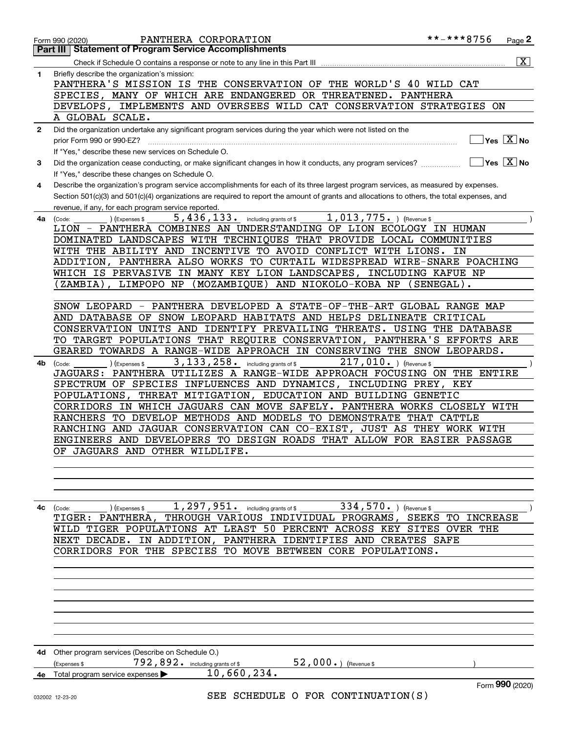|              | PANTHERA CORPORATION<br>Form 990 (2020)                                                                                                                                                 | **-***8756<br>Page <sup>2</sup>        |
|--------------|-----------------------------------------------------------------------------------------------------------------------------------------------------------------------------------------|----------------------------------------|
|              | <b>Statement of Program Service Accomplishments</b><br>Part III                                                                                                                         |                                        |
|              | Check if Schedule O contains a response or note to any line in this Part III                                                                                                            | $\overline{\mathbf{x}}$                |
| 1            | Briefly describe the organization's mission:                                                                                                                                            |                                        |
|              | PANTHERA'S MISSION IS THE CONSERVATION OF THE WORLD'S 40 WILD CAT                                                                                                                       |                                        |
|              | SPECIES, MANY OF WHICH ARE ENDANGERED OR THREATENED. PANTHERA                                                                                                                           |                                        |
|              | DEVELOPS, IMPLEMENTS AND OVERSEES WILD CAT CONSERVATION STRATEGIES ON                                                                                                                   |                                        |
|              | A GLOBAL SCALE.                                                                                                                                                                         |                                        |
| $\mathbf{2}$ | Did the organization undertake any significant program services during the year which were not listed on the                                                                            |                                        |
|              | prior Form 990 or 990-EZ?                                                                                                                                                               | Yes $\boxed{\text{X}}$ No              |
|              | If "Yes," describe these new services on Schedule O.                                                                                                                                    | $\sqrt{}$ Yes $\sqrt{}$ X $\sqrt{}$ No |
| з            | Did the organization cease conducting, or make significant changes in how it conducts, any program services?                                                                            |                                        |
| 4            | If "Yes," describe these changes on Schedule O.<br>Describe the organization's program service accomplishments for each of its three largest program services, as measured by expenses. |                                        |
|              | Section 501(c)(3) and 501(c)(4) organizations are required to report the amount of grants and allocations to others, the total expenses, and                                            |                                        |
|              | revenue, if any, for each program service reported.                                                                                                                                     |                                        |
| 4a           | 1,013,775. ) (Revenue \$<br>5, 436, 133. including grants of \$<br>(Expenses \$<br>(Code:                                                                                               |                                        |
|              | LION - PANTHERA COMBINES AN UNDERSTANDING OF LION ECOLOGY IN HUMAN                                                                                                                      |                                        |
|              | DOMINATED LANDSCAPES WITH TECHNIQUES THAT PROVIDE LOCAL COMMUNITIES                                                                                                                     |                                        |
|              | WITH THE ABILITY AND INCENTIVE TO AVOID CONFLICT WITH LIONS.                                                                                                                            | ΙN                                     |
|              | ADDITION, PANTHERA ALSO WORKS TO CURTAIL WIDESPREAD WIRE-SNARE POACHING                                                                                                                 |                                        |
|              | WHICH IS PERVASIVE IN MANY KEY LION LANDSCAPES, INCLUDING KAFUE NP                                                                                                                      |                                        |
|              | ZAMBIA), LIMPOPO NP (MOZAMBIQUE) AND NIOKOLO-KOBA NP (SENEGAL).                                                                                                                         |                                        |
|              |                                                                                                                                                                                         |                                        |
|              | - PANTHERA DEVELOPED A STATE-OF-THE-ART GLOBAL RANGE MAP<br>SNOW LEOPARD                                                                                                                |                                        |
|              | AND DATABASE<br>OF SNOW LEOPARD HABITATS AND HELPS DELINEATE CRITICAL                                                                                                                   |                                        |
|              | CONSERVATION UNITS AND IDENTIFY PREVAILING THREATS. USING THE DATABASE                                                                                                                  |                                        |
|              | TO TARGET POPULATIONS THAT REQUIRE CONSERVATION, PANTHERA'S EFFORTS ARE<br>GEARED TOWARDS A RANGE-WIDE APPROACH IN CONSERVING THE SNOW LEOPARDS.                                        |                                        |
| 4b           | 3, 133, 258. including grants of \$<br>$217,010.$ ) (Revenue \$<br>(Code:<br>(Expenses \$                                                                                               |                                        |
|              | PANTHERA UTILIZES A RANGE-WIDE APPROACH FOCUSING ON THE ENTIRE<br>JAGUARS:                                                                                                              |                                        |
|              | SPECTRUM OF SPECIES INFLUENCES AND DYNAMICS, INCLUDING PREY, KEY                                                                                                                        |                                        |
|              | THREAT MITIGATION, EDUCATION AND BUILDING GENETIC<br>POPULATIONS,                                                                                                                       |                                        |
|              | CORRIDORS IN WHICH JAGUARS CAN MOVE SAFELY. PANTHERA WORKS CLOSELY WITH                                                                                                                 |                                        |
|              | RANCHERS TO DEVELOP METHODS AND MODELS TO DEMONSTRATE THAT CATTLE                                                                                                                       |                                        |
|              | RANCHING AND JAGUAR CONSERVATION CAN CO-EXIST, JUST AS THEY WORK WITH                                                                                                                   |                                        |
|              | ENGINEERS AND DEVELOPERS TO DESIGN ROADS THAT ALLOW FOR EASIER PASSAGE                                                                                                                  |                                        |
|              | OF JAGUARS AND OTHER WILDLIFE.                                                                                                                                                          |                                        |
|              |                                                                                                                                                                                         |                                        |
|              |                                                                                                                                                                                         |                                        |
|              |                                                                                                                                                                                         |                                        |
|              | 1, 297, 951. including grants of \$334, 570. ) (Revenue \$                                                                                                                              |                                        |
| 4c           | (Expenses \$<br>(Code:<br>THROUGH VARIOUS INDIVIDUAL PROGRAMS, SEEKS TO INCREASE<br>TIGER: PANTHERA,                                                                                    |                                        |
|              | WILD TIGER POPULATIONS AT LEAST 50 PERCENT ACROSS KEY SITES OVER THE                                                                                                                    |                                        |
|              | IN ADDITION,<br>NEXT DECADE.<br>PANTHERA IDENTIFIES AND CREATES SAFE                                                                                                                    |                                        |
|              | CORRIDORS FOR THE SPECIES TO MOVE BETWEEN CORE POPULATIONS.                                                                                                                             |                                        |
|              |                                                                                                                                                                                         |                                        |
|              |                                                                                                                                                                                         |                                        |
|              |                                                                                                                                                                                         |                                        |
|              |                                                                                                                                                                                         |                                        |
|              |                                                                                                                                                                                         |                                        |
|              |                                                                                                                                                                                         |                                        |
|              |                                                                                                                                                                                         |                                        |
|              |                                                                                                                                                                                         |                                        |
| 4d           | Other program services (Describe on Schedule O.)                                                                                                                                        |                                        |
|              | 792,892. including grants of \$ 52,000.) (Revenue \$<br>(Expenses \$<br>10,660,234.                                                                                                     |                                        |
|              | 4e Total program service expenses                                                                                                                                                       | Form 990 (2020)                        |
|              | SEE SCHEDULE O FOR CONTINUATION(S)<br>032002 12-23-20                                                                                                                                   |                                        |
|              |                                                                                                                                                                                         |                                        |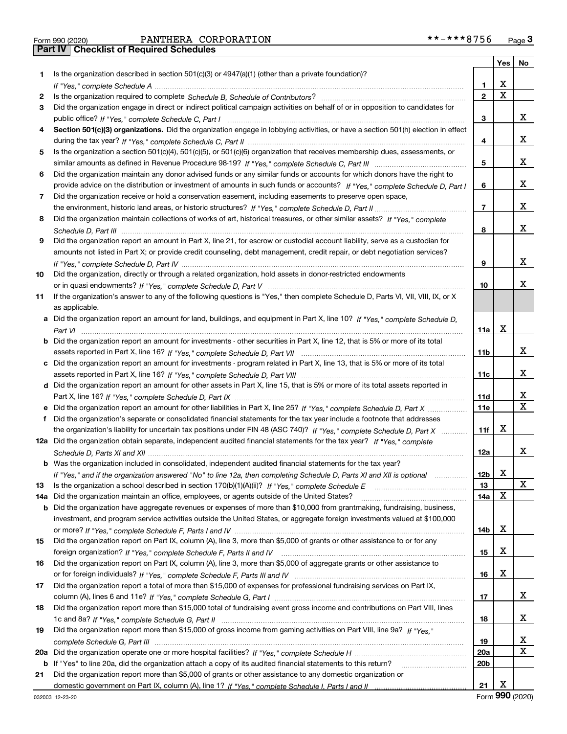Form 990 (2020) PANTHERA CORPORATION \*\*-\*\*\*8756 <sub>Page</sub> 3<br>**Part IV | Checklist of Required Schedules** 

|     |                                                                                                                                  |                 | Yes | No                      |
|-----|----------------------------------------------------------------------------------------------------------------------------------|-----------------|-----|-------------------------|
| 1   | Is the organization described in section $501(c)(3)$ or $4947(a)(1)$ (other than a private foundation)?                          |                 |     |                         |
|     |                                                                                                                                  | 1               | х   |                         |
| 2   |                                                                                                                                  | $\overline{2}$  | X   |                         |
| 3   | Did the organization engage in direct or indirect political campaign activities on behalf of or in opposition to candidates for  |                 |     |                         |
|     |                                                                                                                                  | 3               |     | x                       |
| 4   | Section 501(c)(3) organizations. Did the organization engage in lobbying activities, or have a section 501(h) election in effect |                 |     |                         |
|     |                                                                                                                                  | 4               |     | x                       |
| 5   | Is the organization a section 501(c)(4), 501(c)(5), or 501(c)(6) organization that receives membership dues, assessments, or     |                 |     |                         |
|     |                                                                                                                                  | 5               |     | x                       |
| 6   | Did the organization maintain any donor advised funds or any similar funds or accounts for which donors have the right to        |                 |     |                         |
|     | provide advice on the distribution or investment of amounts in such funds or accounts? If "Yes," complete Schedule D, Part I     | 6               |     | x                       |
| 7   | Did the organization receive or hold a conservation easement, including easements to preserve open space,                        |                 |     |                         |
|     |                                                                                                                                  | $\overline{7}$  |     | x                       |
| 8   | Did the organization maintain collections of works of art, historical treasures, or other similar assets? If "Yes," complete     |                 |     |                         |
|     |                                                                                                                                  | 8               |     | x                       |
| 9   | Did the organization report an amount in Part X, line 21, for escrow or custodial account liability, serve as a custodian for    |                 |     |                         |
|     | amounts not listed in Part X; or provide credit counseling, debt management, credit repair, or debt negotiation services?        |                 |     |                         |
|     |                                                                                                                                  | 9               |     | X                       |
| 10  | Did the organization, directly or through a related organization, hold assets in donor-restricted endowments                     |                 |     |                         |
|     |                                                                                                                                  | 10              |     | х                       |
| 11  | If the organization's answer to any of the following questions is "Yes," then complete Schedule D, Parts VI, VII, VIII, IX, or X |                 |     |                         |
|     | as applicable.                                                                                                                   |                 |     |                         |
|     | Did the organization report an amount for land, buildings, and equipment in Part X, line 10? If "Yes," complete Schedule D,      |                 | х   |                         |
|     |                                                                                                                                  | 11a             |     |                         |
| b   | Did the organization report an amount for investments - other securities in Part X, line 12, that is 5% or more of its total     |                 |     | x                       |
|     |                                                                                                                                  | 11 <sub>b</sub> |     |                         |
|     | c Did the organization report an amount for investments - program related in Part X, line 13, that is 5% or more of its total    | 11c             |     | x                       |
|     | d Did the organization report an amount for other assets in Part X, line 15, that is 5% or more of its total assets reported in  |                 |     |                         |
|     |                                                                                                                                  | 11d             |     | x                       |
|     |                                                                                                                                  | <b>11e</b>      |     | $\overline{\mathbf{x}}$ |
| f   | Did the organization's separate or consolidated financial statements for the tax year include a footnote that addresses          |                 |     |                         |
|     | the organization's liability for uncertain tax positions under FIN 48 (ASC 740)? If "Yes," complete Schedule D, Part X           | 11f             | x   |                         |
|     | 12a Did the organization obtain separate, independent audited financial statements for the tax year? If "Yes," complete          |                 |     |                         |
|     |                                                                                                                                  | 12a             |     | x                       |
|     | <b>b</b> Was the organization included in consolidated, independent audited financial statements for the tax year?               |                 |     |                         |
|     | If "Yes," and if the organization answered "No" to line 12a, then completing Schedule D, Parts XI and XII is optional            | 12 <sub>b</sub> | х   |                         |
| 13  | Is the organization a school described in section 170(b)(1)(A)(ii)? If "Yes," complete Schedule E                                | 13              |     | X                       |
| 14a | Did the organization maintain an office, employees, or agents outside of the United States?                                      | 14a             | х   |                         |
| b   | Did the organization have aggregate revenues or expenses of more than \$10,000 from grantmaking, fundraising, business,          |                 |     |                         |
|     | investment, and program service activities outside the United States, or aggregate foreign investments valued at \$100,000       |                 |     |                         |
|     |                                                                                                                                  | 14b             | х   |                         |
| 15  | Did the organization report on Part IX, column (A), line 3, more than \$5,000 of grants or other assistance to or for any        |                 |     |                         |
|     |                                                                                                                                  | 15              | х   |                         |
| 16  | Did the organization report on Part IX, column (A), line 3, more than \$5,000 of aggregate grants or other assistance to         |                 |     |                         |
|     |                                                                                                                                  | 16              | х   |                         |
| 17  | Did the organization report a total of more than \$15,000 of expenses for professional fundraising services on Part IX,          |                 |     |                         |
|     |                                                                                                                                  | 17              |     | X                       |
| 18  | Did the organization report more than \$15,000 total of fundraising event gross income and contributions on Part VIII, lines     |                 |     |                         |
|     |                                                                                                                                  | 18              |     | x                       |
| 19  | Did the organization report more than \$15,000 of gross income from gaming activities on Part VIII, line 9a? If "Yes."           |                 |     |                         |
|     |                                                                                                                                  | 19              |     | X                       |
| 20a |                                                                                                                                  | 20a             |     | $\mathbf X$             |
| b   | If "Yes" to line 20a, did the organization attach a copy of its audited financial statements to this return?                     | 20 <sub>b</sub> |     |                         |
| 21  | Did the organization report more than \$5,000 of grants or other assistance to any domestic organization or                      |                 |     |                         |
|     |                                                                                                                                  | 21              | х   |                         |

Form (2020) **990**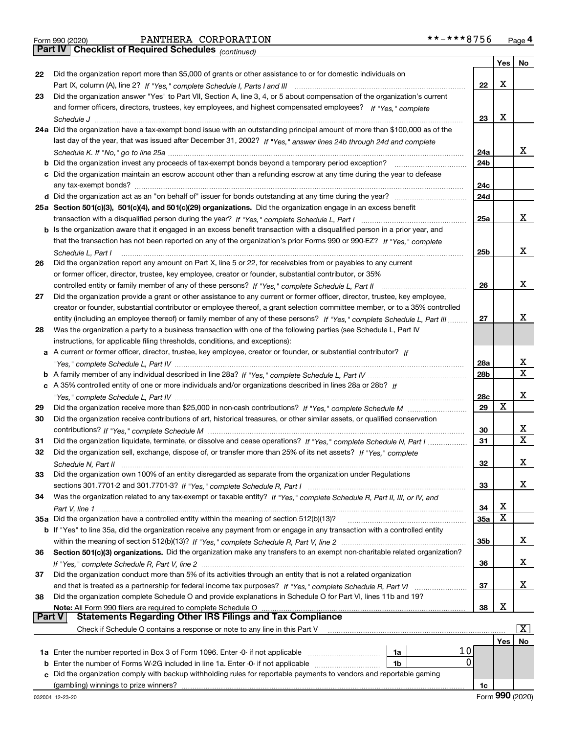|  | Form 990 (2020) |
|--|-----------------|
|  |                 |

*(continued)*

|               |                                                                                                                              |                 | Yes         | No                    |
|---------------|------------------------------------------------------------------------------------------------------------------------------|-----------------|-------------|-----------------------|
| 22            | Did the organization report more than \$5,000 of grants or other assistance to or for domestic individuals on                |                 |             |                       |
|               |                                                                                                                              | 22              | X           |                       |
| 23            | Did the organization answer "Yes" to Part VII, Section A, line 3, 4, or 5 about compensation of the organization's current   |                 |             |                       |
|               | and former officers, directors, trustees, key employees, and highest compensated employees? If "Yes," complete               |                 |             |                       |
|               |                                                                                                                              | 23              | X           |                       |
|               | 24a Did the organization have a tax-exempt bond issue with an outstanding principal amount of more than \$100,000 as of the  |                 |             |                       |
|               | last day of the year, that was issued after December 31, 2002? If "Yes," answer lines 24b through 24d and complete           |                 |             |                       |
|               |                                                                                                                              | 24a             |             | x                     |
|               | <b>b</b> Did the organization invest any proceeds of tax-exempt bonds beyond a temporary period exception?                   | 24 <sub>b</sub> |             |                       |
|               | c Did the organization maintain an escrow account other than a refunding escrow at any time during the year to defease       |                 |             |                       |
|               | any tax-exempt bonds?                                                                                                        | 24c             |             |                       |
|               |                                                                                                                              | 24d             |             |                       |
|               | 25a Section 501(c)(3), 501(c)(4), and 501(c)(29) organizations. Did the organization engage in an excess benefit             |                 |             |                       |
|               |                                                                                                                              | 25a             |             | x                     |
|               | b Is the organization aware that it engaged in an excess benefit transaction with a disqualified person in a prior year, and |                 |             |                       |
|               | that the transaction has not been reported on any of the organization's prior Forms 990 or 990-EZ? If "Yes," complete        |                 |             |                       |
|               | Schedule L, Part I                                                                                                           | 25b             |             | X                     |
| 26            | Did the organization report any amount on Part X, line 5 or 22, for receivables from or payables to any current              |                 |             |                       |
|               | or former officer, director, trustee, key employee, creator or founder, substantial contributor, or 35%                      |                 |             |                       |
|               | controlled entity or family member of any of these persons? If "Yes," complete Schedule L, Part II                           | 26              |             | x                     |
| 27            | Did the organization provide a grant or other assistance to any current or former officer, director, trustee, key employee,  |                 |             |                       |
|               | creator or founder, substantial contributor or employee thereof, a grant selection committee member, or to a 35% controlled  |                 |             |                       |
|               | entity (including an employee thereof) or family member of any of these persons? If "Yes," complete Schedule L, Part III.    | 27              |             | х                     |
| 28            | Was the organization a party to a business transaction with one of the following parties (see Schedule L, Part IV            |                 |             |                       |
|               | instructions, for applicable filing thresholds, conditions, and exceptions):                                                 |                 |             |                       |
|               | a A current or former officer, director, trustee, key employee, creator or founder, or substantial contributor? If           |                 |             | х                     |
|               |                                                                                                                              | 28a             |             | $\mathbf X$           |
|               | c A 35% controlled entity of one or more individuals and/or organizations described in lines 28a or 28b? If                  | 28b             |             |                       |
|               |                                                                                                                              | 28c             |             | Х                     |
| 29            |                                                                                                                              | 29              | $\mathbf X$ |                       |
| 30            | Did the organization receive contributions of art, historical treasures, or other similar assets, or qualified conservation  |                 |             |                       |
|               |                                                                                                                              | 30              |             | х                     |
| 31            | Did the organization liquidate, terminate, or dissolve and cease operations? If "Yes," complete Schedule N, Part I           | 31              |             | $\mathbf{x}$          |
| 32            | Did the organization sell, exchange, dispose of, or transfer more than 25% of its net assets? If "Yes," complete             |                 |             |                       |
|               |                                                                                                                              | 32              |             | x                     |
|               | Did the organization own 100% of an entity disregarded as separate from the organization under Regulations                   |                 |             |                       |
|               |                                                                                                                              | 33              |             | х                     |
| 34            | Was the organization related to any tax-exempt or taxable entity? If "Yes," complete Schedule R, Part II, III, or IV, and    |                 |             |                       |
|               |                                                                                                                              | 34              | X           |                       |
|               | 35a Did the organization have a controlled entity within the meaning of section 512(b)(13)?                                  | 35a             | X           |                       |
|               | b If "Yes" to line 35a, did the organization receive any payment from or engage in any transaction with a controlled entity  |                 |             |                       |
|               |                                                                                                                              | 35 <sub>b</sub> |             | x                     |
| 36            | Section 501(c)(3) organizations. Did the organization make any transfers to an exempt non-charitable related organization?   |                 |             |                       |
|               |                                                                                                                              | 36              |             | х                     |
| 37            | Did the organization conduct more than 5% of its activities through an entity that is not a related organization             |                 |             |                       |
|               |                                                                                                                              | 37              |             | x                     |
| 38            | Did the organization complete Schedule O and provide explanations in Schedule O for Part VI, lines 11b and 19?               |                 |             |                       |
| <b>Part V</b> | <b>Statements Regarding Other IRS Filings and Tax Compliance</b>                                                             | 38              | X           |                       |
|               | Check if Schedule O contains a response or note to any line in this Part V                                                   |                 |             | $\overline{\text{X}}$ |
|               |                                                                                                                              |                 | Yes         | No                    |
|               | 10                                                                                                                           |                 |             |                       |
|               | 1a<br>0<br><b>b</b> Enter the number of Forms W-2G included in line 1a. Enter -0- if not applicable <i>manumumumum</i><br>1b |                 |             |                       |
|               | c Did the organization comply with backup withholding rules for reportable payments to vendors and reportable gaming         |                 |             |                       |
|               |                                                                                                                              | 1c              |             |                       |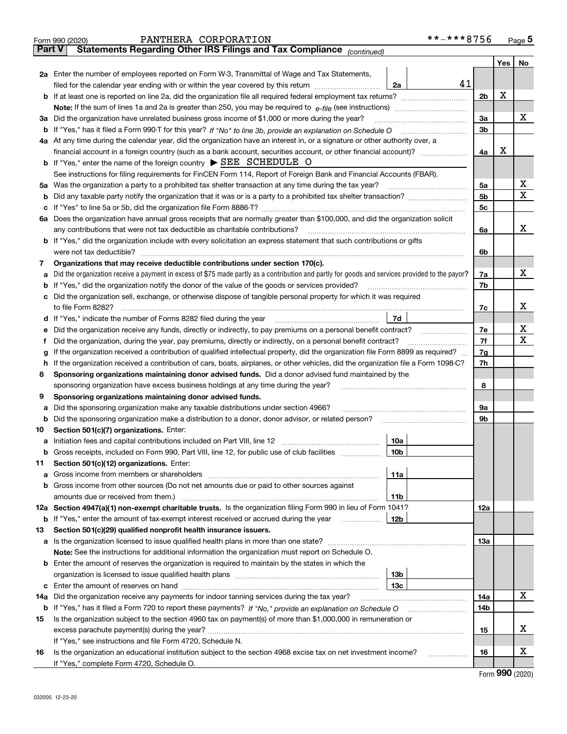|               | **-***8756<br>PANTHERA CORPORATION<br>Form 990 (2020)                                                                                                                                                        |                      |                     | $Page$ <sup>5</sup> |  |  |  |  |  |  |
|---------------|--------------------------------------------------------------------------------------------------------------------------------------------------------------------------------------------------------------|----------------------|---------------------|---------------------|--|--|--|--|--|--|
| <b>Part V</b> | Statements Regarding Other IRS Filings and Tax Compliance (continued)                                                                                                                                        |                      |                     |                     |  |  |  |  |  |  |
|               |                                                                                                                                                                                                              |                      | Yes                 | No                  |  |  |  |  |  |  |
|               | 2a Enter the number of employees reported on Form W-3, Transmittal of Wage and Tax Statements,                                                                                                               |                      |                     |                     |  |  |  |  |  |  |
|               | 41<br>filed for the calendar year ending with or within the year covered by this return<br>2a                                                                                                                |                      |                     |                     |  |  |  |  |  |  |
|               |                                                                                                                                                                                                              | 2 <sub>b</sub>       | X                   |                     |  |  |  |  |  |  |
|               | <b>Note:</b> If the sum of lines 1a and 2a is greater than 250, you may be required to $e$ -file (see instructions) <i>manimummmmmm</i>                                                                      |                      |                     |                     |  |  |  |  |  |  |
|               | 3a Did the organization have unrelated business gross income of \$1,000 or more during the year?                                                                                                             | 3a<br>3 <sub>b</sub> |                     | x                   |  |  |  |  |  |  |
|               | b If "Yes," has it filed a Form 990-T for this year? If "No" to line 3b, provide an explanation on Schedule O                                                                                                |                      |                     |                     |  |  |  |  |  |  |
|               | 4a At any time during the calendar year, did the organization have an interest in, or a signature or other authority over, a                                                                                 |                      |                     |                     |  |  |  |  |  |  |
|               | financial account in a foreign country (such as a bank account, securities account, or other financial account)?<br><b>b</b> If "Yes," enter the name of the foreign country $\triangleright$ SEE SCHEDULE O | 4a                   | X                   |                     |  |  |  |  |  |  |
|               | See instructions for filing requirements for FinCEN Form 114, Report of Foreign Bank and Financial Accounts (FBAR).                                                                                          |                      |                     |                     |  |  |  |  |  |  |
|               | 5a Was the organization a party to a prohibited tax shelter transaction at any time during the tax year?                                                                                                     | 5a                   |                     | х                   |  |  |  |  |  |  |
| b             |                                                                                                                                                                                                              | 5 <sub>b</sub>       |                     | х                   |  |  |  |  |  |  |
| c             |                                                                                                                                                                                                              | 5c                   |                     |                     |  |  |  |  |  |  |
|               | 6a Does the organization have annual gross receipts that are normally greater than \$100,000, and did the organization solicit                                                                               |                      |                     |                     |  |  |  |  |  |  |
|               | any contributions that were not tax deductible as charitable contributions?                                                                                                                                  | 6a                   |                     | x                   |  |  |  |  |  |  |
|               | <b>b</b> If "Yes," did the organization include with every solicitation an express statement that such contributions or gifts                                                                                |                      |                     |                     |  |  |  |  |  |  |
|               | were not tax deductible?                                                                                                                                                                                     | 6b                   |                     |                     |  |  |  |  |  |  |
| 7             | Organizations that may receive deductible contributions under section 170(c).                                                                                                                                |                      |                     |                     |  |  |  |  |  |  |
| a             | Did the organization receive a payment in excess of \$75 made partly as a contribution and partly for goods and services provided to the payor?                                                              | 7a                   |                     | x                   |  |  |  |  |  |  |
| b             | If "Yes," did the organization notify the donor of the value of the goods or services provided?                                                                                                              | 7b                   |                     |                     |  |  |  |  |  |  |
| с             | Did the organization sell, exchange, or otherwise dispose of tangible personal property for which it was required                                                                                            |                      |                     |                     |  |  |  |  |  |  |
|               | to file Form 8282?                                                                                                                                                                                           | 7c                   |                     | x                   |  |  |  |  |  |  |
| d             | 7d<br>If "Yes," indicate the number of Forms 8282 filed during the year                                                                                                                                      |                      |                     |                     |  |  |  |  |  |  |
| е             | Did the organization receive any funds, directly or indirectly, to pay premiums on a personal benefit contract?                                                                                              | 7e                   |                     | х                   |  |  |  |  |  |  |
| Ť             | Did the organization, during the year, pay premiums, directly or indirectly, on a personal benefit contract?                                                                                                 | 7f                   |                     | х                   |  |  |  |  |  |  |
| g             | If the organization received a contribution of qualified intellectual property, did the organization file Form 8899 as required?                                                                             | 7g                   |                     |                     |  |  |  |  |  |  |
| h             | If the organization received a contribution of cars, boats, airplanes, or other vehicles, did the organization file a Form 1098-C?                                                                           | 7h                   |                     |                     |  |  |  |  |  |  |
| 8             | Sponsoring organizations maintaining donor advised funds. Did a donor advised fund maintained by the                                                                                                         |                      |                     |                     |  |  |  |  |  |  |
|               | sponsoring organization have excess business holdings at any time during the year?                                                                                                                           | 8                    |                     |                     |  |  |  |  |  |  |
| 9             | Sponsoring organizations maintaining donor advised funds.                                                                                                                                                    |                      |                     |                     |  |  |  |  |  |  |
| а             | Did the sponsoring organization make any taxable distributions under section 4966?                                                                                                                           | 9а                   |                     |                     |  |  |  |  |  |  |
| b             | Did the sponsoring organization make a distribution to a donor, donor advisor, or related person?                                                                                                            | 9b                   |                     |                     |  |  |  |  |  |  |
| 10            | Section 501(c)(7) organizations. Enter:                                                                                                                                                                      |                      |                     |                     |  |  |  |  |  |  |
| а             | 10a                                                                                                                                                                                                          |                      |                     |                     |  |  |  |  |  |  |
|               | <b>b</b> Gross receipts, included on Form 990, Part VIII, line 12, for public use of club facilities <i>manument</i><br>10b                                                                                  |                      |                     |                     |  |  |  |  |  |  |
| 11            | Section 501(c)(12) organizations. Enter:                                                                                                                                                                     |                      |                     |                     |  |  |  |  |  |  |
| а             | 11a<br>Gross income from members or shareholders [11] continuum material contracts income from members or shareholders                                                                                       |                      |                     |                     |  |  |  |  |  |  |
| b             | Gross income from other sources (Do not net amounts due or paid to other sources against                                                                                                                     |                      |                     |                     |  |  |  |  |  |  |
|               | amounts due or received from them.)<br>11b<br>12a Section 4947(a)(1) non-exempt charitable trusts. Is the organization filing Form 990 in lieu of Form 1041?                                                 |                      |                     |                     |  |  |  |  |  |  |
|               |                                                                                                                                                                                                              | 12a                  |                     |                     |  |  |  |  |  |  |
|               | 12b<br><b>b</b> If "Yes," enter the amount of tax-exempt interest received or accrued during the year                                                                                                        |                      |                     |                     |  |  |  |  |  |  |
| 13            | Section 501(c)(29) qualified nonprofit health insurance issuers.<br><b>a</b> Is the organization licensed to issue qualified health plans in more than one state?                                            | 13а                  |                     |                     |  |  |  |  |  |  |
|               | <b>Note:</b> See the instructions for additional information the organization must report on Schedule O.                                                                                                     |                      |                     |                     |  |  |  |  |  |  |
|               | <b>b</b> Enter the amount of reserves the organization is required to maintain by the states in which the                                                                                                    |                      |                     |                     |  |  |  |  |  |  |
|               | 13b                                                                                                                                                                                                          |                      |                     |                     |  |  |  |  |  |  |
| с             | 13с                                                                                                                                                                                                          |                      |                     |                     |  |  |  |  |  |  |
| 14a           | Did the organization receive any payments for indoor tanning services during the tax year?                                                                                                                   | 14a                  |                     | x                   |  |  |  |  |  |  |
|               |                                                                                                                                                                                                              | 14b                  |                     |                     |  |  |  |  |  |  |
| 15            | Is the organization subject to the section 4960 tax on payment(s) of more than \$1,000,000 in remuneration or                                                                                                |                      |                     |                     |  |  |  |  |  |  |
|               |                                                                                                                                                                                                              | 15                   |                     | х                   |  |  |  |  |  |  |
|               | If "Yes," see instructions and file Form 4720, Schedule N.                                                                                                                                                   |                      |                     |                     |  |  |  |  |  |  |
| 16            | Is the organization an educational institution subject to the section 4968 excise tax on net investment income?<br>.                                                                                         | 16                   |                     | х                   |  |  |  |  |  |  |
|               | If "Yes," complete Form 4720, Schedule O.                                                                                                                                                                    |                      |                     |                     |  |  |  |  |  |  |
|               |                                                                                                                                                                                                              |                      | $000 \; \text{mod}$ |                     |  |  |  |  |  |  |

Form (2020) **990**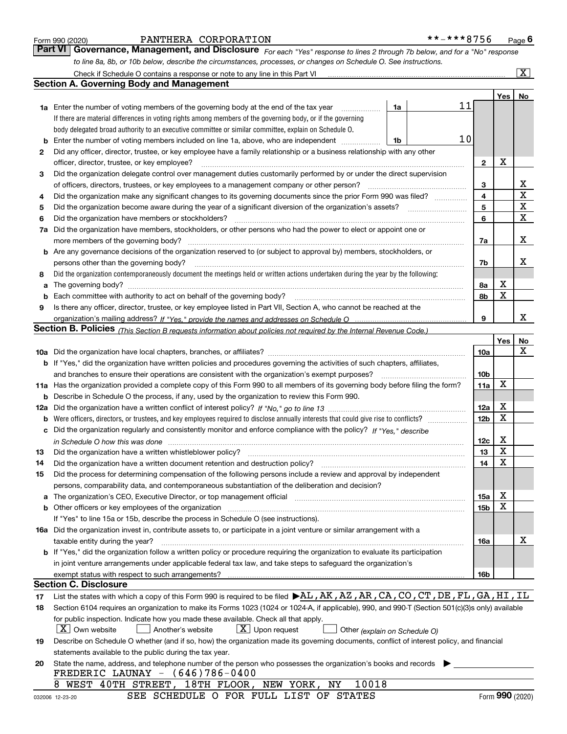|  | Form 990 (2020) |
|--|-----------------|
|  |                 |

#### PANTHERA CORPORATION \*\*-\*\*\*8756

*For each "Yes" response to lines 2 through 7b below, and for a "No" response to line 8a, 8b, or 10b below, describe the circumstances, processes, or changes on Schedule O. See instructions.* Form 990 (2020) Page **6Part VI Governance, Management, and Disclosure** 

|     | Check if Schedule O contains a response or note to any line in this Part VI                                                                                                  |                               |                 |                  | $\overline{\mathbf{X}}$ $\overline{\mathbf{X}}$ |  |  |  |  |  |  |
|-----|------------------------------------------------------------------------------------------------------------------------------------------------------------------------------|-------------------------------|-----------------|------------------|-------------------------------------------------|--|--|--|--|--|--|
|     | Section A. Governing Body and Management                                                                                                                                     |                               |                 |                  |                                                 |  |  |  |  |  |  |
|     |                                                                                                                                                                              |                               |                 | Yes <sub>1</sub> | No                                              |  |  |  |  |  |  |
|     | 1a Enter the number of voting members of the governing body at the end of the tax year                                                                                       | 1a                            | 11              |                  |                                                 |  |  |  |  |  |  |
|     | If there are material differences in voting rights among members of the governing body, or if the governing                                                                  |                               |                 |                  |                                                 |  |  |  |  |  |  |
|     | body delegated broad authority to an executive committee or similar committee, explain on Schedule O.                                                                        |                               |                 |                  |                                                 |  |  |  |  |  |  |
| b   | Enter the number of voting members included on line 1a, above, who are independent                                                                                           | 1b                            | 10              |                  |                                                 |  |  |  |  |  |  |
| 2   | Did any officer, director, trustee, or key employee have a family relationship or a business relationship with any other                                                     |                               |                 |                  |                                                 |  |  |  |  |  |  |
|     | officer, director, trustee, or key employee?                                                                                                                                 |                               | $\mathbf{2}$    | х                |                                                 |  |  |  |  |  |  |
| 3   | Did the organization delegate control over management duties customarily performed by or under the direct supervision                                                        |                               |                 |                  |                                                 |  |  |  |  |  |  |
|     | of officers, directors, trustees, or key employees to a management company or other person?                                                                                  |                               |                 |                  |                                                 |  |  |  |  |  |  |
| 4   | Did the organization make any significant changes to its governing documents since the prior Form 990 was filed?                                                             |                               | 4               |                  | $\mathbf X$                                     |  |  |  |  |  |  |
| 5   |                                                                                                                                                                              |                               | 5               |                  | $\mathbf X$                                     |  |  |  |  |  |  |
| 6   | Did the organization have members or stockholders?                                                                                                                           |                               | 6               |                  | $\mathbf X$                                     |  |  |  |  |  |  |
| 7a  | Did the organization have members, stockholders, or other persons who had the power to elect or appoint one or                                                               |                               |                 |                  |                                                 |  |  |  |  |  |  |
|     | more members of the governing body?                                                                                                                                          |                               | 7a              |                  | х                                               |  |  |  |  |  |  |
|     | <b>b</b> Are any governance decisions of the organization reserved to (or subject to approval by) members, stockholders, or                                                  |                               |                 |                  |                                                 |  |  |  |  |  |  |
|     | persons other than the governing body?                                                                                                                                       |                               | 7b              |                  | х                                               |  |  |  |  |  |  |
| 8   | Did the organization contemporaneously document the meetings held or written actions undertaken during the year by the following:                                            |                               |                 |                  |                                                 |  |  |  |  |  |  |
| a   |                                                                                                                                                                              |                               | 8a              | Х                |                                                 |  |  |  |  |  |  |
| b   |                                                                                                                                                                              |                               | 8b              | X                |                                                 |  |  |  |  |  |  |
| 9   | Is there any officer, director, trustee, or key employee listed in Part VII, Section A, who cannot be reached at the                                                         |                               |                 |                  |                                                 |  |  |  |  |  |  |
|     |                                                                                                                                                                              |                               | 9               |                  | x                                               |  |  |  |  |  |  |
|     | <b>Section B. Policies</b> (This Section B requests information about policies not required by the Internal Revenue Code.)                                                   |                               |                 |                  |                                                 |  |  |  |  |  |  |
|     |                                                                                                                                                                              |                               |                 | Yes              | No                                              |  |  |  |  |  |  |
|     |                                                                                                                                                                              |                               | 10a             |                  | x                                               |  |  |  |  |  |  |
|     | <b>b</b> If "Yes," did the organization have written policies and procedures governing the activities of such chapters, affiliates,                                          |                               |                 |                  |                                                 |  |  |  |  |  |  |
|     | and branches to ensure their operations are consistent with the organization's exempt purposes?                                                                              |                               | 10 <sub>b</sub> |                  |                                                 |  |  |  |  |  |  |
|     | 11a Has the organization provided a complete copy of this Form 990 to all members of its governing body before filing the form?                                              |                               | 11a             | X                |                                                 |  |  |  |  |  |  |
| b   | Describe in Schedule O the process, if any, used by the organization to review this Form 990.                                                                                |                               |                 |                  |                                                 |  |  |  |  |  |  |
| 12a |                                                                                                                                                                              |                               | 12a             | х                |                                                 |  |  |  |  |  |  |
| b   |                                                                                                                                                                              |                               | 12 <sub>b</sub> | X                |                                                 |  |  |  |  |  |  |
| c   | Did the organization regularly and consistently monitor and enforce compliance with the policy? If "Yes." describe                                                           |                               |                 |                  |                                                 |  |  |  |  |  |  |
|     | in Schedule O how this was done www.communication.com/www.communications.com/www.communications.com/                                                                         |                               | 12c             | х                |                                                 |  |  |  |  |  |  |
| 13  | Did the organization have a written whistleblower policy?                                                                                                                    |                               | 13              | X                |                                                 |  |  |  |  |  |  |
| 14  | Did the organization have a written document retention and destruction policy?                                                                                               |                               | 14              | X                |                                                 |  |  |  |  |  |  |
| 15  | Did the process for determining compensation of the following persons include a review and approval by independent                                                           |                               |                 |                  |                                                 |  |  |  |  |  |  |
|     | persons, comparability data, and contemporaneous substantiation of the deliberation and decision?                                                                            |                               |                 |                  |                                                 |  |  |  |  |  |  |
| a   | The organization's CEO, Executive Director, or top management official manufacture content content of the organization's CEO, Executive Director, or top management official |                               | 15a             | х                |                                                 |  |  |  |  |  |  |
|     | <b>b</b> Other officers or key employees of the organization                                                                                                                 |                               | 15b             | х                |                                                 |  |  |  |  |  |  |
|     | If "Yes" to line 15a or 15b, describe the process in Schedule O (see instructions).                                                                                          |                               |                 |                  |                                                 |  |  |  |  |  |  |
|     | 16a Did the organization invest in, contribute assets to, or participate in a joint venture or similar arrangement with a                                                    |                               |                 |                  |                                                 |  |  |  |  |  |  |
|     | taxable entity during the year?                                                                                                                                              |                               | 16a             |                  | x                                               |  |  |  |  |  |  |
|     | b If "Yes," did the organization follow a written policy or procedure requiring the organization to evaluate its participation                                               |                               |                 |                  |                                                 |  |  |  |  |  |  |
|     | in joint venture arrangements under applicable federal tax law, and take steps to safeguard the organization's                                                               |                               |                 |                  |                                                 |  |  |  |  |  |  |
|     | exempt status with respect to such arrangements?<br><b>Section C. Disclosure</b>                                                                                             |                               | 16b             |                  |                                                 |  |  |  |  |  |  |
|     |                                                                                                                                                                              |                               |                 |                  |                                                 |  |  |  |  |  |  |
| 17  | List the states with which a copy of this Form 990 is required to be filed $\blacktriangleright$ AL, AK, AZ, AR, CA, CO, CT, DE, FL, GA, HI, IL                              |                               |                 |                  |                                                 |  |  |  |  |  |  |
| 18  | Section 6104 requires an organization to make its Forms 1023 (1024 or 1024-A, if applicable), 990, and 990-T (Section 501(c)(3)s only) available                             |                               |                 |                  |                                                 |  |  |  |  |  |  |
|     | for public inspection. Indicate how you made these available. Check all that apply.                                                                                          |                               |                 |                  |                                                 |  |  |  |  |  |  |
|     | $X$ Own website<br>$X$ Upon request<br>Another's website                                                                                                                     | Other (explain on Schedule O) |                 |                  |                                                 |  |  |  |  |  |  |
| 19  | Describe on Schedule O whether (and if so, how) the organization made its governing documents, conflict of interest policy, and financial                                    |                               |                 |                  |                                                 |  |  |  |  |  |  |
|     | statements available to the public during the tax year.                                                                                                                      |                               |                 |                  |                                                 |  |  |  |  |  |  |
| 20  | State the name, address, and telephone number of the person who possesses the organization's books and records<br>FREDERIC LAUNAY $- (646)786 - 0400$                        |                               |                 |                  |                                                 |  |  |  |  |  |  |
|     | 8 WEST 40TH STREET, 18TH FLOOR, NEW YORK, NY<br>10018                                                                                                                        |                               |                 |                  |                                                 |  |  |  |  |  |  |
|     |                                                                                                                                                                              |                               |                 |                  |                                                 |  |  |  |  |  |  |

SEE SCHEDULE O FOR FULL LIST OF STATES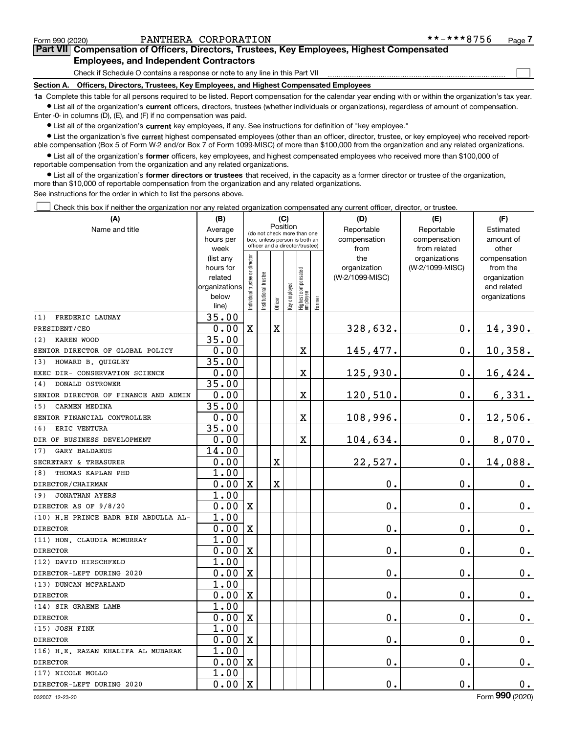$\mathcal{L}^{\text{max}}$ 

**7Part VII Compensation of Officers, Directors, Trustees, Key Employees, Highest Compensated Employees, and Independent Contractors**

Check if Schedule O contains a response or note to any line in this Part VII

**Section A. Officers, Directors, Trustees, Key Employees, and Highest Compensated Employees**

**1a**  Complete this table for all persons required to be listed. Report compensation for the calendar year ending with or within the organization's tax year. **•** List all of the organization's current officers, directors, trustees (whether individuals or organizations), regardless of amount of compensation.

Enter -0- in columns (D), (E), and (F) if no compensation was paid.

 $\bullet$  List all of the organization's  $\,$ current key employees, if any. See instructions for definition of "key employee."

**•** List the organization's five current highest compensated employees (other than an officer, director, trustee, or key employee) who received reportable compensation (Box 5 of Form W-2 and/or Box 7 of Form 1099-MISC) of more than \$100,000 from the organization and any related organizations.

**•** List all of the organization's former officers, key employees, and highest compensated employees who received more than \$100,000 of reportable compensation from the organization and any related organizations.

**former directors or trustees**  ¥ List all of the organization's that received, in the capacity as a former director or trustee of the organization, more than \$10,000 of reportable compensation from the organization and any related organizations.

See instructions for the order in which to list the persons above.

Check this box if neither the organization nor any related organization compensated any current officer, director, or trustee.  $\mathcal{L}^{\text{max}}$ 

| (A)                                  | (B)<br>(C)        |                                         | (D)                  | (E)                     | (F)          |                                                                  |        |                 |                               |                       |
|--------------------------------------|-------------------|-----------------------------------------|----------------------|-------------------------|--------------|------------------------------------------------------------------|--------|-----------------|-------------------------------|-----------------------|
| Name and title                       | Average           | Position<br>(do not check more than one |                      |                         |              |                                                                  |        | Reportable      | Reportable                    | Estimated             |
|                                      | hours per         |                                         |                      |                         |              | box, unless person is both an<br>officer and a director/trustee) |        | compensation    | compensation                  | amount of             |
|                                      | week<br>(list any |                                         |                      |                         |              |                                                                  |        | from<br>the     | from related<br>organizations | other<br>compensation |
|                                      | hours for         |                                         |                      |                         |              |                                                                  |        | organization    | (W-2/1099-MISC)               | from the              |
|                                      | related           |                                         |                      |                         |              |                                                                  |        | (W-2/1099-MISC) |                               | organization          |
|                                      | organizations     |                                         |                      |                         |              |                                                                  |        |                 |                               | and related           |
|                                      | below             | ndividual trustee or director           | nstitutional trustee |                         | Key employee | Highest compensated<br>  employee                                |        |                 |                               | organizations         |
|                                      | line)             |                                         |                      | Officer                 |              |                                                                  | Former |                 |                               |                       |
| FREDERIC LAUNAY<br>(1)               | 35.00             |                                         |                      |                         |              |                                                                  |        |                 |                               |                       |
| PRESIDENT/CEO                        | 0.00              | $\mathbf x$                             |                      | $\overline{\mathbf{X}}$ |              |                                                                  |        | 328,632.        | 0.                            | 14,390.               |
| KAREN WOOD<br>(2)                    | 35.00             |                                         |                      |                         |              |                                                                  |        |                 |                               |                       |
| SENIOR DIRECTOR OF GLOBAL POLICY     | 0.00              |                                         |                      |                         |              | X                                                                |        | 145,477.        | $\mathbf 0$ .                 | 10,358.               |
| (3)<br>HOWARD B. QUIGLEY             | 35.00             |                                         |                      |                         |              |                                                                  |        |                 |                               |                       |
| EXEC DIR- CONSERVATION SCIENCE       | 0.00              |                                         |                      |                         |              | X                                                                |        | 125,930.        | $\mathbf 0$ .                 | 16,424.               |
| DONALD OSTROWER<br>(4)               | 35.00             |                                         |                      |                         |              |                                                                  |        |                 |                               |                       |
| SENIOR DIRECTOR OF FINANCE AND ADMIN | 0.00              |                                         |                      |                         |              | X                                                                |        | 120,510.        | $\mathbf 0$ .                 | 6,331.                |
| CARMEN MEDINA<br>(5)                 | 35.00             |                                         |                      |                         |              |                                                                  |        |                 |                               |                       |
| SENIOR FINANCIAL CONTROLLER          | 0.00              |                                         |                      |                         |              | $\mathbf X$                                                      |        | 108,996.        | $\mathbf 0$ .                 | 12,506.               |
| ERIC VENTURA<br>(6)                  | 35.00             |                                         |                      |                         |              |                                                                  |        |                 |                               |                       |
| DIR OF BUSINESS DEVELOPMENT          | 0.00              |                                         |                      |                         |              | $\mathbf X$                                                      |        | 104,634.        | $\mathbf 0$ .                 | 8,070.                |
| (7)<br><b>GARY BALDAEUS</b>          | 14.00             |                                         |                      |                         |              |                                                                  |        |                 |                               |                       |
| SECRETARY & TREASURER                | 0.00              |                                         |                      | X                       |              |                                                                  |        | 22,527.         | $\mathbf 0$ .                 | 14,088.               |
| THOMAS KAPLAN PHD<br>(8)             | 1.00              |                                         |                      |                         |              |                                                                  |        |                 |                               |                       |
| DIRECTOR/CHAIRMAN                    | 0.00              | $\mathbf x$                             |                      | X                       |              |                                                                  |        | $\mathbf 0$ .   | $\mathbf 0$ .                 | $\mathbf 0$ .         |
| <b>JONATHAN AYERS</b><br>(9)         | 1.00              |                                         |                      |                         |              |                                                                  |        |                 |                               |                       |
| DIRECTOR AS OF 9/8/20                | 0.00              | $\mathbf X$                             |                      |                         |              |                                                                  |        | $\mathbf 0$ .   | $\mathbf 0$ .                 | $\mathbf 0$ .         |
| (10) H.H PRINCE BADR BIN ABDULLA AL- | 1.00              |                                         |                      |                         |              |                                                                  |        |                 |                               |                       |
| <b>DIRECTOR</b>                      | 0.00              | $\mathbf x$                             |                      |                         |              |                                                                  |        | $\mathbf 0$ .   | $\mathbf 0$ .                 | 0.                    |
| (11) HON. CLAUDIA MCMURRAY           | 1.00              |                                         |                      |                         |              |                                                                  |        |                 |                               |                       |
| <b>DIRECTOR</b>                      | 0.00              | $\mathbf X$                             |                      |                         |              |                                                                  |        | $\mathbf 0$ .   | $\mathbf 0$ .                 | $\mathbf 0$ .         |
| (12) DAVID HIRSCHFELD                | 1.00              |                                         |                      |                         |              |                                                                  |        |                 |                               |                       |
| DIRECTOR-LEFT DURING 2020            | 0.00              | $\mathbf x$                             |                      |                         |              |                                                                  |        | $\mathbf 0$ .   | $\mathbf 0$ .                 | $\mathbf 0$ .         |
| (13) DUNCAN MCFARLAND                | 1.00              |                                         |                      |                         |              |                                                                  |        |                 |                               |                       |
| <b>DIRECTOR</b>                      | 0.00              | $\mathbf X$                             |                      |                         |              |                                                                  |        | $\mathbf 0$ .   | $\mathbf 0$ .                 | $0_{.}$               |
| (14) SIR GRAEME LAMB                 | 1.00              |                                         |                      |                         |              |                                                                  |        |                 |                               |                       |
| <b>DIRECTOR</b>                      | 0.00              | $\mathbf x$                             |                      |                         |              |                                                                  |        | $\mathbf 0$ .   | $\mathbf 0$ .                 | 0.                    |
| (15) JOSH FINK                       | 1.00              |                                         |                      |                         |              |                                                                  |        |                 |                               |                       |
| <b>DIRECTOR</b>                      | 0.00              | $\mathbf X$                             |                      |                         |              |                                                                  |        | 0.              | $\mathbf 0$ .                 | $\mathbf 0$ .         |
| (16) H.E. RAZAN KHALIFA AL MUBARAK   | 1.00              |                                         |                      |                         |              |                                                                  |        |                 |                               |                       |
| <b>DIRECTOR</b>                      | 0.00              | X                                       |                      |                         |              |                                                                  |        | 0.              | 0.                            | $\mathbf 0$ .         |
| (17) NICOLE MOLLO                    | 1.00              |                                         |                      |                         |              |                                                                  |        |                 |                               |                       |
| DIRECTOR-LEFT DURING 2020            | 0.00              | $\mathbf X$                             |                      |                         |              |                                                                  |        | 0.              | $\mathbf 0$ .                 | 0.                    |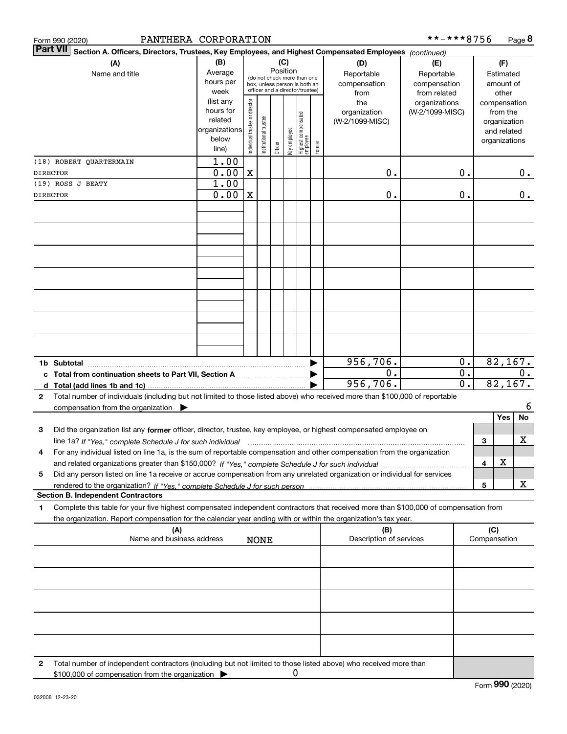|              | PANTHERA CORPORATION<br>Form 990 (2020)                                                                                                                                                                                                                                  |                                                                      |                                |                       |         |                 |                                                                                                 |        |                                           | **-***8756                                        |                                      |                     | Page 8                                                                   |       |
|--------------|--------------------------------------------------------------------------------------------------------------------------------------------------------------------------------------------------------------------------------------------------------------------------|----------------------------------------------------------------------|--------------------------------|-----------------------|---------|-----------------|-------------------------------------------------------------------------------------------------|--------|-------------------------------------------|---------------------------------------------------|--------------------------------------|---------------------|--------------------------------------------------------------------------|-------|
|              | <b>Part VII</b><br>Section A. Officers, Directors, Trustees, Key Employees, and Highest Compensated Employees (continued)                                                                                                                                                |                                                                      |                                |                       |         |                 |                                                                                                 |        |                                           |                                                   |                                      |                     |                                                                          |       |
|              | (A)<br>Name and title                                                                                                                                                                                                                                                    | (B)<br>Average<br>hours per<br>week                                  |                                |                       |         | (C)<br>Position | (do not check more than one<br>box, unless person is both an<br>officer and a director/trustee) |        | (D)<br>Reportable<br>compensation<br>from | (E)<br>Reportable<br>compensation<br>from related |                                      |                     | (F)<br>Estimated<br>amount of<br>other                                   |       |
|              |                                                                                                                                                                                                                                                                          | (list any<br>hours for<br>related<br>organizations<br>below<br>line) | Individual trustee or director | Institutional trustee | Officer | Key employee    | Highest compensated<br> employee                                                                | Former | the<br>organization<br>(W-2/1099-MISC)    | organizations<br>(W-2/1099-MISC)                  |                                      |                     | compensation<br>from the<br>organization<br>and related<br>organizations |       |
|              | (18) ROBERT QUARTERMAIN                                                                                                                                                                                                                                                  | 1.00                                                                 |                                |                       |         |                 |                                                                                                 |        |                                           |                                                   |                                      |                     |                                                                          |       |
|              | <b>DIRECTOR</b>                                                                                                                                                                                                                                                          | 0.00                                                                 | $\mathbf X$                    |                       |         |                 |                                                                                                 |        | 0.                                        |                                                   | 0.                                   |                     |                                                                          | 0.    |
|              | (19) ROSS J BEATY<br><b>DIRECTOR</b>                                                                                                                                                                                                                                     | 1.00<br>0.00                                                         | $\mathbf X$                    |                       |         |                 |                                                                                                 |        | 0.                                        |                                                   | 0.                                   |                     |                                                                          | $0$ . |
|              |                                                                                                                                                                                                                                                                          |                                                                      |                                |                       |         |                 |                                                                                                 |        |                                           |                                                   |                                      |                     |                                                                          |       |
|              |                                                                                                                                                                                                                                                                          |                                                                      |                                |                       |         |                 |                                                                                                 |        |                                           |                                                   |                                      |                     |                                                                          |       |
|              |                                                                                                                                                                                                                                                                          |                                                                      |                                |                       |         |                 |                                                                                                 |        |                                           |                                                   |                                      |                     |                                                                          |       |
|              |                                                                                                                                                                                                                                                                          |                                                                      |                                |                       |         |                 |                                                                                                 |        |                                           |                                                   |                                      |                     |                                                                          |       |
|              |                                                                                                                                                                                                                                                                          |                                                                      |                                |                       |         |                 |                                                                                                 |        |                                           |                                                   |                                      |                     |                                                                          |       |
|              |                                                                                                                                                                                                                                                                          |                                                                      |                                |                       |         |                 |                                                                                                 |        |                                           |                                                   |                                      |                     |                                                                          |       |
|              |                                                                                                                                                                                                                                                                          |                                                                      |                                |                       |         |                 |                                                                                                 |        |                                           |                                                   |                                      |                     |                                                                          |       |
|              |                                                                                                                                                                                                                                                                          |                                                                      |                                |                       |         |                 |                                                                                                 |        | 956, 706.                                 |                                                   | 0.                                   |                     | 82, 167.                                                                 |       |
|              | c Total from continuation sheets to Part VII, Section A manufactured by                                                                                                                                                                                                  |                                                                      |                                |                       |         |                 |                                                                                                 |        | 0.<br>956,706.                            |                                                   | $\overline{0}$ .<br>$\overline{0}$ . |                     | 82,167.                                                                  | $0$ . |
| $\mathbf{2}$ | Total number of individuals (including but not limited to those listed above) who received more than \$100,000 of reportable<br>compensation from the organization $\blacktriangleright$                                                                                 |                                                                      |                                |                       |         |                 |                                                                                                 |        |                                           |                                                   |                                      |                     |                                                                          | 6     |
|              |                                                                                                                                                                                                                                                                          |                                                                      |                                |                       |         |                 |                                                                                                 |        |                                           |                                                   |                                      |                     | Yes                                                                      | No    |
| 3            | Did the organization list any former officer, director, trustee, key employee, or highest compensated employee on<br>line 1a? If "Yes," complete Schedule J for such individual manumanamental communities and the 1a? If "Yes," complete Schedule J for such individual |                                                                      |                                |                       |         |                 |                                                                                                 |        |                                           |                                                   |                                      | 3                   |                                                                          | X     |
|              | For any individual listed on line 1a, is the sum of reportable compensation and other compensation from the organization                                                                                                                                                 |                                                                      |                                |                       |         |                 |                                                                                                 |        |                                           |                                                   |                                      | 4                   | х                                                                        |       |
| 5            | Did any person listed on line 1a receive or accrue compensation from any unrelated organization or individual for services                                                                                                                                               |                                                                      |                                |                       |         |                 |                                                                                                 |        |                                           |                                                   |                                      | 5                   |                                                                          | х     |
|              | <b>Section B. Independent Contractors</b>                                                                                                                                                                                                                                |                                                                      |                                |                       |         |                 |                                                                                                 |        |                                           |                                                   |                                      |                     |                                                                          |       |
| 1.           | Complete this table for your five highest compensated independent contractors that received more than \$100,000 of compensation from<br>the organization. Report compensation for the calendar year ending with or within the organization's tax year.                   |                                                                      |                                |                       |         |                 |                                                                                                 |        |                                           |                                                   |                                      |                     |                                                                          |       |
|              | (A)<br>Name and business address                                                                                                                                                                                                                                         |                                                                      |                                | <b>NONE</b>           |         |                 |                                                                                                 |        | (B)<br>Description of services            |                                                   |                                      | (C)<br>Compensation |                                                                          |       |
|              |                                                                                                                                                                                                                                                                          |                                                                      |                                |                       |         |                 |                                                                                                 |        |                                           |                                                   |                                      |                     |                                                                          |       |
|              |                                                                                                                                                                                                                                                                          |                                                                      |                                |                       |         |                 |                                                                                                 |        |                                           |                                                   |                                      |                     |                                                                          |       |
|              |                                                                                                                                                                                                                                                                          |                                                                      |                                |                       |         |                 |                                                                                                 |        |                                           |                                                   |                                      |                     |                                                                          |       |
|              |                                                                                                                                                                                                                                                                          |                                                                      |                                |                       |         |                 |                                                                                                 |        |                                           |                                                   |                                      |                     |                                                                          |       |
|              |                                                                                                                                                                                                                                                                          |                                                                      |                                |                       |         |                 |                                                                                                 |        |                                           |                                                   |                                      |                     |                                                                          |       |
| 2            | Total number of independent contractors (including but not limited to those listed above) who received more than<br>\$100,000 of compensation from the organization                                                                                                      |                                                                      |                                |                       |         | 0               |                                                                                                 |        |                                           |                                                   |                                      |                     |                                                                          |       |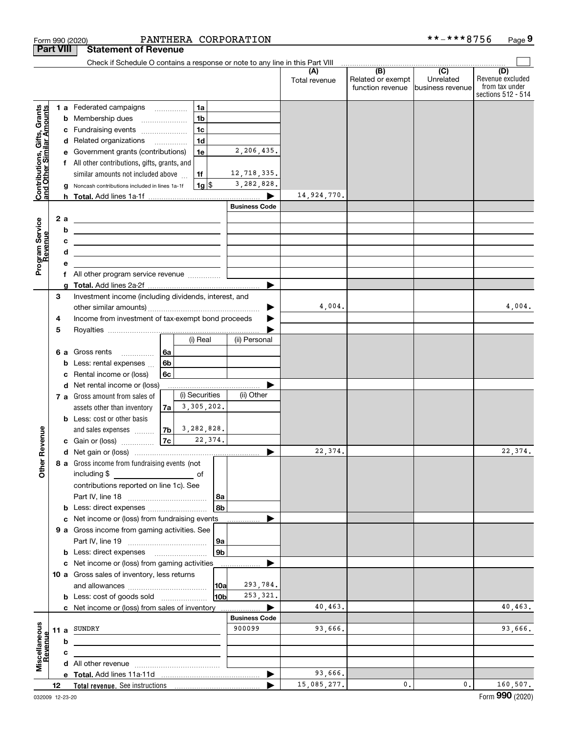|                                                           |                  | Form 990 (2020)                                                                                                                                                                                                                      |                |                     | PANTHERA CORPORATION  |                      |                                              | **-***8756                                      | Page 9                                                          |
|-----------------------------------------------------------|------------------|--------------------------------------------------------------------------------------------------------------------------------------------------------------------------------------------------------------------------------------|----------------|---------------------|-----------------------|----------------------|----------------------------------------------|-------------------------------------------------|-----------------------------------------------------------------|
|                                                           | <b>Part VIII</b> | <b>Statement of Revenue</b>                                                                                                                                                                                                          |                |                     |                       |                      |                                              |                                                 |                                                                 |
|                                                           |                  | Check if Schedule O contains a response or note to any line in this Part VIII                                                                                                                                                        |                |                     |                       |                      |                                              |                                                 |                                                                 |
|                                                           |                  |                                                                                                                                                                                                                                      |                |                     |                       | (A)<br>Total revenue | (B)<br>Related or exempt<br>function revenue | $\overline{C}$<br>Unrelated<br>business revenue | (D)<br>Revenue excluded<br>from tax under<br>sections 512 - 514 |
|                                                           |                  | 1 a Federated campaigns                                                                                                                                                                                                              |                | 1a                  |                       |                      |                                              |                                                 |                                                                 |
|                                                           |                  | <b>b</b> Membership dues                                                                                                                                                                                                             |                | 1 <sub>b</sub>      |                       |                      |                                              |                                                 |                                                                 |
|                                                           |                  | c Fundraising events                                                                                                                                                                                                                 |                | 1 <sub>c</sub>      |                       |                      |                                              |                                                 |                                                                 |
| Contributions, Gifts, Grants<br>and Other Similar Amounts |                  | d Related organizations                                                                                                                                                                                                              |                | 1 <sub>d</sub>      |                       |                      |                                              |                                                 |                                                                 |
|                                                           | е                | Government grants (contributions)                                                                                                                                                                                                    |                | 1e                  | 2,206,435.            |                      |                                              |                                                 |                                                                 |
|                                                           |                  | f All other contributions, gifts, grants, and                                                                                                                                                                                        |                |                     |                       |                      |                                              |                                                 |                                                                 |
|                                                           |                  | similar amounts not included above                                                                                                                                                                                                   |                | 1f                  | 12,718,335.           |                      |                                              |                                                 |                                                                 |
|                                                           | g                | Noncash contributions included in lines 1a-1f                                                                                                                                                                                        |                | $1g$ \$             | 3,282,828.            |                      |                                              |                                                 |                                                                 |
|                                                           |                  |                                                                                                                                                                                                                                      |                |                     |                       | 14,924,770.          |                                              |                                                 |                                                                 |
|                                                           |                  |                                                                                                                                                                                                                                      |                |                     | <b>Business Code</b>  |                      |                                              |                                                 |                                                                 |
|                                                           | 2 a              |                                                                                                                                                                                                                                      |                |                     |                       |                      |                                              |                                                 |                                                                 |
|                                                           | b                | <u> 2008 - An Dùbhlachd ann an Dùbhlachd ann an Dùbhlachd ann an Dùbhlachd ann an Dùbhlachd ann an Dùbhlachd ann an Dùbhlachd ann an Dùbhlachd ann an Dùbhlachd ann an Dùbhlachd ann an Dùbhlachd ann an Dùbhlachd ann an Dùbhla</u> |                |                     |                       |                      |                                              |                                                 |                                                                 |
|                                                           | c                | <u> 1989 - Johann Barn, fransk politik amerikansk politik (</u>                                                                                                                                                                      |                |                     |                       |                      |                                              |                                                 |                                                                 |
| evenue                                                    | d                | <u> 2000 - Jan James Alexandria (j. 1918)</u>                                                                                                                                                                                        |                |                     |                       |                      |                                              |                                                 |                                                                 |
|                                                           | е                | <u> 1989 - Johann Barn, amerikansk politiker (</u>                                                                                                                                                                                   |                |                     |                       |                      |                                              |                                                 |                                                                 |
| Program Service<br>Revenue                                |                  |                                                                                                                                                                                                                                      |                |                     |                       |                      |                                              |                                                 |                                                                 |
|                                                           |                  |                                                                                                                                                                                                                                      |                |                     |                       |                      |                                              |                                                 |                                                                 |
|                                                           | 3                | Investment income (including dividends, interest, and                                                                                                                                                                                |                |                     |                       |                      |                                              |                                                 |                                                                 |
|                                                           |                  |                                                                                                                                                                                                                                      |                |                     | 4,004.                |                      |                                              | 4,004.                                          |                                                                 |
|                                                           | 4                | Income from investment of tax-exempt bond proceeds                                                                                                                                                                                   |                |                     |                       |                      |                                              |                                                 |                                                                 |
|                                                           | 5                |                                                                                                                                                                                                                                      |                |                     |                       |                      |                                              |                                                 |                                                                 |
|                                                           |                  |                                                                                                                                                                                                                                      |                | (i) Real            | (ii) Personal         |                      |                                              |                                                 |                                                                 |
|                                                           |                  | 6 a Gross rents<br>$\overline{\phantom{a}}$                                                                                                                                                                                          | 6a             |                     |                       |                      |                                              |                                                 |                                                                 |
|                                                           | b                | Less: rental expenses                                                                                                                                                                                                                | 6 <sub>b</sub> |                     |                       |                      |                                              |                                                 |                                                                 |
|                                                           | c                | Rental income or (loss)                                                                                                                                                                                                              | 6c             |                     |                       |                      |                                              |                                                 |                                                                 |
|                                                           |                  | d Net rental income or (loss)                                                                                                                                                                                                        |                |                     |                       |                      |                                              |                                                 |                                                                 |
|                                                           |                  | 7 a Gross amount from sales of                                                                                                                                                                                                       |                | (i) Securities      | (ii) Other            |                      |                                              |                                                 |                                                                 |
|                                                           |                  | assets other than inventory                                                                                                                                                                                                          | 7a             | 3,305,202.          |                       |                      |                                              |                                                 |                                                                 |
|                                                           |                  | <b>b</b> Less: cost or other basis                                                                                                                                                                                                   |                |                     |                       |                      |                                              |                                                 |                                                                 |
|                                                           |                  | and sales expenses                                                                                                                                                                                                                   |                | $ 7b $ 3, 282, 828. |                       |                      |                                              |                                                 |                                                                 |
| evenue                                                    |                  | c Gain or (loss)                                                                                                                                                                                                                     | 7c             | 22,374.             |                       |                      |                                              |                                                 |                                                                 |
|                                                           |                  |                                                                                                                                                                                                                                      |                |                     |                       | 22,374.              |                                              |                                                 | 22,374.                                                         |
| Other R                                                   |                  | 8 a Gross income from fundraising events (not                                                                                                                                                                                        |                |                     |                       |                      |                                              |                                                 |                                                                 |
|                                                           |                  | including \$<br><u>of</u> of                                                                                                                                                                                                         |                |                     |                       |                      |                                              |                                                 |                                                                 |
|                                                           |                  | contributions reported on line 1c). See                                                                                                                                                                                              |                |                     |                       |                      |                                              |                                                 |                                                                 |
|                                                           |                  |                                                                                                                                                                                                                                      |                | 8a                  |                       |                      |                                              |                                                 |                                                                 |
|                                                           |                  | <b>b</b> Less: direct expenses <i></i>                                                                                                                                                                                               |                | 8b                  |                       |                      |                                              |                                                 |                                                                 |
|                                                           |                  | c Net income or (loss) from fundraising events                                                                                                                                                                                       |                |                     |                       |                      |                                              |                                                 |                                                                 |
|                                                           |                  | 9 a Gross income from gaming activities. See                                                                                                                                                                                         |                |                     |                       |                      |                                              |                                                 |                                                                 |
|                                                           |                  |                                                                                                                                                                                                                                      |                | 9a                  |                       |                      |                                              |                                                 |                                                                 |
|                                                           |                  | <b>b</b> Less: direct expenses <b>manually</b>                                                                                                                                                                                       |                | 9 <sub>b</sub>      |                       |                      |                                              |                                                 |                                                                 |
|                                                           |                  | c Net income or (loss) from gaming activities _______________                                                                                                                                                                        |                |                     |                       |                      |                                              |                                                 |                                                                 |
|                                                           |                  | 10 a Gross sales of inventory, less returns                                                                                                                                                                                          |                |                     |                       |                      |                                              |                                                 |                                                                 |
|                                                           |                  |                                                                                                                                                                                                                                      |                | 10a                 | 293,784.              |                      |                                              |                                                 |                                                                 |
|                                                           |                  | <b>b</b> Less: cost of goods sold                                                                                                                                                                                                    |                | 10 <sub>b</sub>     | 253, 321.             |                      |                                              |                                                 |                                                                 |
|                                                           |                  | c Net income or (loss) from sales of inventory                                                                                                                                                                                       |                |                     | ▶                     | 40,463.              |                                              |                                                 | 40,463.                                                         |
|                                                           |                  |                                                                                                                                                                                                                                      |                |                     | <b>Business Code</b>  |                      |                                              |                                                 |                                                                 |
|                                                           |                  | 11 a SUNDRY                                                                                                                                                                                                                          |                |                     | 900099                | 93,666.              |                                              |                                                 | 93,666.                                                         |
|                                                           | b                | <u> 1989 - Johann Barbara, martxa eta idazlea (h. 1989).</u>                                                                                                                                                                         |                |                     |                       |                      |                                              |                                                 |                                                                 |
| Revenue                                                   | с                |                                                                                                                                                                                                                                      |                |                     |                       |                      |                                              |                                                 |                                                                 |
| Miscellaneous                                             |                  |                                                                                                                                                                                                                                      |                |                     |                       |                      |                                              |                                                 |                                                                 |
|                                                           |                  |                                                                                                                                                                                                                                      |                |                     | $\blacktriangleright$ | 93,666.              |                                              |                                                 |                                                                 |
|                                                           | 12               |                                                                                                                                                                                                                                      |                |                     | ▶                     | 15,085,277.          | 0.                                           | 0.                                              | 160,507.                                                        |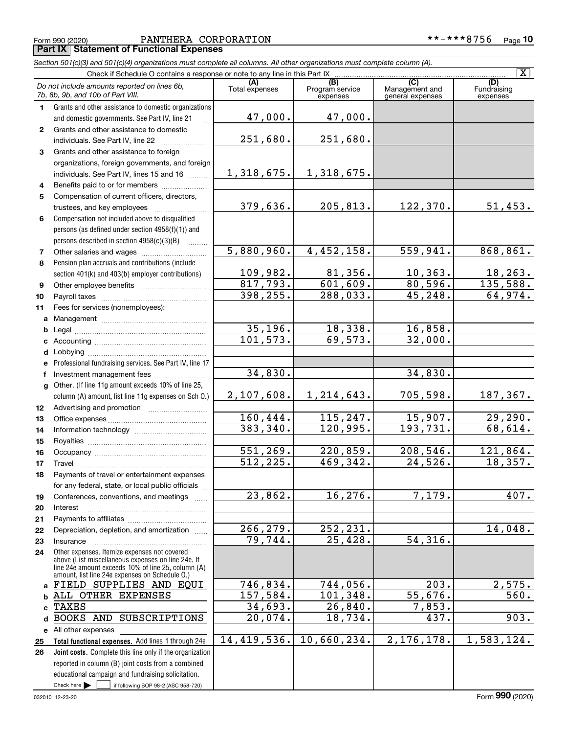$Check here$ 

All other expenses

 $\int$  if following SOP 98-2 (ASC 958-720)

14,419,536.

**Total functional expenses.**  Add lines 1 through 24e **Joint costs.** Complete this line only if the organization

reported in column (B) joint costs from a combined educational campaign and fundraising solicitation.

 $\mathcal{L}^{\text{max}}$ 

| PANTHERA CORPORATION<br>Form 990 (2020)                                                                                    |                |                                    |                                    | **-***8756                            | Page |  |  |  |
|----------------------------------------------------------------------------------------------------------------------------|----------------|------------------------------------|------------------------------------|---------------------------------------|------|--|--|--|
| <b>Part IX Statement of Functional Expenses</b>                                                                            |                |                                    |                                    |                                       |      |  |  |  |
| Section 501(c)(3) and 501(c)(4) organizations must complete all columns. All other organizations must complete column (A). |                |                                    |                                    |                                       |      |  |  |  |
| Check if Schedule O contains a response or note to any line in this Part IX                                                |                |                                    |                                    |                                       |      |  |  |  |
| Do not include amounts reported on lines 6b,<br>7b, 8b, 9b, and 10b of Part VIII.                                          | Total expenses | (B)<br>Program service<br>expenses | Management and<br>general expenses | <b>(D)</b><br>Fundraising<br>expenses |      |  |  |  |

**1**

**2**

**3**

**45**

**6**

**78**

**91011abcdefg**

**abcde25 26**

 $\vert$  X  $\vert$ 

| Grants and other assistance to domestic organizations                                                                                                                                                      |                         |                             |                       |                            |
|------------------------------------------------------------------------------------------------------------------------------------------------------------------------------------------------------------|-------------------------|-----------------------------|-----------------------|----------------------------|
| and domestic governments. See Part IV, line 21                                                                                                                                                             | 47,000.                 | 47,000.                     |                       |                            |
| Grants and other assistance to domestic                                                                                                                                                                    |                         |                             |                       |                            |
| individuals. See Part IV, line 22                                                                                                                                                                          | 251,680.                | 251,680.                    |                       |                            |
| Grants and other assistance to foreign                                                                                                                                                                     |                         |                             |                       |                            |
| organizations, foreign governments, and foreign                                                                                                                                                            |                         |                             |                       |                            |
| individuals. See Part IV, lines 15 and 16                                                                                                                                                                  | 1,318,675.              | 1,318,675.                  |                       |                            |
| Benefits paid to or for members                                                                                                                                                                            |                         |                             |                       |                            |
| Compensation of current officers, directors,                                                                                                                                                               |                         |                             |                       |                            |
| trustees, and key employees                                                                                                                                                                                | 379,636.                | 205,813.                    | 122,370.              | 51,453.                    |
| Compensation not included above to disqualified                                                                                                                                                            |                         |                             |                       |                            |
| persons (as defined under section 4958(f)(1)) and                                                                                                                                                          |                         |                             |                       |                            |
| persons described in section 4958(c)(3)(B)                                                                                                                                                                 |                         |                             |                       |                            |
| Other salaries and wages                                                                                                                                                                                   | 5,880,960.              | 4,452,158.                  | 559,941.              | 868, 861.                  |
| Pension plan accruals and contributions (include                                                                                                                                                           |                         |                             |                       |                            |
| section 401(k) and 403(b) employer contributions)                                                                                                                                                          | 109,982.                | $\frac{81,356}{601,609}$    | 10, 363.              | $\frac{18,263.}{135,588.}$ |
| Other employee benefits                                                                                                                                                                                    | 817,793.                |                             | 80,596.               |                            |
|                                                                                                                                                                                                            | 398, 255.               | 288,033.                    | 45, 248.              | 64,974.                    |
| Fees for services (nonemployees):                                                                                                                                                                          |                         |                             |                       |                            |
|                                                                                                                                                                                                            |                         |                             |                       |                            |
|                                                                                                                                                                                                            | 35,196.                 | $\frac{18,338.}{69,573.}$   | 16,858.               |                            |
|                                                                                                                                                                                                            | 101, 573.               |                             | 32,000.               |                            |
|                                                                                                                                                                                                            |                         |                             |                       |                            |
| Professional fundraising services. See Part IV, line 17                                                                                                                                                    |                         |                             |                       |                            |
| Investment management fees                                                                                                                                                                                 | 34,830.                 |                             | 34,830.               |                            |
| Other. (If line 11g amount exceeds 10% of line 25,                                                                                                                                                         |                         |                             |                       |                            |
| column (A) amount, list line 11g expenses on Sch O.)                                                                                                                                                       | 2,107,608.              | 1, 214, 643.                | 705,598.              | 187,367.                   |
|                                                                                                                                                                                                            |                         |                             |                       |                            |
|                                                                                                                                                                                                            | 160,444.                | 115, 247.                   | 15,907.               | 29,290.                    |
|                                                                                                                                                                                                            | 383,340.                | 120,995.                    | 193,731.              | 68,614.                    |
|                                                                                                                                                                                                            |                         |                             |                       |                            |
|                                                                                                                                                                                                            | 551,269.                | $\frac{220,859.}{469,342.}$ | 208,546.              | 121,864.                   |
| Travel                                                                                                                                                                                                     | $\overline{512, 225}$ . |                             | $\overline{24,526}$ . | 18,357.                    |
| Payments of travel or entertainment expenses                                                                                                                                                               |                         |                             |                       |                            |
| for any federal, state, or local public officials                                                                                                                                                          |                         |                             |                       |                            |
| Conferences, conventions, and meetings                                                                                                                                                                     | 23,862.                 | 16, 276.                    | 7,179.                | 407.                       |
| Interest                                                                                                                                                                                                   |                         |                             |                       |                            |
|                                                                                                                                                                                                            |                         |                             |                       |                            |
| Depreciation, depletion, and amortization                                                                                                                                                                  | 266, 279.               | 252, 231.                   |                       | 14,048.                    |
| Insurance                                                                                                                                                                                                  | 79,744.                 | 25,428.                     | 54,316.               |                            |
| Other expenses. Itemize expenses not covered<br>above (List miscellaneous expenses on line 24e. If<br>line 24e amount exceeds 10% of line 25, column (A)<br>amount, list line 24e expenses on Schedule O.) |                         |                             |                       |                            |
| FIELD SUPPLIES AND EQUI                                                                                                                                                                                    | 746,834.                | 744,056.                    | 203.                  | 2,575.                     |
| ALL OTHER EXPENSES                                                                                                                                                                                         | 157,584.                | 101, 348.                   | 55,676.               | $\overline{560}$ .         |
| TAXES                                                                                                                                                                                                      | 34,693.                 | 26,840.                     | 7,853.                |                            |
| BOOKS AND SUBSCRIPTIONS                                                                                                                                                                                    | 20,074.                 | 18,734.                     | 437.                  | 903.                       |

10,660,234. 2,176,178. 1,583,124.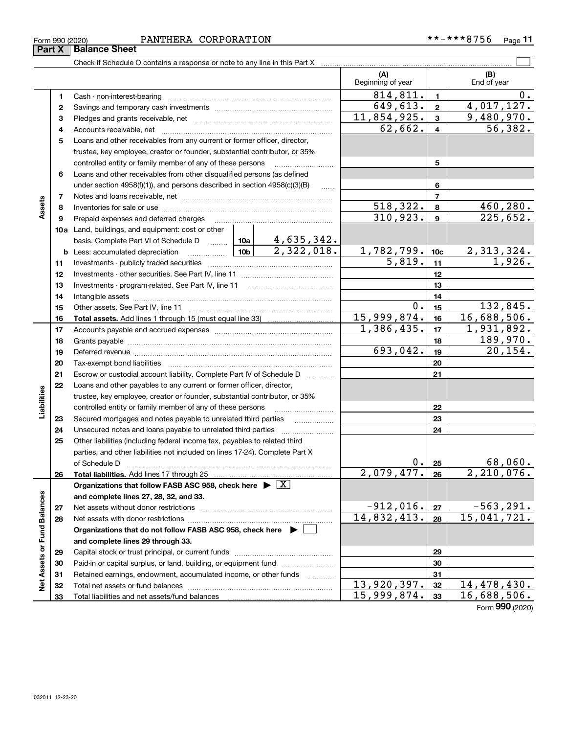| $\mathbf{A} \mathbf{B} \mathbf{A} \mathbf{A}$<br>CORPORATION<br>PANTHERA<br>***Q.<br>$*** -$<br>Form 990 (2020)<br>, 56<br>Page |
|---------------------------------------------------------------------------------------------------------------------------------|
|---------------------------------------------------------------------------------------------------------------------------------|

|                             |          |                                                                                                                                                                                                                                |             |                     | (A)<br>Beginning of year    |                 | (B)<br>End of year        |
|-----------------------------|----------|--------------------------------------------------------------------------------------------------------------------------------------------------------------------------------------------------------------------------------|-------------|---------------------|-----------------------------|-----------------|---------------------------|
|                             | 1.       |                                                                                                                                                                                                                                |             |                     | 814,811.                    | 1               | 0.                        |
|                             | 2        |                                                                                                                                                                                                                                | 649,613.    | $\mathbf 2$         | 4,017,127.                  |                 |                           |
|                             | з        |                                                                                                                                                                                                                                |             |                     | 11,854,925.                 | 3               | $\overline{9,480,970}$ .  |
|                             | 4        |                                                                                                                                                                                                                                |             |                     | 62,662.                     | 4               | 56, 382.                  |
|                             | 5        | Loans and other receivables from any current or former officer, director,                                                                                                                                                      |             |                     |                             |                 |                           |
|                             |          | trustee, key employee, creator or founder, substantial contributor, or 35%                                                                                                                                                     |             |                     |                             |                 |                           |
|                             |          |                                                                                                                                                                                                                                |             | 5                   |                             |                 |                           |
|                             | 6        | Loans and other receivables from other disqualified persons (as defined                                                                                                                                                        |             |                     |                             |                 |                           |
|                             |          | under section $4958(f)(1)$ , and persons described in section $4958(c)(3)(B)$                                                                                                                                                  |             | 6                   |                             |                 |                           |
|                             | 7        |                                                                                                                                                                                                                                |             |                     |                             |                 |                           |
| Assets                      | 8        |                                                                                                                                                                                                                                |             |                     | <u>518,322.</u>             | 8               | 460,280.                  |
|                             | 9        | Prepaid expenses and deferred charges                                                                                                                                                                                          |             |                     | 310, 923.                   | 9               | 225,652.                  |
|                             |          | <b>10a</b> Land, buildings, and equipment: cost or other                                                                                                                                                                       |             |                     |                             |                 |                           |
|                             |          |                                                                                                                                                                                                                                |             |                     |                             |                 |                           |
|                             |          |                                                                                                                                                                                                                                |             |                     | $\frac{1,782,799.}{5,819.}$ | 10 <sub>c</sub> | $\frac{2,313,324}{1,926}$ |
|                             | 11       |                                                                                                                                                                                                                                |             |                     |                             | 11              |                           |
|                             | 12       |                                                                                                                                                                                                                                |             |                     |                             | 12              |                           |
|                             | 13       |                                                                                                                                                                                                                                |             |                     |                             | 13              |                           |
|                             | 14       |                                                                                                                                                                                                                                |             | 14                  |                             |                 |                           |
|                             | 15       |                                                                                                                                                                                                                                | 0.          | 15                  | 132,845.                    |                 |                           |
|                             | 16       |                                                                                                                                                                                                                                | 15,999,874. | 16                  | 16,688,506.                 |                 |                           |
|                             | 17       |                                                                                                                                                                                                                                | 1,386,435.  | 17                  | 1,931,892.                  |                 |                           |
|                             | 18       |                                                                                                                                                                                                                                |             | 18                  | 189,970.                    |                 |                           |
|                             | 19       | Deferred revenue information and contact the contract of the contract of the contract of the contract of the contract of the contract of the contract of the contract of the contract of the contract of the contract of the c | 693,042.    | 19                  | 20, 154.                    |                 |                           |
|                             | 20       |                                                                                                                                                                                                                                |             |                     |                             | 20              |                           |
|                             | 21       | Escrow or custodial account liability. Complete Part IV of Schedule D                                                                                                                                                          |             | 1.1.1.1.1.1.1.1.1.1 |                             | 21              |                           |
|                             | 22       | Loans and other payables to any current or former officer, director,                                                                                                                                                           |             |                     |                             |                 |                           |
| Liabilities                 |          | trustee, key employee, creator or founder, substantial contributor, or 35%                                                                                                                                                     |             |                     |                             |                 |                           |
|                             |          | controlled entity or family member of any of these persons                                                                                                                                                                     |             |                     |                             | 22              |                           |
|                             | 23       |                                                                                                                                                                                                                                |             |                     |                             | 23              |                           |
|                             | 24       | Unsecured notes and loans payable to unrelated third parties                                                                                                                                                                   |             |                     |                             | 24              |                           |
|                             | 25       | Other liabilities (including federal income tax, payables to related third                                                                                                                                                     |             |                     |                             |                 |                           |
|                             |          | parties, and other liabilities not included on lines 17-24). Complete Part X                                                                                                                                                   |             |                     |                             |                 |                           |
|                             |          | of Schedule D                                                                                                                                                                                                                  |             |                     | 0.1                         | 25              | 68,060.<br>2,210,076.     |
|                             | 26       | Total liabilities. Add lines 17 through 25                                                                                                                                                                                     |             |                     | 2,079,477.                  | 26              |                           |
|                             |          | Organizations that follow FASB ASC 958, check here $\blacktriangleright \boxed{X}$                                                                                                                                             |             |                     |                             |                 |                           |
|                             |          | and complete lines 27, 28, 32, and 33.                                                                                                                                                                                         |             |                     | $-912,016.$                 |                 | $-563, 291.$              |
|                             | 27       | Net assets without donor restrictions                                                                                                                                                                                          | 14,832,413. | 27                  | 15,041,721.                 |                 |                           |
|                             | 28       | Net assets with donor restrictions<br>Organizations that do not follow FASB ASC 958, check here $\blacktriangleright$                                                                                                          |             |                     |                             | 28              |                           |
|                             |          |                                                                                                                                                                                                                                |             |                     |                             |                 |                           |
|                             |          | and complete lines 29 through 33.                                                                                                                                                                                              |             |                     |                             |                 |                           |
| Net Assets or Fund Balances | 29<br>30 | Paid-in or capital surplus, or land, building, or equipment fund                                                                                                                                                               |             |                     |                             | 29<br>30        |                           |
|                             | 31       | Retained earnings, endowment, accumulated income, or other funds                                                                                                                                                               |             |                     |                             | 31              |                           |
|                             | 32       | Total net assets or fund balances                                                                                                                                                                                              |             |                     | 13,920,397.                 | 32              | 14,478,430.               |
|                             | 33       |                                                                                                                                                                                                                                |             |                     | 15,999,874.                 | 33              | 16,688,506.               |
|                             |          |                                                                                                                                                                                                                                |             |                     |                             |                 |                           |

Form (2020) **990**

**Part X Balance Sheet**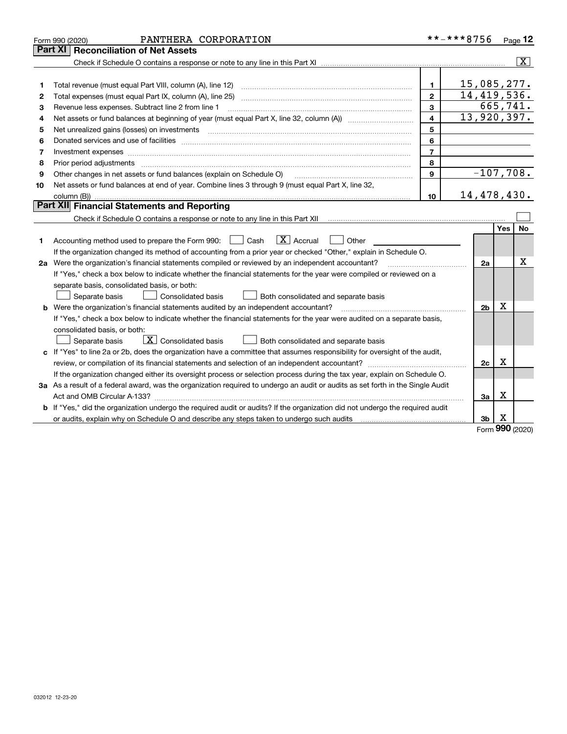|    | PANTHERA CORPORATION<br>Form 990 (2020)                                                                                                                                                                                        |                | **-***8756     |            | Page 12                 |
|----|--------------------------------------------------------------------------------------------------------------------------------------------------------------------------------------------------------------------------------|----------------|----------------|------------|-------------------------|
|    | Part XI<br><b>Reconciliation of Net Assets</b>                                                                                                                                                                                 |                |                |            |                         |
|    |                                                                                                                                                                                                                                |                |                |            | $\overline{\mathbf{x}}$ |
|    |                                                                                                                                                                                                                                |                |                |            |                         |
| 1  |                                                                                                                                                                                                                                | $\mathbf{1}$   | 15,085,277.    |            |                         |
| 2  |                                                                                                                                                                                                                                | $\mathbf{2}$   | 14,419,536.    |            |                         |
| 3  | Revenue less expenses. Subtract line 2 from line 1                                                                                                                                                                             | 3              |                |            | 665,741.                |
| 4  | Net assets or fund balances at beginning of year (must equal Part X, line 32, column (A)) manured manu-                                                                                                                        | 4              | 13,920,397.    |            |                         |
| 5  |                                                                                                                                                                                                                                | 5              |                |            |                         |
| 6  |                                                                                                                                                                                                                                | 6              |                |            |                         |
| 7  | Investment expenses www.communication.com/www.communication.com/www.communication.com/www.com                                                                                                                                  | $\overline{7}$ |                |            |                         |
| 8  | Prior period adjustments material contents and content of the content of the content of the content of the content of the content of the content of the content of the content of the content of the content of the content of | 8              |                |            |                         |
| 9  | Other changes in net assets or fund balances (explain on Schedule O)                                                                                                                                                           | 9              | $-107,708.$    |            |                         |
| 10 | Net assets or fund balances at end of year. Combine lines 3 through 9 (must equal Part X, line 32,                                                                                                                             |                |                |            |                         |
|    |                                                                                                                                                                                                                                | 10             | 14,478,430.    |            |                         |
|    | Part XII Financial Statements and Reporting                                                                                                                                                                                    |                |                |            |                         |
|    |                                                                                                                                                                                                                                |                |                |            |                         |
|    |                                                                                                                                                                                                                                |                |                | <b>Yes</b> | <b>No</b>               |
| 1  | $\mathbf{X}$ Accrual<br>Accounting method used to prepare the Form 990: [139] Cash<br>Other                                                                                                                                    |                |                |            |                         |
|    | If the organization changed its method of accounting from a prior year or checked "Other," explain in Schedule O.                                                                                                              |                |                |            |                         |
|    | 2a Were the organization's financial statements compiled or reviewed by an independent accountant?                                                                                                                             |                | 2a             |            | x                       |
|    | If "Yes," check a box below to indicate whether the financial statements for the year were compiled or reviewed on a                                                                                                           |                |                |            |                         |
|    | separate basis, consolidated basis, or both:                                                                                                                                                                                   |                |                |            |                         |
|    | Separate basis<br>Consolidated basis<br>Both consolidated and separate basis                                                                                                                                                   |                |                |            |                         |
|    | <b>b</b> Were the organization's financial statements audited by an independent accountant?                                                                                                                                    |                | 2 <sub>b</sub> | x          |                         |
|    | If "Yes," check a box below to indicate whether the financial statements for the year were audited on a separate basis,                                                                                                        |                |                |            |                         |
|    | consolidated basis, or both:                                                                                                                                                                                                   |                |                |            |                         |
|    | $\vert$ X $\vert$ Consolidated basis<br>Separate basis<br>Both consolidated and separate basis                                                                                                                                 |                |                |            |                         |
| c. | If "Yes" to line 2a or 2b, does the organization have a committee that assumes responsibility for oversight of the audit,                                                                                                      |                |                |            |                         |
|    |                                                                                                                                                                                                                                |                | 2с             | х          |                         |
|    | If the organization changed either its oversight process or selection process during the tax year, explain on Schedule O.                                                                                                      |                |                |            |                         |
|    | 3a As a result of a federal award, was the organization required to undergo an audit or audits as set forth in the Single Audit                                                                                                |                |                |            |                         |
|    |                                                                                                                                                                                                                                |                | За             | X          |                         |
|    | <b>b</b> If "Yes," did the organization undergo the required audit or audits? If the organization did not undergo the required audit                                                                                           |                |                |            |                         |
|    |                                                                                                                                                                                                                                |                | 3 <sub>b</sub> | х          |                         |

Form (2020) **990**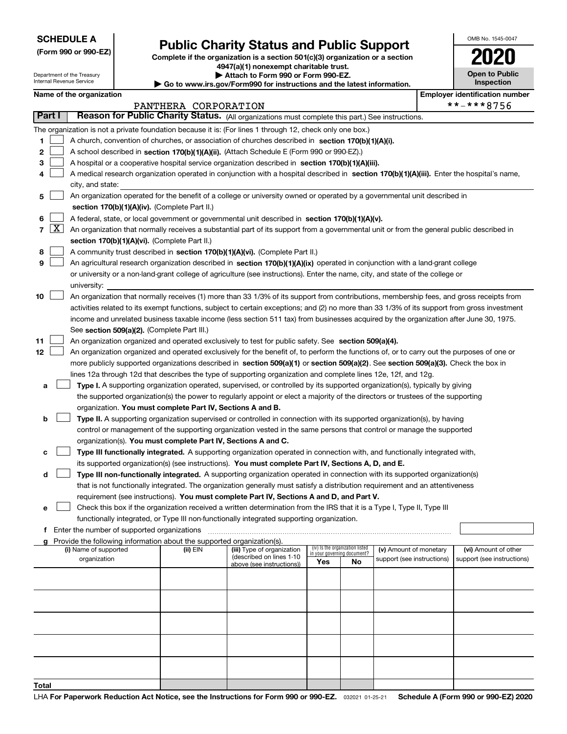Department of the Treasury Internal Revenue Service

**(Form 990 or 990-EZ)**

# **Public Charity Status and Public Support**

**Complete if the organization is a section 501(c)(3) organization or a section 4947(a)(1) nonexempt charitable trust.**

**| Attach to Form 990 or Form 990-EZ.** 

**| Go to www.irs.gov/Form990 for instructions and the latest information.**

| OMB No. 1545-0047                   |
|-------------------------------------|
| U<br>۰                              |
| <b>Open to Public</b><br>Inspection |

| Name of the organization |  |
|--------------------------|--|
|--------------------------|--|

| Name of the organization<br><b>Employer identification number</b> |            |                                                                                                                                              |                      |                            |                                                                |    |                            |  |                            |
|-------------------------------------------------------------------|------------|----------------------------------------------------------------------------------------------------------------------------------------------|----------------------|----------------------------|----------------------------------------------------------------|----|----------------------------|--|----------------------------|
|                                                                   |            |                                                                                                                                              | PANTHERA CORPORATION |                            |                                                                |    |                            |  | **-***8756                 |
| Part I                                                            |            | Reason for Public Charity Status. (All organizations must complete this part.) See instructions.                                             |                      |                            |                                                                |    |                            |  |                            |
|                                                                   |            | The organization is not a private foundation because it is: (For lines 1 through 12, check only one box.)                                    |                      |                            |                                                                |    |                            |  |                            |
| 1                                                                 |            | A church, convention of churches, or association of churches described in section 170(b)(1)(A)(i).                                           |                      |                            |                                                                |    |                            |  |                            |
| 2                                                                 |            | A school described in section 170(b)(1)(A)(ii). (Attach Schedule E (Form 990 or 990-EZ).)                                                    |                      |                            |                                                                |    |                            |  |                            |
| з                                                                 |            | A hospital or a cooperative hospital service organization described in section 170(b)(1)(A)(iii).                                            |                      |                            |                                                                |    |                            |  |                            |
| 4                                                                 |            | A medical research organization operated in conjunction with a hospital described in section 170(b)(1)(A)(iii). Enter the hospital's name,   |                      |                            |                                                                |    |                            |  |                            |
|                                                                   |            | city, and state:                                                                                                                             |                      |                            |                                                                |    |                            |  |                            |
| 5                                                                 |            | An organization operated for the benefit of a college or university owned or operated by a governmental unit described in                    |                      |                            |                                                                |    |                            |  |                            |
|                                                                   |            | section 170(b)(1)(A)(iv). (Complete Part II.)                                                                                                |                      |                            |                                                                |    |                            |  |                            |
| 6                                                                 |            | A federal, state, or local government or governmental unit described in section 170(b)(1)(A)(v).                                             |                      |                            |                                                                |    |                            |  |                            |
|                                                                   | $7 \times$ | An organization that normally receives a substantial part of its support from a governmental unit or from the general public described in    |                      |                            |                                                                |    |                            |  |                            |
|                                                                   |            | section 170(b)(1)(A)(vi). (Complete Part II.)                                                                                                |                      |                            |                                                                |    |                            |  |                            |
| 8                                                                 |            | A community trust described in section 170(b)(1)(A)(vi). (Complete Part II.)                                                                 |                      |                            |                                                                |    |                            |  |                            |
| 9                                                                 |            | An agricultural research organization described in section 170(b)(1)(A)(ix) operated in conjunction with a land-grant college                |                      |                            |                                                                |    |                            |  |                            |
|                                                                   |            | or university or a non-land-grant college of agriculture (see instructions). Enter the name, city, and state of the college or               |                      |                            |                                                                |    |                            |  |                            |
|                                                                   |            | university:                                                                                                                                  |                      |                            |                                                                |    |                            |  |                            |
| 10                                                                |            | An organization that normally receives (1) more than 33 1/3% of its support from contributions, membership fees, and gross receipts from     |                      |                            |                                                                |    |                            |  |                            |
|                                                                   |            | activities related to its exempt functions, subject to certain exceptions; and (2) no more than 33 1/3% of its support from gross investment |                      |                            |                                                                |    |                            |  |                            |
|                                                                   |            | income and unrelated business taxable income (less section 511 tax) from businesses acquired by the organization after June 30, 1975.        |                      |                            |                                                                |    |                            |  |                            |
|                                                                   |            | See section 509(a)(2). (Complete Part III.)                                                                                                  |                      |                            |                                                                |    |                            |  |                            |
| 11                                                                |            | An organization organized and operated exclusively to test for public safety. See section 509(a)(4).                                         |                      |                            |                                                                |    |                            |  |                            |
| 12                                                                |            | An organization organized and operated exclusively for the benefit of, to perform the functions of, or to carry out the purposes of one or   |                      |                            |                                                                |    |                            |  |                            |
|                                                                   |            | more publicly supported organizations described in section 509(a)(1) or section 509(a)(2). See section 509(a)(3). Check the box in           |                      |                            |                                                                |    |                            |  |                            |
|                                                                   |            | lines 12a through 12d that describes the type of supporting organization and complete lines 12e, 12f, and 12g.                               |                      |                            |                                                                |    |                            |  |                            |
| а                                                                 |            | Type I. A supporting organization operated, supervised, or controlled by its supported organization(s), typically by giving                  |                      |                            |                                                                |    |                            |  |                            |
|                                                                   |            | the supported organization(s) the power to regularly appoint or elect a majority of the directors or trustees of the supporting              |                      |                            |                                                                |    |                            |  |                            |
|                                                                   |            | organization. You must complete Part IV, Sections A and B.                                                                                   |                      |                            |                                                                |    |                            |  |                            |
| b                                                                 |            | Type II. A supporting organization supervised or controlled in connection with its supported organization(s), by having                      |                      |                            |                                                                |    |                            |  |                            |
|                                                                   |            | control or management of the supporting organization vested in the same persons that control or manage the supported                         |                      |                            |                                                                |    |                            |  |                            |
|                                                                   |            | organization(s). You must complete Part IV, Sections A and C.                                                                                |                      |                            |                                                                |    |                            |  |                            |
| с                                                                 |            | Type III functionally integrated. A supporting organization operated in connection with, and functionally integrated with,                   |                      |                            |                                                                |    |                            |  |                            |
|                                                                   |            | its supported organization(s) (see instructions). You must complete Part IV, Sections A, D, and E.                                           |                      |                            |                                                                |    |                            |  |                            |
| d                                                                 |            | Type III non-functionally integrated. A supporting organization operated in connection with its supported organization(s)                    |                      |                            |                                                                |    |                            |  |                            |
|                                                                   |            | that is not functionally integrated. The organization generally must satisfy a distribution requirement and an attentiveness                 |                      |                            |                                                                |    |                            |  |                            |
|                                                                   |            | requirement (see instructions). You must complete Part IV, Sections A and D, and Part V.                                                     |                      |                            |                                                                |    |                            |  |                            |
| е                                                                 |            | Check this box if the organization received a written determination from the IRS that it is a Type I, Type II, Type III                      |                      |                            |                                                                |    |                            |  |                            |
|                                                                   |            | functionally integrated, or Type III non-functionally integrated supporting organization.                                                    |                      |                            |                                                                |    |                            |  |                            |
|                                                                   |            | f Enter the number of supported organizations                                                                                                |                      |                            |                                                                |    |                            |  |                            |
|                                                                   |            | g Provide the following information about the supported organization(s).<br>(i) Name of supported                                            | (ii) EIN             | (iii) Type of organization | (iv) Is the organization listed<br>in your governing document? |    | (v) Amount of monetary     |  | (vi) Amount of other       |
|                                                                   |            | organization                                                                                                                                 |                      | (described on lines 1-10   | Yes                                                            | No | support (see instructions) |  | support (see instructions) |
|                                                                   |            |                                                                                                                                              |                      | above (see instructions))  |                                                                |    |                            |  |                            |
|                                                                   |            |                                                                                                                                              |                      |                            |                                                                |    |                            |  |                            |
|                                                                   |            |                                                                                                                                              |                      |                            |                                                                |    |                            |  |                            |
|                                                                   |            |                                                                                                                                              |                      |                            |                                                                |    |                            |  |                            |
|                                                                   |            |                                                                                                                                              |                      |                            |                                                                |    |                            |  |                            |
|                                                                   |            |                                                                                                                                              |                      |                            |                                                                |    |                            |  |                            |
|                                                                   |            |                                                                                                                                              |                      |                            |                                                                |    |                            |  |                            |
|                                                                   |            |                                                                                                                                              |                      |                            |                                                                |    |                            |  |                            |
|                                                                   |            |                                                                                                                                              |                      |                            |                                                                |    |                            |  |                            |
|                                                                   |            |                                                                                                                                              |                      |                            |                                                                |    |                            |  |                            |
| Total                                                             |            |                                                                                                                                              |                      |                            |                                                                |    |                            |  |                            |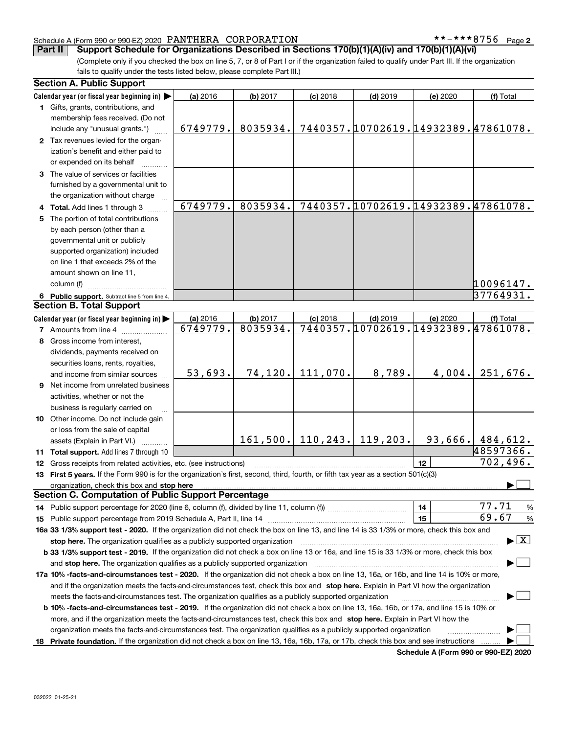#### Schedule A (Form 990 or 990-EZ) 2020 PANTHERA CORPORATION \* \* – \* \* \* 8 7 5 6 Page

**2**

(Complete only if you checked the box on line 5, 7, or 8 of Part I or if the organization failed to qualify under Part III. If the organization **Part II** Support Schedule for Organizations Described in Sections 170(b)(1)(A)(iv) and 170(b)(1)(A)(vi)

fails to qualify under the tests listed below, please complete Part III.)

| <b>Section A. Public Support</b>                                                                                                               |                      |                      |            |                                      |                                                 |                                          |
|------------------------------------------------------------------------------------------------------------------------------------------------|----------------------|----------------------|------------|--------------------------------------|-------------------------------------------------|------------------------------------------|
| Calendar year (or fiscal year beginning in)                                                                                                    | (a) 2016             | (b) 2017             | $(c)$ 2018 | $(d)$ 2019                           | (e) 2020                                        | (f) Total                                |
| 1 Gifts, grants, contributions, and                                                                                                            |                      |                      |            |                                      |                                                 |                                          |
| membership fees received. (Do not                                                                                                              |                      |                      |            |                                      |                                                 |                                          |
| include any "unusual grants.")                                                                                                                 | 6749779.             | 8035934.             |            |                                      | 7440357.10702619.14932389.47861078.             |                                          |
| 2 Tax revenues levied for the organ-                                                                                                           |                      |                      |            |                                      |                                                 |                                          |
| ization's benefit and either paid to                                                                                                           |                      |                      |            |                                      |                                                 |                                          |
| or expended on its behalf                                                                                                                      |                      |                      |            |                                      |                                                 |                                          |
| 3 The value of services or facilities                                                                                                          |                      |                      |            |                                      |                                                 |                                          |
| furnished by a governmental unit to                                                                                                            |                      |                      |            |                                      |                                                 |                                          |
| the organization without charge                                                                                                                |                      |                      |            |                                      |                                                 |                                          |
| 4 Total. Add lines 1 through 3                                                                                                                 | 6749779.             | 8035934.             |            |                                      | 7440357.10702619.14932389.47861078.             |                                          |
| 5 The portion of total contributions                                                                                                           |                      |                      |            |                                      |                                                 |                                          |
| by each person (other than a                                                                                                                   |                      |                      |            |                                      |                                                 |                                          |
| governmental unit or publicly                                                                                                                  |                      |                      |            |                                      |                                                 |                                          |
| supported organization) included                                                                                                               |                      |                      |            |                                      |                                                 |                                          |
| on line 1 that exceeds 2% of the                                                                                                               |                      |                      |            |                                      |                                                 |                                          |
| amount shown on line 11,                                                                                                                       |                      |                      |            |                                      |                                                 |                                          |
| column (f)                                                                                                                                     |                      |                      |            |                                      |                                                 | 10096147.                                |
|                                                                                                                                                |                      |                      |            |                                      |                                                 | 37764931.                                |
| 6 Public support. Subtract line 5 from line 4.<br><b>Section B. Total Support</b>                                                              |                      |                      |            |                                      |                                                 |                                          |
|                                                                                                                                                |                      |                      |            |                                      |                                                 |                                          |
| Calendar year (or fiscal year beginning in)                                                                                                    | (a) 2016<br>6749779. | (b) 2017<br>8035934. | $(c)$ 2018 | $(d)$ 2019                           | (e) 2020<br>7440357.10702619.14932389.47861078. | (f) Total                                |
| <b>7</b> Amounts from line 4                                                                                                                   |                      |                      |            |                                      |                                                 |                                          |
| 8 Gross income from interest,                                                                                                                  |                      |                      |            |                                      |                                                 |                                          |
| dividends, payments received on                                                                                                                |                      |                      |            |                                      |                                                 |                                          |
| securities loans, rents, royalties,                                                                                                            |                      |                      |            |                                      |                                                 |                                          |
| and income from similar sources                                                                                                                | 53,693.              | 74, 120.             | 111,070.   | 8,789.                               | 4,004.                                          | 251,676.                                 |
| 9 Net income from unrelated business                                                                                                           |                      |                      |            |                                      |                                                 |                                          |
| activities, whether or not the                                                                                                                 |                      |                      |            |                                      |                                                 |                                          |
| business is regularly carried on                                                                                                               |                      |                      |            |                                      |                                                 |                                          |
| 10 Other income. Do not include gain                                                                                                           |                      |                      |            |                                      |                                                 |                                          |
| or loss from the sale of capital                                                                                                               |                      |                      |            |                                      |                                                 |                                          |
| assets (Explain in Part VI.)                                                                                                                   |                      |                      |            | $161, 500$ .   110, 243.   119, 203. |                                                 | 93,666.   484,612.                       |
| 11 Total support. Add lines 7 through 10                                                                                                       |                      |                      |            |                                      |                                                 | 48597366.                                |
| 12 Gross receipts from related activities, etc. (see instructions)                                                                             |                      |                      |            |                                      | 12                                              | 702,496.                                 |
| 13 First 5 years. If the Form 990 is for the organization's first, second, third, fourth, or fifth tax year as a section 501(c)(3)             |                      |                      |            |                                      |                                                 |                                          |
| organization, check this box and stop here                                                                                                     |                      |                      |            |                                      |                                                 |                                          |
| <b>Section C. Computation of Public Support Percentage</b>                                                                                     |                      |                      |            |                                      |                                                 |                                          |
|                                                                                                                                                |                      |                      |            |                                      | 14                                              | 77.71<br>%                               |
|                                                                                                                                                |                      |                      |            |                                      | 15                                              | 69.67<br>$\%$                            |
| 16a 33 1/3% support test - 2020. If the organization did not check the box on line 13, and line 14 is 33 1/3% or more, check this box and      |                      |                      |            |                                      |                                                 |                                          |
| stop here. The organization qualifies as a publicly supported organization                                                                     |                      |                      |            |                                      |                                                 | $\blacktriangleright$ $\boxed{\text{X}}$ |
| b 33 1/3% support test - 2019. If the organization did not check a box on line 13 or 16a, and line 15 is 33 1/3% or more, check this box       |                      |                      |            |                                      |                                                 |                                          |
| and stop here. The organization qualifies as a publicly supported organization                                                                 |                      |                      |            |                                      |                                                 |                                          |
| 17a 10% -facts-and-circumstances test - 2020. If the organization did not check a box on line 13, 16a, or 16b, and line 14 is 10% or more,     |                      |                      |            |                                      |                                                 |                                          |
| and if the organization meets the facts-and-circumstances test, check this box and stop here. Explain in Part VI how the organization          |                      |                      |            |                                      |                                                 |                                          |
| meets the facts-and-circumstances test. The organization qualifies as a publicly supported organization                                        |                      |                      |            |                                      |                                                 |                                          |
| <b>b 10% -facts-and-circumstances test - 2019.</b> If the organization did not check a box on line 13, 16a, 16b, or 17a, and line 15 is 10% or |                      |                      |            |                                      |                                                 |                                          |
|                                                                                                                                                |                      |                      |            |                                      |                                                 |                                          |
| more, and if the organization meets the facts-and-circumstances test, check this box and stop here. Explain in Part VI how the                 |                      |                      |            |                                      |                                                 |                                          |
| organization meets the facts-and-circumstances test. The organization qualifies as a publicly supported organization                           |                      |                      |            |                                      |                                                 |                                          |
| 18 Private foundation. If the organization did not check a box on line 13, 16a, 16b, 17a, or 17b, check this box and see instructions          |                      |                      |            |                                      |                                                 |                                          |

**Schedule A (Form 990 or 990-EZ) 2020**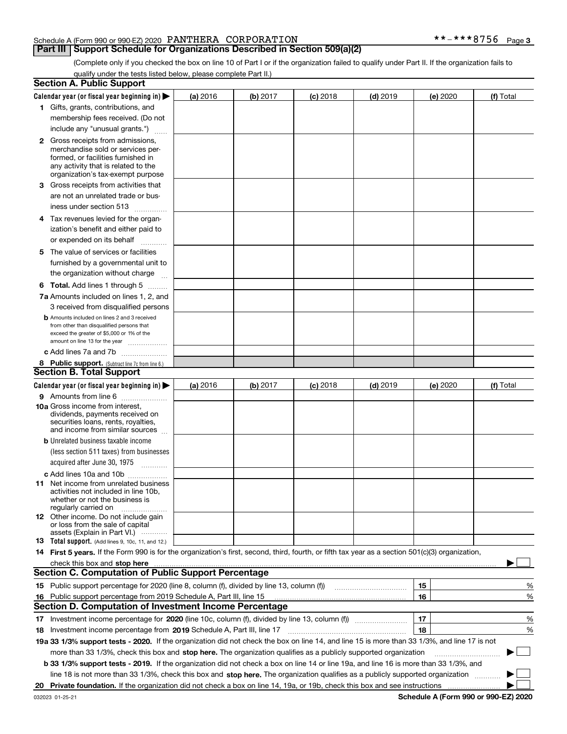#### Schedule A (Form 990 or 990-EZ) 2020 PANTHERA CORPORATION \* \* – \* \* \* 8 7 5 6 Page

#### **Part III** | Support Schedule for Organizations Described in Section 509(a)(2)

**3**

(Complete only if you checked the box on line 10 of Part I or if the organization failed to qualify under Part II. If the organization fails to qualify under the tests listed below, please complete Part II.)

|     | <b>Section A. Public Support</b>                                                                                                                                                                                               |          |          |            |            |          |             |
|-----|--------------------------------------------------------------------------------------------------------------------------------------------------------------------------------------------------------------------------------|----------|----------|------------|------------|----------|-------------|
|     | Calendar year (or fiscal year beginning in) $\blacktriangleright$                                                                                                                                                              | (a) 2016 | (b) 2017 | $(c)$ 2018 | $(d)$ 2019 | (e) 2020 | (f) Total   |
|     | 1 Gifts, grants, contributions, and                                                                                                                                                                                            |          |          |            |            |          |             |
|     | membership fees received. (Do not                                                                                                                                                                                              |          |          |            |            |          |             |
|     | include any "unusual grants.")                                                                                                                                                                                                 |          |          |            |            |          |             |
|     | <b>2</b> Gross receipts from admissions,                                                                                                                                                                                       |          |          |            |            |          |             |
|     | merchandise sold or services per-                                                                                                                                                                                              |          |          |            |            |          |             |
|     | formed, or facilities furnished in                                                                                                                                                                                             |          |          |            |            |          |             |
|     | any activity that is related to the<br>organization's tax-exempt purpose                                                                                                                                                       |          |          |            |            |          |             |
|     | 3 Gross receipts from activities that                                                                                                                                                                                          |          |          |            |            |          |             |
|     | are not an unrelated trade or bus-                                                                                                                                                                                             |          |          |            |            |          |             |
|     | iness under section 513                                                                                                                                                                                                        |          |          |            |            |          |             |
|     |                                                                                                                                                                                                                                |          |          |            |            |          |             |
|     | 4 Tax revenues levied for the organ-                                                                                                                                                                                           |          |          |            |            |          |             |
|     | ization's benefit and either paid to                                                                                                                                                                                           |          |          |            |            |          |             |
|     | or expended on its behalf<br>.                                                                                                                                                                                                 |          |          |            |            |          |             |
|     | 5 The value of services or facilities                                                                                                                                                                                          |          |          |            |            |          |             |
|     | furnished by a governmental unit to                                                                                                                                                                                            |          |          |            |            |          |             |
|     | the organization without charge                                                                                                                                                                                                |          |          |            |            |          |             |
|     | <b>6 Total.</b> Add lines 1 through 5                                                                                                                                                                                          |          |          |            |            |          |             |
|     | 7a Amounts included on lines 1, 2, and                                                                                                                                                                                         |          |          |            |            |          |             |
|     | 3 received from disqualified persons                                                                                                                                                                                           |          |          |            |            |          |             |
|     | <b>b</b> Amounts included on lines 2 and 3 received                                                                                                                                                                            |          |          |            |            |          |             |
|     | from other than disqualified persons that<br>exceed the greater of \$5,000 or 1% of the                                                                                                                                        |          |          |            |            |          |             |
|     | amount on line 13 for the year                                                                                                                                                                                                 |          |          |            |            |          |             |
|     | c Add lines 7a and 7b                                                                                                                                                                                                          |          |          |            |            |          |             |
|     | 8 Public support. (Subtract line 7c from line 6.)                                                                                                                                                                              |          |          |            |            |          |             |
|     | <b>Section B. Total Support</b>                                                                                                                                                                                                |          |          |            |            |          |             |
|     | Calendar year (or fiscal year beginning in) $\blacktriangleright$                                                                                                                                                              | (a) 2016 | (b) 2017 | $(c)$ 2018 | $(d)$ 2019 | (e) 2020 | (f) Total   |
|     | 9 Amounts from line 6                                                                                                                                                                                                          |          |          |            |            |          |             |
|     | <b>10a</b> Gross income from interest,                                                                                                                                                                                         |          |          |            |            |          |             |
|     | dividends, payments received on                                                                                                                                                                                                |          |          |            |            |          |             |
|     | securities loans, rents, royalties,<br>and income from similar sources                                                                                                                                                         |          |          |            |            |          |             |
|     | <b>b</b> Unrelated business taxable income                                                                                                                                                                                     |          |          |            |            |          |             |
|     | (less section 511 taxes) from businesses                                                                                                                                                                                       |          |          |            |            |          |             |
|     | acquired after June 30, 1975                                                                                                                                                                                                   |          |          |            |            |          |             |
|     | c Add lines 10a and 10b                                                                                                                                                                                                        |          |          |            |            |          |             |
|     | 11 Net income from unrelated business                                                                                                                                                                                          |          |          |            |            |          |             |
|     | activities not included in line 10b,                                                                                                                                                                                           |          |          |            |            |          |             |
|     | whether or not the business is                                                                                                                                                                                                 |          |          |            |            |          |             |
|     | regularly carried on<br><b>12</b> Other income. Do not include gain                                                                                                                                                            |          |          |            |            |          |             |
|     | or loss from the sale of capital                                                                                                                                                                                               |          |          |            |            |          |             |
|     | assets (Explain in Part VI.)                                                                                                                                                                                                   |          |          |            |            |          |             |
|     | 13 Total support. (Add lines 9, 10c, 11, and 12.)                                                                                                                                                                              |          |          |            |            |          |             |
|     | 14 First 5 years. If the Form 990 is for the organization's first, second, third, fourth, or fifth tax year as a section 501(c)(3) organization,                                                                               |          |          |            |            |          |             |
|     | check this box and stop here measurements and contain the state of the state of the state of the state of the state of the state of the state of the state of the state of the state of the state of the state of the state of |          |          |            |            |          |             |
|     | <b>Section C. Computation of Public Support Percentage</b>                                                                                                                                                                     |          |          |            |            |          |             |
|     |                                                                                                                                                                                                                                |          |          |            |            | 15       | %           |
| 16. | Public support percentage from 2019 Schedule A, Part III, line 15<br><b>Section D. Computation of Investment Income Percentage</b>                                                                                             |          |          |            |            | 16       | %           |
|     |                                                                                                                                                                                                                                |          |          |            |            |          |             |
|     | 17 Investment income percentage for 2020 (line 10c, column (f), divided by line 13, column (f))                                                                                                                                |          |          |            |            | 17       | %           |
|     | 18 Investment income percentage from 2019 Schedule A, Part III, line 17                                                                                                                                                        |          |          |            |            | 18       | %           |
|     | 19a 33 1/3% support tests - 2020. If the organization did not check the box on line 14, and line 15 is more than 33 1/3%, and line 17 is not                                                                                   |          |          |            |            |          |             |
|     | more than 33 1/3%, check this box and stop here. The organization qualifies as a publicly supported organization                                                                                                               |          |          |            |            |          | $\sim$<br>▶ |
|     | b 33 1/3% support tests - 2019. If the organization did not check a box on line 14 or line 19a, and line 16 is more than 33 1/3%, and                                                                                          |          |          |            |            |          |             |
|     | line 18 is not more than 33 1/3%, check this box and stop here. The organization qualifies as a publicly supported organization                                                                                                |          |          |            |            |          |             |
| 20  |                                                                                                                                                                                                                                |          |          |            |            |          |             |

**Schedule A (Form 990 or 990-EZ) 2020**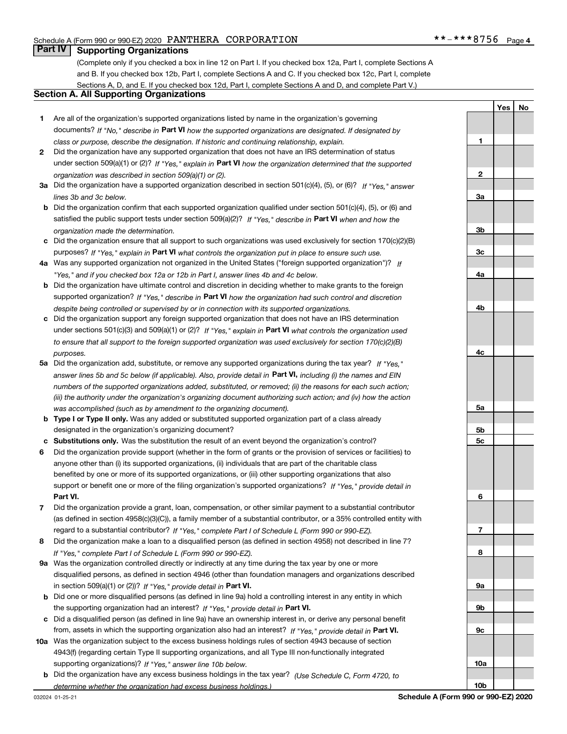**1**

**YesNo**

### **Part IV Supporting Organizations**

(Complete only if you checked a box in line 12 on Part I. If you checked box 12a, Part I, complete Sections A and B. If you checked box 12b, Part I, complete Sections A and C. If you checked box 12c, Part I, complete Sections A, D, and E. If you checked box 12d, Part I, complete Sections A and D, and complete Part V.)

#### **Section A. All Supporting Organizations**

- **1** Are all of the organization's supported organizations listed by name in the organization's governing documents? If "No," describe in **Part VI** how the supported organizations are designated. If designated by *class or purpose, describe the designation. If historic and continuing relationship, explain.*
- **2** Did the organization have any supported organization that does not have an IRS determination of status under section 509(a)(1) or (2)? If "Yes," explain in Part VI how the organization determined that the supported *organization was described in section 509(a)(1) or (2).*
- **3a** Did the organization have a supported organization described in section 501(c)(4), (5), or (6)? If "Yes," answer *lines 3b and 3c below.*
- **b** Did the organization confirm that each supported organization qualified under section 501(c)(4), (5), or (6) and satisfied the public support tests under section 509(a)(2)? If "Yes," describe in **Part VI** when and how the *organization made the determination.*
- **c**Did the organization ensure that all support to such organizations was used exclusively for section 170(c)(2)(B) purposes? If "Yes," explain in **Part VI** what controls the organization put in place to ensure such use.
- **4a***If* Was any supported organization not organized in the United States ("foreign supported organization")? *"Yes," and if you checked box 12a or 12b in Part I, answer lines 4b and 4c below.*
- **b** Did the organization have ultimate control and discretion in deciding whether to make grants to the foreign supported organization? If "Yes," describe in **Part VI** how the organization had such control and discretion *despite being controlled or supervised by or in connection with its supported organizations.*
- **c** Did the organization support any foreign supported organization that does not have an IRS determination under sections 501(c)(3) and 509(a)(1) or (2)? If "Yes," explain in **Part VI** what controls the organization used *to ensure that all support to the foreign supported organization was used exclusively for section 170(c)(2)(B) purposes.*
- **5a***If "Yes,"* Did the organization add, substitute, or remove any supported organizations during the tax year? answer lines 5b and 5c below (if applicable). Also, provide detail in **Part VI,** including (i) the names and EIN *numbers of the supported organizations added, substituted, or removed; (ii) the reasons for each such action; (iii) the authority under the organization's organizing document authorizing such action; and (iv) how the action was accomplished (such as by amendment to the organizing document).*
- **b** Type I or Type II only. Was any added or substituted supported organization part of a class already designated in the organization's organizing document?
- **cSubstitutions only.**  Was the substitution the result of an event beyond the organization's control?
- **6** Did the organization provide support (whether in the form of grants or the provision of services or facilities) to **Part VI.** *If "Yes," provide detail in* support or benefit one or more of the filing organization's supported organizations? anyone other than (i) its supported organizations, (ii) individuals that are part of the charitable class benefited by one or more of its supported organizations, or (iii) other supporting organizations that also
- **7**Did the organization provide a grant, loan, compensation, or other similar payment to a substantial contributor *If "Yes," complete Part I of Schedule L (Form 990 or 990-EZ).* regard to a substantial contributor? (as defined in section 4958(c)(3)(C)), a family member of a substantial contributor, or a 35% controlled entity with
- **8** Did the organization make a loan to a disqualified person (as defined in section 4958) not described in line 7? *If "Yes," complete Part I of Schedule L (Form 990 or 990-EZ).*
- **9a** Was the organization controlled directly or indirectly at any time during the tax year by one or more in section 509(a)(1) or (2))? If "Yes," *provide detail in* <code>Part VI.</code> disqualified persons, as defined in section 4946 (other than foundation managers and organizations described
- **b** Did one or more disqualified persons (as defined in line 9a) hold a controlling interest in any entity in which the supporting organization had an interest? If "Yes," provide detail in P**art VI**.
- **c**Did a disqualified person (as defined in line 9a) have an ownership interest in, or derive any personal benefit from, assets in which the supporting organization also had an interest? If "Yes," provide detail in P**art VI.**
- **10a** Was the organization subject to the excess business holdings rules of section 4943 because of section supporting organizations)? If "Yes," answer line 10b below. 4943(f) (regarding certain Type II supporting organizations, and all Type III non-functionally integrated
- **b** Did the organization have any excess business holdings in the tax year? (Use Schedule C, Form 4720, to *determine whether the organization had excess business holdings.)*

**23a3b3c4a4b4c5a5b5c6789a 9b9c**

**10a**

**10b**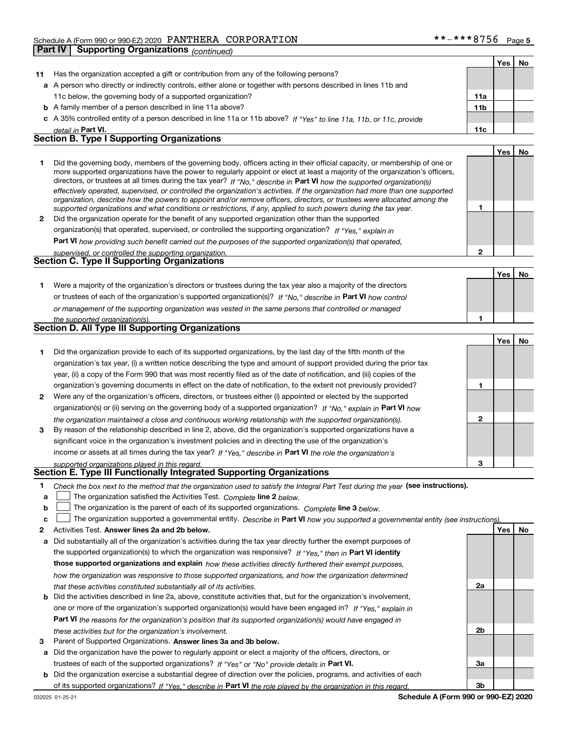|              | <b>Supporting Organizations (continued)</b><br>Part IV                                                                                                                                                                                                                                                                                                                                                                                                                                                                                                                                                                                               |                 |            |    |
|--------------|------------------------------------------------------------------------------------------------------------------------------------------------------------------------------------------------------------------------------------------------------------------------------------------------------------------------------------------------------------------------------------------------------------------------------------------------------------------------------------------------------------------------------------------------------------------------------------------------------------------------------------------------------|-----------------|------------|----|
|              |                                                                                                                                                                                                                                                                                                                                                                                                                                                                                                                                                                                                                                                      |                 | Yes        | No |
| 11           | Has the organization accepted a gift or contribution from any of the following persons?                                                                                                                                                                                                                                                                                                                                                                                                                                                                                                                                                              |                 |            |    |
|              | a A person who directly or indirectly controls, either alone or together with persons described in lines 11b and                                                                                                                                                                                                                                                                                                                                                                                                                                                                                                                                     |                 |            |    |
|              | 11c below, the governing body of a supported organization?                                                                                                                                                                                                                                                                                                                                                                                                                                                                                                                                                                                           | 11a             |            |    |
|              | <b>b</b> A family member of a person described in line 11a above?                                                                                                                                                                                                                                                                                                                                                                                                                                                                                                                                                                                    | 11 <sub>b</sub> |            |    |
|              | c A 35% controlled entity of a person described in line 11a or 11b above? If "Yes" to line 11a, 11b, or 11c, provide                                                                                                                                                                                                                                                                                                                                                                                                                                                                                                                                 |                 |            |    |
|              | detail in Part VI.                                                                                                                                                                                                                                                                                                                                                                                                                                                                                                                                                                                                                                   | 11c             |            |    |
|              | <b>Section B. Type I Supporting Organizations</b>                                                                                                                                                                                                                                                                                                                                                                                                                                                                                                                                                                                                    |                 |            |    |
|              |                                                                                                                                                                                                                                                                                                                                                                                                                                                                                                                                                                                                                                                      |                 | <b>Yes</b> | No |
| 1            | Did the governing body, members of the governing body, officers acting in their official capacity, or membership of one or<br>more supported organizations have the power to regularly appoint or elect at least a majority of the organization's officers,<br>directors, or trustees at all times during the tax year? If "No," describe in Part VI how the supported organization(s)<br>effectively operated, supervised, or controlled the organization's activities. If the organization had more than one supported<br>organization, describe how the powers to appoint and/or remove officers, directors, or trustees were allocated among the |                 |            |    |
| $\mathbf{2}$ | supported organizations and what conditions or restrictions, if any, applied to such powers during the tax year.<br>Did the organization operate for the benefit of any supported organization other than the supported                                                                                                                                                                                                                                                                                                                                                                                                                              | 1               |            |    |
|              | organization(s) that operated, supervised, or controlled the supporting organization? If "Yes," explain in                                                                                                                                                                                                                                                                                                                                                                                                                                                                                                                                           |                 |            |    |
|              | Part VI how providing such benefit carried out the purposes of the supported organization(s) that operated,                                                                                                                                                                                                                                                                                                                                                                                                                                                                                                                                          |                 |            |    |
|              | supervised, or controlled the supporting organization.                                                                                                                                                                                                                                                                                                                                                                                                                                                                                                                                                                                               | $\mathbf{2}$    |            |    |
|              | Section C. Type II Supporting Organizations                                                                                                                                                                                                                                                                                                                                                                                                                                                                                                                                                                                                          |                 |            |    |
|              |                                                                                                                                                                                                                                                                                                                                                                                                                                                                                                                                                                                                                                                      |                 | Yes        | No |
| 1            | Were a majority of the organization's directors or trustees during the tax year also a majority of the directors                                                                                                                                                                                                                                                                                                                                                                                                                                                                                                                                     |                 |            |    |
|              | or trustees of each of the organization's supported organization(s)? If "No," describe in Part VI how control                                                                                                                                                                                                                                                                                                                                                                                                                                                                                                                                        |                 |            |    |
|              | or management of the supporting organization was vested in the same persons that controlled or managed                                                                                                                                                                                                                                                                                                                                                                                                                                                                                                                                               |                 |            |    |
|              | the supported organization(s).                                                                                                                                                                                                                                                                                                                                                                                                                                                                                                                                                                                                                       | 1               |            |    |
|              | <b>Section D. All Type III Supporting Organizations</b>                                                                                                                                                                                                                                                                                                                                                                                                                                                                                                                                                                                              |                 |            |    |
|              |                                                                                                                                                                                                                                                                                                                                                                                                                                                                                                                                                                                                                                                      |                 | Yes        | No |
| 1            | Did the organization provide to each of its supported organizations, by the last day of the fifth month of the                                                                                                                                                                                                                                                                                                                                                                                                                                                                                                                                       |                 |            |    |
|              | organization's tax year, (i) a written notice describing the type and amount of support provided during the prior tax                                                                                                                                                                                                                                                                                                                                                                                                                                                                                                                                |                 |            |    |
|              | year, (ii) a copy of the Form 990 that was most recently filed as of the date of notification, and (iii) copies of the                                                                                                                                                                                                                                                                                                                                                                                                                                                                                                                               |                 |            |    |
|              | organization's governing documents in effect on the date of notification, to the extent not previously provided?                                                                                                                                                                                                                                                                                                                                                                                                                                                                                                                                     | 1               |            |    |
| $\mathbf{2}$ | Were any of the organization's officers, directors, or trustees either (i) appointed or elected by the supported                                                                                                                                                                                                                                                                                                                                                                                                                                                                                                                                     |                 |            |    |
|              | organization(s) or (ii) serving on the governing body of a supported organization? If "No," explain in Part VI how                                                                                                                                                                                                                                                                                                                                                                                                                                                                                                                                   |                 |            |    |
|              | the organization maintained a close and continuous working relationship with the supported organization(s).                                                                                                                                                                                                                                                                                                                                                                                                                                                                                                                                          | 2               |            |    |
| 3            | By reason of the relationship described in line 2, above, did the organization's supported organizations have a                                                                                                                                                                                                                                                                                                                                                                                                                                                                                                                                      |                 |            |    |
|              | significant voice in the organization's investment policies and in directing the use of the organization's                                                                                                                                                                                                                                                                                                                                                                                                                                                                                                                                           |                 |            |    |
|              | income or assets at all times during the tax year? If "Yes," describe in Part VI the role the organization's                                                                                                                                                                                                                                                                                                                                                                                                                                                                                                                                         |                 |            |    |

*supported organizations played in this regard.*

#### **Section E. Type III Functionally Integrated Supporting Organizations**

|  | Check the box next to the method that the organization used to satisfy the Integral Part Test during the year (see instructions). |  |  |  |
|--|-----------------------------------------------------------------------------------------------------------------------------------|--|--|--|
|--|-----------------------------------------------------------------------------------------------------------------------------------|--|--|--|

- **a**The organization satisfied the Activities Test. *Complete* line 2 below.  $\mathcal{L}^{\text{max}}$
- **b**The organization is the parent of each of its supported organizations. *Complete* line 3 *below.*  $\mathcal{L}^{\text{max}}$

|  |  |  | c   The organization supported a governmental entity. Describe in Part VI how you supported a governmental entity (see instructions). |  |
|--|--|--|---------------------------------------------------------------------------------------------------------------------------------------|--|
|--|--|--|---------------------------------------------------------------------------------------------------------------------------------------|--|

- **2Answer lines 2a and 2b below. Yes No** Activities Test.
- **a** Did substantially all of the organization's activities during the tax year directly further the exempt purposes of the supported organization(s) to which the organization was responsive? If "Yes," then in **Part VI identify those supported organizations and explain**  *how these activities directly furthered their exempt purposes, how the organization was responsive to those supported organizations, and how the organization determined that these activities constituted substantially all of its activities.*
- **b** Did the activities described in line 2a, above, constitute activities that, but for the organization's involvement, **Part VI**  *the reasons for the organization's position that its supported organization(s) would have engaged in* one or more of the organization's supported organization(s) would have been engaged in? If "Yes," e*xplain in these activities but for the organization's involvement.*
- **3** Parent of Supported Organizations. Answer lines 3a and 3b below.

**a** Did the organization have the power to regularly appoint or elect a majority of the officers, directors, or trustees of each of the supported organizations? If "Yes" or "No" provide details in **Part VI.** 

**b** Did the organization exercise a substantial degree of direction over the policies, programs, and activities of each of its supported organizations? If "Yes," describe in Part VI the role played by the organization in this regard.

**3**

**2a**

**2b**

**3a**

**3b**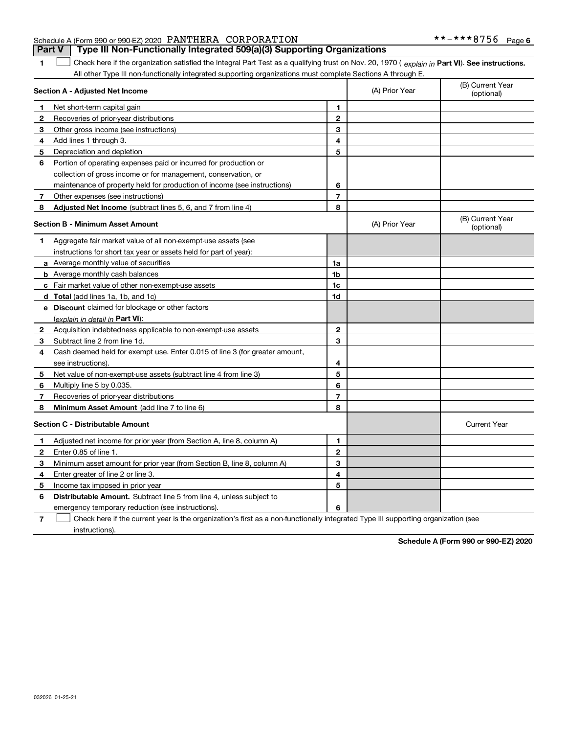|                                                           | Part V   Type III Non-Functionally Integrated 509(a)(3) Supporting Organizations |  |
|-----------------------------------------------------------|----------------------------------------------------------------------------------|--|
| Schedule A (Form 990 or 990-EZ) 2020 PANTHERA CORPORATION |                                                                                  |  |

**1**

**Part VI** Check here if the organization satisfied the Integral Part Test as a qualifying trust on Nov. 20, 1970 ( explain in Part **VI**). See instructions. All other Type III non-functionally integrated supporting organizations must complete Sections A through E. ×.

|              | Section A - Adjusted Net Income                                             | (A) Prior Year | (B) Current Year<br>(optional) |                                |
|--------------|-----------------------------------------------------------------------------|----------------|--------------------------------|--------------------------------|
| 1            | Net short-term capital gain                                                 | 1              |                                |                                |
| 2            | Recoveries of prior-year distributions                                      | $\overline{2}$ |                                |                                |
| 3            | Other gross income (see instructions)                                       | 3              |                                |                                |
| 4            | Add lines 1 through 3.                                                      | 4              |                                |                                |
| 5            | Depreciation and depletion                                                  | 5              |                                |                                |
| 6            | Portion of operating expenses paid or incurred for production or            |                |                                |                                |
|              | collection of gross income or for management, conservation, or              |                |                                |                                |
|              | maintenance of property held for production of income (see instructions)    | 6              |                                |                                |
| 7            | Other expenses (see instructions)                                           | $\overline{7}$ |                                |                                |
| 8            | <b>Adjusted Net Income</b> (subtract lines 5, 6, and 7 from line 4)         | 8              |                                |                                |
|              | <b>Section B - Minimum Asset Amount</b>                                     |                | (A) Prior Year                 | (B) Current Year<br>(optional) |
| 1            | Aggregate fair market value of all non-exempt-use assets (see               |                |                                |                                |
|              | instructions for short tax year or assets held for part of year):           |                |                                |                                |
|              | a Average monthly value of securities                                       | 1a             |                                |                                |
|              | <b>b</b> Average monthly cash balances                                      | 1b             |                                |                                |
|              | c Fair market value of other non-exempt-use assets                          | 1c             |                                |                                |
|              | d Total (add lines 1a, 1b, and 1c)                                          | 1d             |                                |                                |
|              | e Discount claimed for blockage or other factors                            |                |                                |                                |
|              | (explain in detail in Part VI):                                             |                |                                |                                |
| $\mathbf{2}$ | Acquisition indebtedness applicable to non-exempt-use assets                | $\mathbf{2}$   |                                |                                |
| 3            | Subtract line 2 from line 1d.                                               | 3              |                                |                                |
| 4            | Cash deemed held for exempt use. Enter 0.015 of line 3 (for greater amount, |                |                                |                                |
|              | see instructions)                                                           | 4              |                                |                                |
| 5            | Net value of non-exempt-use assets (subtract line 4 from line 3)            | 5              |                                |                                |
| 6            | Multiply line 5 by 0.035.                                                   | 6              |                                |                                |
| 7            | Recoveries of prior-year distributions                                      | $\overline{7}$ |                                |                                |
| 8            | Minimum Asset Amount (add line 7 to line 6)                                 | 8              |                                |                                |
|              | <b>Section C - Distributable Amount</b>                                     |                |                                | <b>Current Year</b>            |
| 1            | Adjusted net income for prior year (from Section A, line 8, column A)       | 1              |                                |                                |
| $\mathbf{2}$ | Enter 0.85 of line 1.                                                       | $\overline{2}$ |                                |                                |
| 3            | Minimum asset amount for prior year (from Section B, line 8, column A)      | 3              |                                |                                |
| 4            | Enter greater of line 2 or line 3.                                          | 4              |                                |                                |
| 5            | Income tax imposed in prior year                                            | 5              |                                |                                |
| 6            | <b>Distributable Amount.</b> Subtract line 5 from line 4, unless subject to |                |                                |                                |
|              | emergency temporary reduction (see instructions).                           | 6              |                                |                                |
|              |                                                                             |                |                                |                                |

**7**Check here if the current year is the organization's first as a non-functionally integrated Type III supporting organization (see instructions).

**Schedule A (Form 990 or 990-EZ) 2020**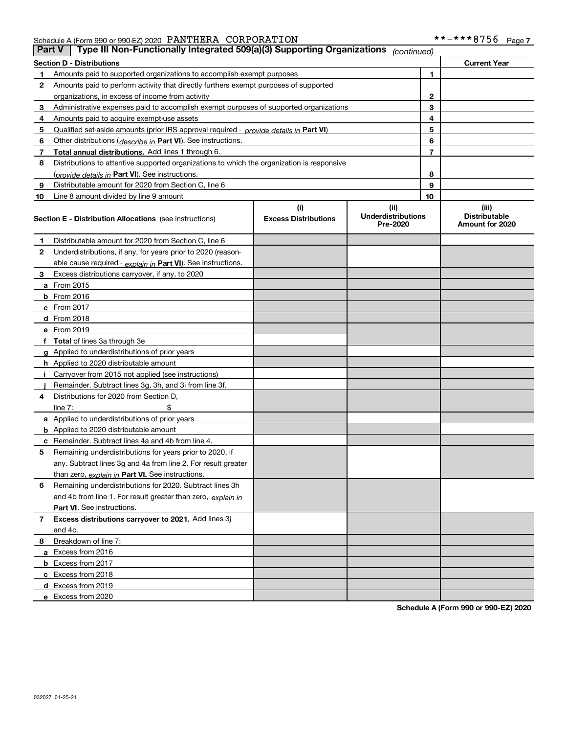Schedule A (Form 990 or 990-EZ) 2020 Page PANTHERA CORPORATION \*\*-\*\*\*8756

| <b>Part V</b> | Type III Non-Functionally Integrated 509(a)(3) Supporting Organizations                    |                             | (continued)                           |    |                                         |  |  |  |
|---------------|--------------------------------------------------------------------------------------------|-----------------------------|---------------------------------------|----|-----------------------------------------|--|--|--|
|               | <b>Section D - Distributions</b><br><b>Current Year</b>                                    |                             |                                       |    |                                         |  |  |  |
| 1             | Amounts paid to supported organizations to accomplish exempt purposes                      |                             | 1                                     |    |                                         |  |  |  |
| 2             | Amounts paid to perform activity that directly furthers exempt purposes of supported       |                             |                                       |    |                                         |  |  |  |
|               | organizations, in excess of income from activity                                           |                             | $\mathbf{2}$                          |    |                                         |  |  |  |
| 3             | Administrative expenses paid to accomplish exempt purposes of supported organizations      |                             | 3                                     |    |                                         |  |  |  |
| 4             | Amounts paid to acquire exempt-use assets                                                  |                             |                                       | 4  |                                         |  |  |  |
| 5             | Qualified set-aside amounts (prior IRS approval required - provide details in Part VI)     |                             |                                       | 5  |                                         |  |  |  |
| 6             | Other distributions ( <i>describe in</i> Part VI). See instructions.                       |                             |                                       | 6  |                                         |  |  |  |
| 7             | Total annual distributions. Add lines 1 through 6.                                         |                             |                                       | 7  |                                         |  |  |  |
| 8             | Distributions to attentive supported organizations to which the organization is responsive |                             |                                       |    |                                         |  |  |  |
|               | (provide details in Part VI). See instructions.                                            |                             |                                       | 8  |                                         |  |  |  |
| 9             | Distributable amount for 2020 from Section C, line 6                                       |                             |                                       | 9  |                                         |  |  |  |
| 10            | Line 8 amount divided by line 9 amount                                                     |                             |                                       | 10 |                                         |  |  |  |
|               |                                                                                            | (i)                         | (ii)                                  |    | (iii)                                   |  |  |  |
|               | Section E - Distribution Allocations (see instructions)                                    | <b>Excess Distributions</b> | <b>Underdistributions</b><br>Pre-2020 |    | <b>Distributable</b><br>Amount for 2020 |  |  |  |
| 1             | Distributable amount for 2020 from Section C, line 6                                       |                             |                                       |    |                                         |  |  |  |
| 2             | Underdistributions, if any, for years prior to 2020 (reason-                               |                             |                                       |    |                                         |  |  |  |
|               | able cause required - explain in Part VI). See instructions.                               |                             |                                       |    |                                         |  |  |  |
| 3             | Excess distributions carryover, if any, to 2020                                            |                             |                                       |    |                                         |  |  |  |
|               | <b>a</b> From 2015                                                                         |                             |                                       |    |                                         |  |  |  |
|               | <b>b</b> From 2016                                                                         |                             |                                       |    |                                         |  |  |  |
|               | c From 2017                                                                                |                             |                                       |    |                                         |  |  |  |
|               | <b>d</b> From 2018                                                                         |                             |                                       |    |                                         |  |  |  |
|               | e From 2019                                                                                |                             |                                       |    |                                         |  |  |  |
|               | f Total of lines 3a through 3e                                                             |                             |                                       |    |                                         |  |  |  |
|               | g Applied to underdistributions of prior years                                             |                             |                                       |    |                                         |  |  |  |
|               | <b>h</b> Applied to 2020 distributable amount                                              |                             |                                       |    |                                         |  |  |  |
|               | Carryover from 2015 not applied (see instructions)                                         |                             |                                       |    |                                         |  |  |  |
|               | Remainder. Subtract lines 3g, 3h, and 3i from line 3f.                                     |                             |                                       |    |                                         |  |  |  |
| 4             | Distributions for 2020 from Section D,                                                     |                             |                                       |    |                                         |  |  |  |
|               | line $7:$                                                                                  |                             |                                       |    |                                         |  |  |  |
|               | a Applied to underdistributions of prior years                                             |                             |                                       |    |                                         |  |  |  |
|               | <b>b</b> Applied to 2020 distributable amount                                              |                             |                                       |    |                                         |  |  |  |
|               | c Remainder. Subtract lines 4a and 4b from line 4.                                         |                             |                                       |    |                                         |  |  |  |
| 5             | Remaining underdistributions for years prior to 2020, if                                   |                             |                                       |    |                                         |  |  |  |
|               | any. Subtract lines 3g and 4a from line 2. For result greater                              |                             |                                       |    |                                         |  |  |  |
|               | than zero, explain in Part VI. See instructions.                                           |                             |                                       |    |                                         |  |  |  |
| 6             | Remaining underdistributions for 2020. Subtract lines 3h                                   |                             |                                       |    |                                         |  |  |  |
|               | and 4b from line 1. For result greater than zero, explain in                               |                             |                                       |    |                                         |  |  |  |
|               | Part VI. See instructions.                                                                 |                             |                                       |    |                                         |  |  |  |
| 7             | Excess distributions carryover to 2021. Add lines 3j                                       |                             |                                       |    |                                         |  |  |  |
|               | and 4c.                                                                                    |                             |                                       |    |                                         |  |  |  |
| 8             | Breakdown of line 7:                                                                       |                             |                                       |    |                                         |  |  |  |
|               | a Excess from 2016                                                                         |                             |                                       |    |                                         |  |  |  |
|               | <b>b</b> Excess from 2017                                                                  |                             |                                       |    |                                         |  |  |  |
|               | c Excess from 2018                                                                         |                             |                                       |    |                                         |  |  |  |
|               | d Excess from 2019                                                                         |                             |                                       |    |                                         |  |  |  |
|               | e Excess from 2020                                                                         |                             |                                       |    |                                         |  |  |  |

**Schedule A (Form 990 or 990-EZ) 2020**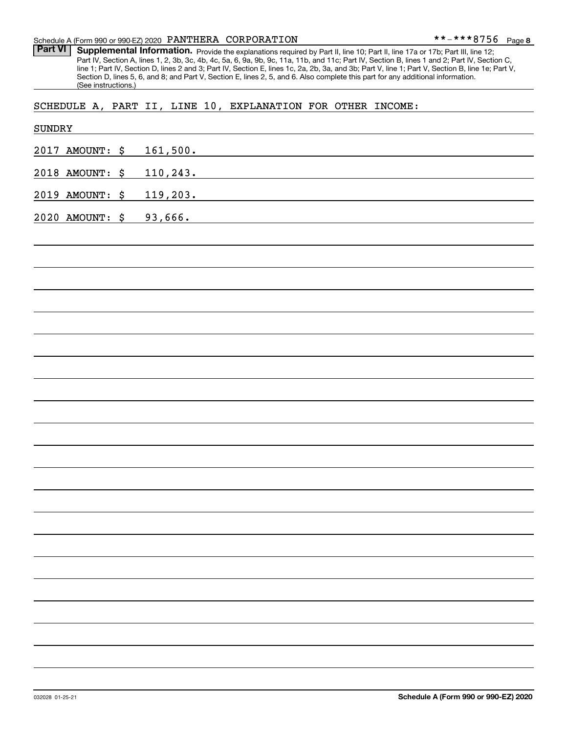Schedule A (Form 990 or 990-EZ) 2020 Page PANTHERA CORPORATION

Part VI | Supplemental Information. Provide the explanations required by Part II, line 10; Part II, line 17a or 17b; Part III, line 12; Part IV, Section A, lines 1, 2, 3b, 3c, 4b, 4c, 5a, 6, 9a, 9b, 9c, 11a, 11b, and 11c; Part IV, Section B, lines 1 and 2; Part IV, Section C, line 1; Part IV, Section D, lines 2 and 3; Part IV, Section E, lines 1c, 2a, 2b, 3a, and 3b; Part V, line 1; Part V, Section B, line 1e; Part V, Section D, lines 5, 6, and 8; and Part V, Section E, lines 2, 5, and 6. Also complete this part for any additional information. (See instructions.)

SCHEDULE A, PART II, LINE 10, EXPLANATION FOR OTHER INCOME:

| SUNDRY |                 |                                                                                                                                  |
|--------|-----------------|----------------------------------------------------------------------------------------------------------------------------------|
|        | 2017 AMOUNT: \$ | 161,500.                                                                                                                         |
|        | 2018 AMOUNT: \$ | 110,243.                                                                                                                         |
|        | 2019 AMOUNT: \$ | 119,203.<br><u> 1989 - Johann Stein, marwolaethau a bhann an t-Amhair an t-Amhair an t-Amhair an t-Amhair an t-Amhair an t-A</u> |
|        | 2020 AMOUNT: \$ | 93,666.                                                                                                                          |
|        |                 |                                                                                                                                  |
|        |                 |                                                                                                                                  |
|        |                 |                                                                                                                                  |
|        |                 |                                                                                                                                  |
|        |                 |                                                                                                                                  |
|        |                 |                                                                                                                                  |
|        |                 |                                                                                                                                  |
|        |                 |                                                                                                                                  |
|        |                 |                                                                                                                                  |
|        |                 |                                                                                                                                  |
|        |                 |                                                                                                                                  |
|        |                 |                                                                                                                                  |
|        |                 |                                                                                                                                  |
|        |                 |                                                                                                                                  |
|        |                 |                                                                                                                                  |
|        |                 |                                                                                                                                  |
|        |                 |                                                                                                                                  |
|        |                 |                                                                                                                                  |
|        |                 |                                                                                                                                  |
|        |                 |                                                                                                                                  |
|        |                 |                                                                                                                                  |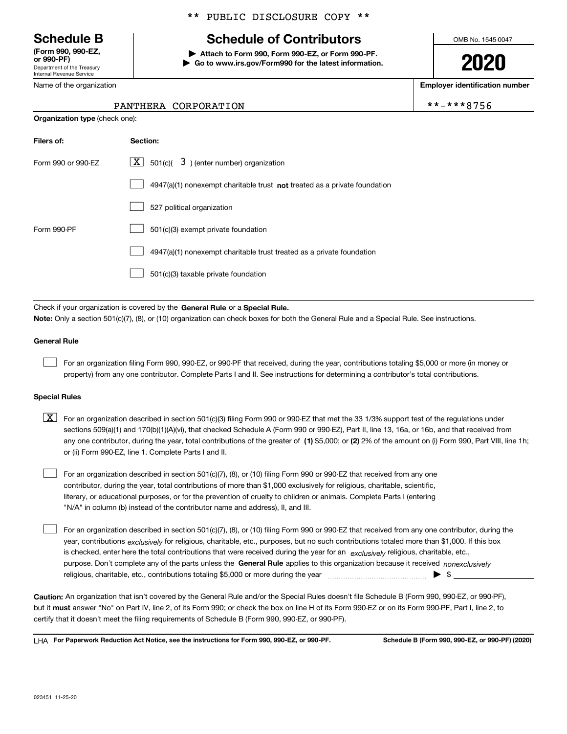Department of the Treasury Internal Revenue Service **(Form 990, 990-EZ, or 990-PF)**

Name of the organization

#### \*\* PUBLIC DISCLOSURE COPY \*\*

# **Schedule B Schedule of Contributors**

**| Attach to Form 990, Form 990-EZ, or Form 990-PF. | Go to www.irs.gov/Form990 for the latest information.** OMB No. 1545-0047

**2020**

**Employer identification number**

\*\*-\*\*\*8756

| PANTHERA CORPORATION |
|----------------------|
|                      |

| <b>Organization type (check one):</b> |                                                                             |  |  |  |  |
|---------------------------------------|-----------------------------------------------------------------------------|--|--|--|--|
| Filers of:                            | Section:                                                                    |  |  |  |  |
| Form 990 or 990-EZ                    | $\lfloor x \rfloor$ 501(c)( 3) (enter number) organization                  |  |  |  |  |
|                                       | $4947(a)(1)$ nonexempt charitable trust not treated as a private foundation |  |  |  |  |
|                                       | 527 political organization                                                  |  |  |  |  |
| Form 990-PF                           | 501(c)(3) exempt private foundation                                         |  |  |  |  |
|                                       | 4947(a)(1) nonexempt charitable trust treated as a private foundation       |  |  |  |  |
|                                       | 501(c)(3) taxable private foundation                                        |  |  |  |  |
|                                       |                                                                             |  |  |  |  |

Check if your organization is covered by the **General Rule** or a **Special Rule. Note:**  Only a section 501(c)(7), (8), or (10) organization can check boxes for both the General Rule and a Special Rule. See instructions.

#### **General Rule**

 $\mathcal{L}^{\text{max}}$ 

For an organization filing Form 990, 990-EZ, or 990-PF that received, during the year, contributions totaling \$5,000 or more (in money or property) from any one contributor. Complete Parts I and II. See instructions for determining a contributor's total contributions.

#### **Special Rules**

any one contributor, during the year, total contributions of the greater of  $\,$  (1) \$5,000; or **(2)** 2% of the amount on (i) Form 990, Part VIII, line 1h;  $\boxed{\textbf{X}}$  For an organization described in section 501(c)(3) filing Form 990 or 990-EZ that met the 33 1/3% support test of the regulations under sections 509(a)(1) and 170(b)(1)(A)(vi), that checked Schedule A (Form 990 or 990-EZ), Part II, line 13, 16a, or 16b, and that received from or (ii) Form 990-EZ, line 1. Complete Parts I and II.

For an organization described in section 501(c)(7), (8), or (10) filing Form 990 or 990-EZ that received from any one contributor, during the year, total contributions of more than \$1,000 exclusively for religious, charitable, scientific, literary, or educational purposes, or for the prevention of cruelty to children or animals. Complete Parts I (entering "N/A" in column (b) instead of the contributor name and address), II, and III.  $\mathcal{L}^{\text{max}}$ 

purpose. Don't complete any of the parts unless the **General Rule** applies to this organization because it received *nonexclusively* year, contributions <sub>exclusively</sub> for religious, charitable, etc., purposes, but no such contributions totaled more than \$1,000. If this box is checked, enter here the total contributions that were received during the year for an  $\;$ exclusively religious, charitable, etc., For an organization described in section 501(c)(7), (8), or (10) filing Form 990 or 990-EZ that received from any one contributor, during the religious, charitable, etc., contributions totaling \$5,000 or more during the year  $\Box$ — $\Box$   $\Box$  $\mathcal{L}^{\text{max}}$ 

**Caution:**  An organization that isn't covered by the General Rule and/or the Special Rules doesn't file Schedule B (Form 990, 990-EZ, or 990-PF),  **must** but it answer "No" on Part IV, line 2, of its Form 990; or check the box on line H of its Form 990-EZ or on its Form 990-PF, Part I, line 2, to certify that it doesn't meet the filing requirements of Schedule B (Form 990, 990-EZ, or 990-PF).

**For Paperwork Reduction Act Notice, see the instructions for Form 990, 990-EZ, or 990-PF. Schedule B (Form 990, 990-EZ, or 990-PF) (2020)** LHA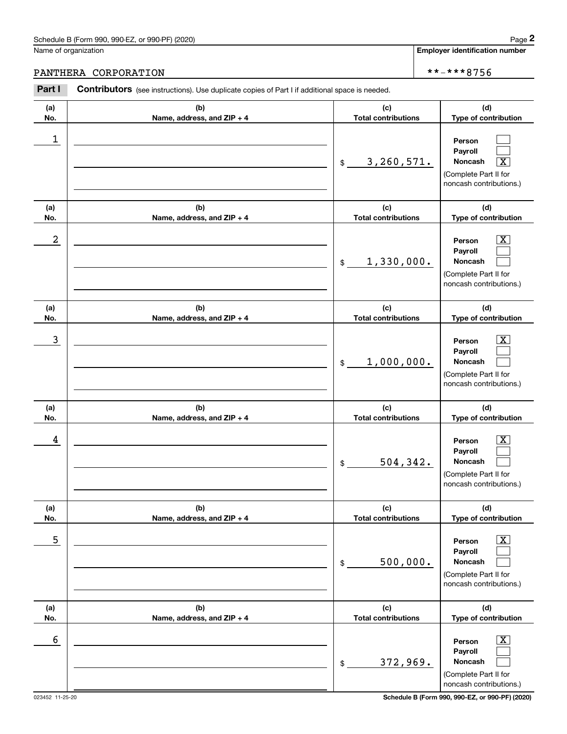## PANTHERA CORPORATION \*\*-\*\*\*8756

|            | Schedule B (Form 990, 990-EZ, or 990-PF) (2020)                                                       |                                   | Page 2                                                                                                      |
|------------|-------------------------------------------------------------------------------------------------------|-----------------------------------|-------------------------------------------------------------------------------------------------------------|
|            | Name of organization                                                                                  |                                   | <b>Employer identification number</b>                                                                       |
|            | PANTHERA CORPORATION                                                                                  |                                   | **-***8756                                                                                                  |
| Part I     | <b>Contributors</b> (see instructions). Use duplicate copies of Part I if additional space is needed. |                                   |                                                                                                             |
| (a)<br>No. | (b)<br>Name, address, and ZIP + 4                                                                     | (c)<br><b>Total contributions</b> | (d)<br>Type of contribution                                                                                 |
| 1          |                                                                                                       | 3, 260, 571.<br>\$                | Person<br>Payroll<br>Noncash<br>$\overline{\texttt{X}}$<br>(Complete Part II for<br>noncash contributions.) |
| (a)<br>No. | (b)<br>Name, address, and ZIP + 4                                                                     | (c)<br><b>Total contributions</b> | (d)<br>Type of contribution                                                                                 |
| 2          |                                                                                                       | 1,330,000.<br>\$                  | $\overline{\mathbf{X}}$<br>Person<br>Payroll<br>Noncash<br>(Complete Part II for<br>noncash contributions.) |
| (a)<br>No. | (b)<br>Name, address, and ZIP + 4                                                                     | (c)<br><b>Total contributions</b> | (d)<br>Type of contribution                                                                                 |
| 3          |                                                                                                       | 1,000,000.<br>\$                  | $\overline{\mathbf{X}}$<br>Person<br>Payroll<br>Noncash<br>(Complete Part II for<br>noncash contributions.) |
| (a)<br>No. | (b)<br>Name, address, and ZIP + 4                                                                     | (c)<br><b>Total contributions</b> | (d)<br>Type of contribution                                                                                 |
| 4          |                                                                                                       | 504, 342.<br>\$                   | $\overline{\mathbf{X}}$<br>Person<br>Payroll<br>Noncash<br>(Complete Part II for<br>noncash contributions.) |
| (a)<br>No. | (b)<br>Name, address, and ZIP + 4                                                                     | (c)<br><b>Total contributions</b> | (d)<br>Type of contribution                                                                                 |
| 5          |                                                                                                       | 500,000.<br>\$                    | $\overline{\mathbf{X}}$<br>Person<br>Payroll<br>Noncash<br>(Complete Part II for<br>noncash contributions.) |
| (a)<br>No. | (b)<br>Name, address, and ZIP + 4                                                                     | (c)<br><b>Total contributions</b> | (d)<br>Type of contribution                                                                                 |
| 6          |                                                                                                       | 372,969.<br>\$                    | $\boxed{\text{X}}$<br>Person<br>Payroll<br>Noncash<br>(Complete Part II for<br>noncash contributions.)      |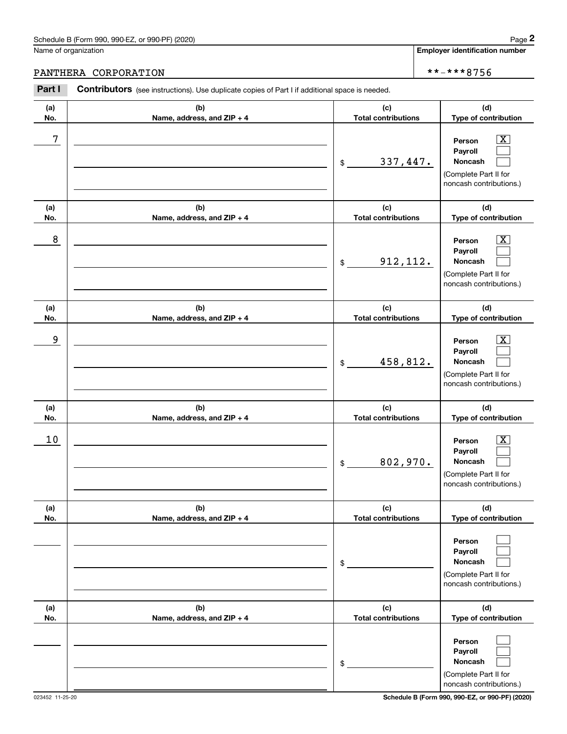### PANTHERA CORPORATION \*\*-\*\*\*8756

|            | Schedule B (Form 990, 990-EZ, or 990-PF) (2020)                                                       |                                   | Page 2                                                                                                      |
|------------|-------------------------------------------------------------------------------------------------------|-----------------------------------|-------------------------------------------------------------------------------------------------------------|
|            | Name of organization                                                                                  |                                   | <b>Employer identification number</b>                                                                       |
|            | PANTHERA CORPORATION                                                                                  |                                   | **-***8756                                                                                                  |
| Part I     | <b>Contributors</b> (see instructions). Use duplicate copies of Part I if additional space is needed. |                                   |                                                                                                             |
| (a)<br>No. | (b)<br>Name, address, and ZIP + 4                                                                     | (c)<br><b>Total contributions</b> | (d)<br>Type of contribution                                                                                 |
| 7          |                                                                                                       | 337,447.<br>\$                    | $\overline{\mathbf{X}}$<br>Person<br>Payroll<br>Noncash<br>(Complete Part II for<br>noncash contributions.) |
| (a)<br>No. | (b)<br>Name, address, and ZIP + 4                                                                     | (c)<br><b>Total contributions</b> | (d)<br>Type of contribution                                                                                 |
| 8          |                                                                                                       | 912, 112.<br>\$                   | $\overline{\mathbf{X}}$<br>Person<br>Payroll<br>Noncash<br>(Complete Part II for<br>noncash contributions.) |
| (a)<br>No. | (b)<br>Name, address, and ZIP + 4                                                                     | (c)<br><b>Total contributions</b> | (d)<br>Type of contribution                                                                                 |
| 9          |                                                                                                       | 458,812.<br>\$                    | $\overline{\mathbf{X}}$<br>Person<br>Payroll<br>Noncash<br>(Complete Part II for<br>noncash contributions.) |
| (a)<br>No. | (b)<br>Name, address, and ZIP + 4                                                                     | (c)<br><b>Total contributions</b> | (d)<br>Type of contribution                                                                                 |
| 10         |                                                                                                       | 802,970.<br>\$                    | $\overline{\mathbf{X}}$<br>Person<br>Payroll<br>Noncash<br>(Complete Part II for<br>noncash contributions.) |
| (a)<br>No. | (b)<br>Name, address, and ZIP + 4                                                                     | (c)<br><b>Total contributions</b> | (d)<br>Type of contribution                                                                                 |
|            |                                                                                                       | \$                                | Person<br>Payroll<br>Noncash<br>(Complete Part II for<br>noncash contributions.)                            |
| (a)<br>No. | (b)<br>Name, address, and ZIP + 4                                                                     | (c)<br><b>Total contributions</b> | (d)<br>Type of contribution                                                                                 |
|            |                                                                                                       | \$                                | Person<br>Payroll<br>Noncash<br>(Complete Part II for<br>noncash contributions.)                            |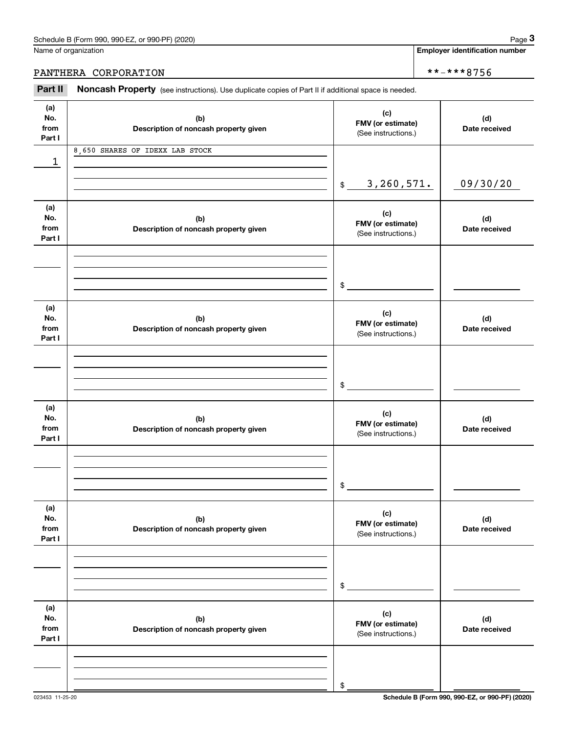**Employer identification number**

## PANTHERA CORPORATION \*\*-\*\*\*8756

(see instructions). Use duplicate copies of Part II if additional space is needed.<br> **2Part II Noncash Property** (see instructions). Use duplicate copies of Part II if additional space is needed.

| (a)<br>No.<br>from<br>Part I | (b)<br>Description of noncash property given | (c)<br>FMV (or estimate)<br>(See instructions.) | (d)<br>Date received |
|------------------------------|----------------------------------------------|-------------------------------------------------|----------------------|
| 1                            | 8,650 SHARES OF IDEXX LAB STOCK              |                                                 |                      |
|                              |                                              | 3,260,571.<br>\$                                | 09/30/20             |
| (a)<br>No.<br>from<br>Part I | (b)<br>Description of noncash property given | (c)<br>FMV (or estimate)<br>(See instructions.) | (d)<br>Date received |
|                              |                                              | $\frac{1}{2}$                                   |                      |
| (a)<br>No.<br>from<br>Part I | (b)<br>Description of noncash property given | (c)<br>FMV (or estimate)<br>(See instructions.) | (d)<br>Date received |
|                              |                                              | \$                                              |                      |
| (a)<br>No.<br>from<br>Part I | (b)<br>Description of noncash property given | (c)<br>FMV (or estimate)<br>(See instructions.) | (d)<br>Date received |
|                              |                                              | $\mathfrak s$                                   |                      |
| (a)<br>No.<br>from<br>Part I | (b)<br>Description of noncash property given | (c)<br>FMV (or estimate)<br>(See instructions.) | (d)<br>Date received |
|                              |                                              | \$                                              |                      |
| (a)<br>No.<br>from<br>Part I | (b)<br>Description of noncash property given | (c)<br>FMV (or estimate)<br>(See instructions.) | (d)<br>Date received |
|                              |                                              | \$                                              |                      |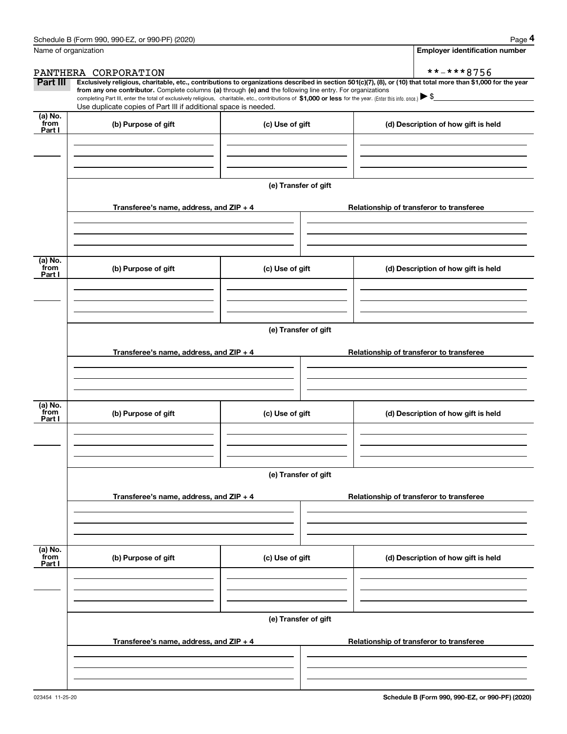|                           | Schedule B (Form 990, 990-EZ, or 990-PF) (2020)                                                                                                                                                                                                      |                                          | Page 4                                                                                                                                                         |  |  |  |  |  |
|---------------------------|------------------------------------------------------------------------------------------------------------------------------------------------------------------------------------------------------------------------------------------------------|------------------------------------------|----------------------------------------------------------------------------------------------------------------------------------------------------------------|--|--|--|--|--|
|                           | Name of organization                                                                                                                                                                                                                                 |                                          | <b>Employer identification number</b>                                                                                                                          |  |  |  |  |  |
|                           | PANTHERA CORPORATION                                                                                                                                                                                                                                 |                                          | **-***8756                                                                                                                                                     |  |  |  |  |  |
| Part III                  | from any one contributor. Complete columns (a) through (e) and the following line entry. For organizations                                                                                                                                           |                                          | Exclusively religious, charitable, etc., contributions to organizations described in section 501(c)(7), (8), or (10) that total more than \$1,000 for the year |  |  |  |  |  |
|                           | completing Part III, enter the total of exclusively religious, charitable, etc., contributions of \$1,000 or less for the year. (Enter this info. once.) $\blacktriangleright$ \$<br>Use duplicate copies of Part III if additional space is needed. |                                          |                                                                                                                                                                |  |  |  |  |  |
| (a) No.<br>from           |                                                                                                                                                                                                                                                      |                                          |                                                                                                                                                                |  |  |  |  |  |
| Part I                    | (b) Purpose of gift                                                                                                                                                                                                                                  | (c) Use of gift                          | (d) Description of how gift is held                                                                                                                            |  |  |  |  |  |
|                           |                                                                                                                                                                                                                                                      |                                          |                                                                                                                                                                |  |  |  |  |  |
|                           |                                                                                                                                                                                                                                                      | (e) Transfer of gift                     |                                                                                                                                                                |  |  |  |  |  |
|                           | Transferee's name, address, and ZIP + 4                                                                                                                                                                                                              |                                          | Relationship of transferor to transferee                                                                                                                       |  |  |  |  |  |
|                           |                                                                                                                                                                                                                                                      |                                          |                                                                                                                                                                |  |  |  |  |  |
| (a) No.<br>from<br>Part I | (b) Purpose of gift                                                                                                                                                                                                                                  | (c) Use of gift                          | (d) Description of how gift is held                                                                                                                            |  |  |  |  |  |
|                           |                                                                                                                                                                                                                                                      |                                          |                                                                                                                                                                |  |  |  |  |  |
|                           |                                                                                                                                                                                                                                                      |                                          |                                                                                                                                                                |  |  |  |  |  |
|                           | (e) Transfer of gift                                                                                                                                                                                                                                 |                                          |                                                                                                                                                                |  |  |  |  |  |
|                           | Transferee's name, address, and ZIP + 4                                                                                                                                                                                                              | Relationship of transferor to transferee |                                                                                                                                                                |  |  |  |  |  |
|                           |                                                                                                                                                                                                                                                      |                                          |                                                                                                                                                                |  |  |  |  |  |
|                           |                                                                                                                                                                                                                                                      |                                          |                                                                                                                                                                |  |  |  |  |  |
| (a) No.                   |                                                                                                                                                                                                                                                      |                                          |                                                                                                                                                                |  |  |  |  |  |
| from<br>Part I            | (b) Purpose of gift                                                                                                                                                                                                                                  | (c) Use of gift                          | (d) Description of how gift is held                                                                                                                            |  |  |  |  |  |
|                           |                                                                                                                                                                                                                                                      |                                          |                                                                                                                                                                |  |  |  |  |  |
|                           |                                                                                                                                                                                                                                                      |                                          |                                                                                                                                                                |  |  |  |  |  |
|                           |                                                                                                                                                                                                                                                      | (e) Transfer of gift                     |                                                                                                                                                                |  |  |  |  |  |
|                           |                                                                                                                                                                                                                                                      |                                          |                                                                                                                                                                |  |  |  |  |  |
|                           | Transferee's name, address, and $ZIP + 4$                                                                                                                                                                                                            |                                          | Relationship of transferor to transferee                                                                                                                       |  |  |  |  |  |
|                           |                                                                                                                                                                                                                                                      |                                          |                                                                                                                                                                |  |  |  |  |  |
|                           |                                                                                                                                                                                                                                                      |                                          |                                                                                                                                                                |  |  |  |  |  |
| (a) No.<br>from<br>Part I | (b) Purpose of gift                                                                                                                                                                                                                                  | (c) Use of gift                          | (d) Description of how gift is held                                                                                                                            |  |  |  |  |  |
|                           |                                                                                                                                                                                                                                                      |                                          |                                                                                                                                                                |  |  |  |  |  |
|                           |                                                                                                                                                                                                                                                      |                                          |                                                                                                                                                                |  |  |  |  |  |
|                           |                                                                                                                                                                                                                                                      | (e) Transfer of gift                     |                                                                                                                                                                |  |  |  |  |  |
|                           | Transferee's name, address, and ZIP + 4                                                                                                                                                                                                              |                                          | Relationship of transferor to transferee                                                                                                                       |  |  |  |  |  |
|                           |                                                                                                                                                                                                                                                      |                                          |                                                                                                                                                                |  |  |  |  |  |
|                           |                                                                                                                                                                                                                                                      |                                          |                                                                                                                                                                |  |  |  |  |  |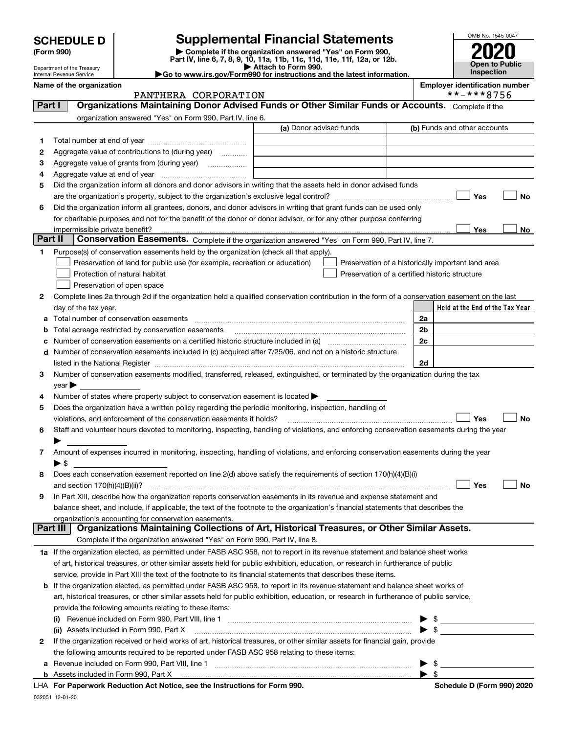| (Form 990) |  |
|------------|--|
|------------|--|

## **SCHEDULE D Supplemental Financial Statements**

**(Form 990)** (**Form 990,**<br>Part IV, line 6, 7, 8, 9, 10, 11a, 11b, 11c, 11d, 11e, 11f, 12a, or 12b.<br>Department of the Treasury **and Exercise Connect Connect Connect Connect Connect Connect Connect Connect Connect** 



Department of the Treasury Internal Revenue Service Name of the organization<br>
PANTHERA CORPORATTON **Employer identification number**<br>
\*\*-\*\*8756

|                                                                                              | <b>P</b> Allauli IU FUI III 990. |  |
|----------------------------------------------------------------------------------------------|----------------------------------|--|
| $\blacktriangleright$ Go to www.irs.gov/Form990 for instructions and the latest information. |                                  |  |

|         | PANTHERA CORPORATION                                                                                                                                                                                                           | **-***8756                                         |
|---------|--------------------------------------------------------------------------------------------------------------------------------------------------------------------------------------------------------------------------------|----------------------------------------------------|
| Part I  | Organizations Maintaining Donor Advised Funds or Other Similar Funds or Accounts. Complete if the                                                                                                                              |                                                    |
|         | organization answered "Yes" on Form 990, Part IV, line 6.                                                                                                                                                                      |                                                    |
|         | (a) Donor advised funds                                                                                                                                                                                                        | (b) Funds and other accounts                       |
| 1       |                                                                                                                                                                                                                                |                                                    |
| 2       | Aggregate value of contributions to (during year)                                                                                                                                                                              |                                                    |
| 3       | Aggregate value of grants from (during year)                                                                                                                                                                                   |                                                    |
| 4       | Aggregate value at end of year                                                                                                                                                                                                 |                                                    |
| 5       | Did the organization inform all donors and donor advisors in writing that the assets held in donor advised funds                                                                                                               |                                                    |
|         |                                                                                                                                                                                                                                | Yes<br>No                                          |
| 6       | Did the organization inform all grantees, donors, and donor advisors in writing that grant funds can be used only                                                                                                              |                                                    |
|         | for charitable purposes and not for the benefit of the donor or donor advisor, or for any other purpose conferring                                                                                                             |                                                    |
|         | impermissible private benefit?                                                                                                                                                                                                 | Yes<br>No                                          |
| Part II | Conservation Easements. Complete if the organization answered "Yes" on Form 990, Part IV, line 7.                                                                                                                              |                                                    |
| 1       | Purpose(s) of conservation easements held by the organization (check all that apply).                                                                                                                                          |                                                    |
|         | Preservation of land for public use (for example, recreation or education)                                                                                                                                                     | Preservation of a historically important land area |
|         | Protection of natural habitat<br>Preservation of a certified historic structure                                                                                                                                                |                                                    |
|         | Preservation of open space                                                                                                                                                                                                     |                                                    |
| 2       | Complete lines 2a through 2d if the organization held a qualified conservation contribution in the form of a conservation easement on the last                                                                                 |                                                    |
|         | day of the tax year.                                                                                                                                                                                                           | Held at the End of the Tax Year                    |
| а       | Total number of conservation easements                                                                                                                                                                                         | 2a                                                 |
|         | Total acreage restricted by conservation easements                                                                                                                                                                             | 2 <sub>b</sub>                                     |
|         | Number of conservation easements on a certified historic structure included in (a) manufacture included in (a)                                                                                                                 | 2c                                                 |
| d       | Number of conservation easements included in (c) acquired after 7/25/06, and not on a historic structure                                                                                                                       |                                                    |
|         | listed in the National Register [1111] listed in the National Register [111] listed in the National Register [111] listed in the National Register [11] listed in the National Register [11] listed in the National Register [ | 2d                                                 |
| 3       | Number of conservation easements modified, transferred, released, extinguished, or terminated by the organization during the tax                                                                                               |                                                    |
|         | year                                                                                                                                                                                                                           |                                                    |
| 4       | Number of states where property subject to conservation easement is located >                                                                                                                                                  |                                                    |
| 5       | Does the organization have a written policy regarding the periodic monitoring, inspection, handling of                                                                                                                         |                                                    |
|         | violations, and enforcement of the conservation easements it holds?                                                                                                                                                            | Yes<br>No                                          |
| 6       | Staff and volunteer hours devoted to monitoring, inspecting, handling of violations, and enforcing conservation easements during the year                                                                                      |                                                    |
|         |                                                                                                                                                                                                                                |                                                    |
| 7       | Amount of expenses incurred in monitoring, inspecting, handling of violations, and enforcing conservation easements during the year                                                                                            |                                                    |
|         | ► \$<br>Does each conservation easement reported on line 2(d) above satisfy the requirements of section 170(h)(4)(B)(i)                                                                                                        |                                                    |
| 8       | and section $170(h)(4)(B)(ii)?$                                                                                                                                                                                                | Yes<br>No                                          |
| 9       | In Part XIII, describe how the organization reports conservation easements in its revenue and expense statement and                                                                                                            |                                                    |
|         | balance sheet, and include, if applicable, the text of the footnote to the organization's financial statements that describes the                                                                                              |                                                    |
|         | organization's accounting for conservation easements.                                                                                                                                                                          |                                                    |
|         | Organizations Maintaining Collections of Art, Historical Treasures, or Other Similar Assets.<br>Part III                                                                                                                       |                                                    |
|         | Complete if the organization answered "Yes" on Form 990, Part IV, line 8.                                                                                                                                                      |                                                    |
|         | 1a If the organization elected, as permitted under FASB ASC 958, not to report in its revenue statement and balance sheet works                                                                                                |                                                    |
|         | of art, historical treasures, or other similar assets held for public exhibition, education, or research in furtherance of public                                                                                              |                                                    |
|         | service, provide in Part XIII the text of the footnote to its financial statements that describes these items.                                                                                                                 |                                                    |
|         | <b>b</b> If the organization elected, as permitted under FASB ASC 958, to report in its revenue statement and balance sheet works of                                                                                           |                                                    |
|         | art, historical treasures, or other similar assets held for public exhibition, education, or research in furtherance of public service,                                                                                        |                                                    |
|         | provide the following amounts relating to these items:                                                                                                                                                                         |                                                    |
|         | (i)                                                                                                                                                                                                                            |                                                    |
|         | (ii) Assets included in Form 990, Part X                                                                                                                                                                                       | $\frac{1}{\sqrt{2}}$                               |
| 2       | If the organization received or held works of art, historical treasures, or other similar assets for financial gain, provide                                                                                                   |                                                    |
|         | the following amounts required to be reported under FASB ASC 958 relating to these items:                                                                                                                                      |                                                    |
| а       |                                                                                                                                                                                                                                | \$                                                 |
|         | <b>b</b> Assets included in Form 990, Part X                                                                                                                                                                                   | - \$                                               |

**For Paperwork Reduction Act Notice, see the Instructions for Form 990. Schedule D (Form 990) 2020** LHA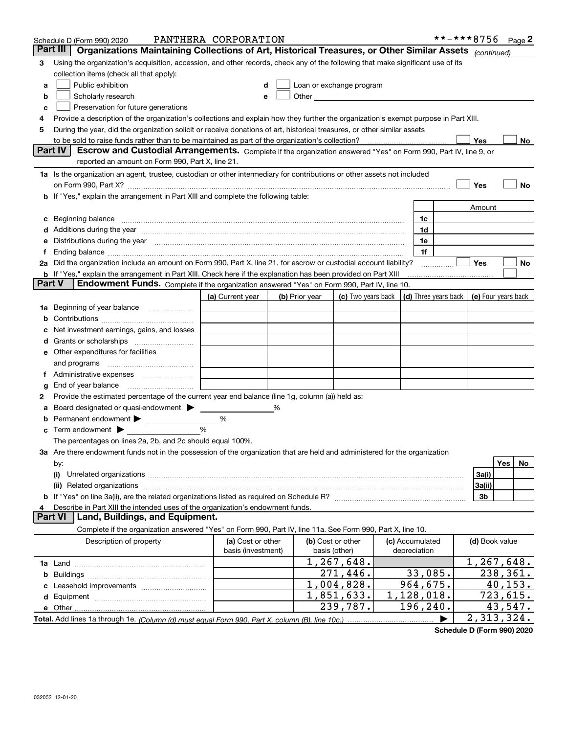|               | Schedule D (Form 990) 2020                                                                                                                                                                                                     | PANTHERA CORPORATION                    |   |                |                                                                                                                                                                                                                                |                 | **-***8756 $Page 2$ |                |          |    |
|---------------|--------------------------------------------------------------------------------------------------------------------------------------------------------------------------------------------------------------------------------|-----------------------------------------|---|----------------|--------------------------------------------------------------------------------------------------------------------------------------------------------------------------------------------------------------------------------|-----------------|---------------------|----------------|----------|----|
|               | Part III<br>Organizations Maintaining Collections of Art, Historical Treasures, or Other Similar Assets (continued)                                                                                                            |                                         |   |                |                                                                                                                                                                                                                                |                 |                     |                |          |    |
| 3             | Using the organization's acquisition, accession, and other records, check any of the following that make significant use of its                                                                                                |                                         |   |                |                                                                                                                                                                                                                                |                 |                     |                |          |    |
|               | collection items (check all that apply):                                                                                                                                                                                       |                                         |   |                |                                                                                                                                                                                                                                |                 |                     |                |          |    |
| a             | Public exhibition                                                                                                                                                                                                              |                                         | d |                | Loan or exchange program                                                                                                                                                                                                       |                 |                     |                |          |    |
| b             | Scholarly research                                                                                                                                                                                                             |                                         | е |                | Other and the control of the control of the control of the control of the control of the control of the control of the control of the control of the control of the control of the control of the control of the control of th |                 |                     |                |          |    |
| c             | Preservation for future generations                                                                                                                                                                                            |                                         |   |                |                                                                                                                                                                                                                                |                 |                     |                |          |    |
| 4             | Provide a description of the organization's collections and explain how they further the organization's exempt purpose in Part XIII.                                                                                           |                                         |   |                |                                                                                                                                                                                                                                |                 |                     |                |          |    |
| 5             | During the year, did the organization solicit or receive donations of art, historical treasures, or other similar assets                                                                                                       |                                         |   |                |                                                                                                                                                                                                                                |                 |                     |                |          |    |
|               |                                                                                                                                                                                                                                |                                         |   |                |                                                                                                                                                                                                                                |                 |                     | Yes            |          | No |
|               | Part IV<br>Escrow and Custodial Arrangements. Complete if the organization answered "Yes" on Form 990, Part IV, line 9, or                                                                                                     |                                         |   |                |                                                                                                                                                                                                                                |                 |                     |                |          |    |
|               | reported an amount on Form 990, Part X, line 21.                                                                                                                                                                               |                                         |   |                |                                                                                                                                                                                                                                |                 |                     |                |          |    |
|               | 1a Is the organization an agent, trustee, custodian or other intermediary for contributions or other assets not included                                                                                                       |                                         |   |                |                                                                                                                                                                                                                                |                 |                     |                |          |    |
|               |                                                                                                                                                                                                                                |                                         |   |                |                                                                                                                                                                                                                                |                 |                     | Yes            |          | No |
|               | If "Yes," explain the arrangement in Part XIII and complete the following table:                                                                                                                                               |                                         |   |                |                                                                                                                                                                                                                                |                 |                     |                |          |    |
|               |                                                                                                                                                                                                                                |                                         |   |                |                                                                                                                                                                                                                                |                 |                     | Amount         |          |    |
| c             | Beginning balance <b>contract to the contract of the contract of the contract of the contract of the contract of t</b>                                                                                                         |                                         |   |                |                                                                                                                                                                                                                                | 1c              |                     |                |          |    |
|               | Additions during the year manufactured and an account of the state of the state of the state of the state of the state of the state of the state of the state of the state of the state of the state of the state of the state |                                         |   |                |                                                                                                                                                                                                                                | 1d              |                     |                |          |    |
| е             | Distributions during the year measurements are all the state of the state of the state of the state of the state of the state of the state of the state of the state of the state of the state of the state of the state of th |                                         |   |                |                                                                                                                                                                                                                                | 1e              |                     |                |          |    |
|               | Ending balance measurements are all the contract of the contract of the contract of the contract of the contract of the contract of the contract of the contract of the contract of the contract of the contract of the contra |                                         |   |                |                                                                                                                                                                                                                                | 1f              |                     |                |          |    |
|               | Did the organization include an amount on Form 990, Part X, line 21, for escrow or custodial account liability?                                                                                                                |                                         |   |                |                                                                                                                                                                                                                                |                 |                     | <b>Yes</b>     |          | No |
|               | b If "Yes," explain the arrangement in Part XIII. Check here if the explanation has been provided on Part XIII                                                                                                                 |                                         |   |                |                                                                                                                                                                                                                                |                 |                     |                |          |    |
| <b>Part V</b> | Endowment Funds. Complete if the organization answered "Yes" on Form 990, Part IV, line 10.                                                                                                                                    |                                         |   |                |                                                                                                                                                                                                                                |                 |                     |                |          |    |
|               |                                                                                                                                                                                                                                | (a) Current year                        |   | (b) Prior year | (c) Two years back $\vert$ (d) Three years back $\vert$ (e) Four years back                                                                                                                                                    |                 |                     |                |          |    |
| 1a            | Beginning of year balance                                                                                                                                                                                                      |                                         |   |                |                                                                                                                                                                                                                                |                 |                     |                |          |    |
|               |                                                                                                                                                                                                                                |                                         |   |                |                                                                                                                                                                                                                                |                 |                     |                |          |    |
|               | Net investment earnings, gains, and losses                                                                                                                                                                                     |                                         |   |                |                                                                                                                                                                                                                                |                 |                     |                |          |    |
| d             |                                                                                                                                                                                                                                |                                         |   |                |                                                                                                                                                                                                                                |                 |                     |                |          |    |
|               | e Other expenditures for facilities                                                                                                                                                                                            |                                         |   |                |                                                                                                                                                                                                                                |                 |                     |                |          |    |
|               | and programs                                                                                                                                                                                                                   |                                         |   |                |                                                                                                                                                                                                                                |                 |                     |                |          |    |
| Ť.            |                                                                                                                                                                                                                                |                                         |   |                |                                                                                                                                                                                                                                |                 |                     |                |          |    |
| g             | End of year balance                                                                                                                                                                                                            |                                         |   |                |                                                                                                                                                                                                                                |                 |                     |                |          |    |
| 2             | Provide the estimated percentage of the current year end balance (line 1g, column (a)) held as:                                                                                                                                |                                         |   |                |                                                                                                                                                                                                                                |                 |                     |                |          |    |
| а             | Board designated or quasi-endowment                                                                                                                                                                                            |                                         |   |                |                                                                                                                                                                                                                                |                 |                     |                |          |    |
| b             | Permanent endowment                                                                                                                                                                                                            | %                                       |   |                |                                                                                                                                                                                                                                |                 |                     |                |          |    |
|               | Term endowment $\blacktriangleright$                                                                                                                                                                                           | %                                       |   |                |                                                                                                                                                                                                                                |                 |                     |                |          |    |
|               | The percentages on lines 2a, 2b, and 2c should equal 100%.                                                                                                                                                                     |                                         |   |                |                                                                                                                                                                                                                                |                 |                     |                |          |    |
|               | 3a Are there endowment funds not in the possession of the organization that are held and administered for the organization                                                                                                     |                                         |   |                |                                                                                                                                                                                                                                |                 |                     |                |          |    |
|               | by:                                                                                                                                                                                                                            |                                         |   |                |                                                                                                                                                                                                                                |                 |                     |                | Yes      | No |
|               | (i)                                                                                                                                                                                                                            |                                         |   |                |                                                                                                                                                                                                                                |                 |                     | 3a(i)          |          |    |
|               |                                                                                                                                                                                                                                |                                         |   |                |                                                                                                                                                                                                                                |                 |                     | 3a(ii)         |          |    |
|               |                                                                                                                                                                                                                                |                                         |   |                |                                                                                                                                                                                                                                |                 |                     | 3b             |          |    |
| 4             | Describe in Part XIII the intended uses of the organization's endowment funds.<br><b>Part VI</b><br>Land, Buildings, and Equipment.                                                                                            |                                         |   |                |                                                                                                                                                                                                                                |                 |                     |                |          |    |
|               | Complete if the organization answered "Yes" on Form 990, Part IV, line 11a. See Form 990, Part X, line 10.                                                                                                                     |                                         |   |                |                                                                                                                                                                                                                                |                 |                     |                |          |    |
|               |                                                                                                                                                                                                                                |                                         |   |                | (b) Cost or other                                                                                                                                                                                                              | (c) Accumulated |                     |                |          |    |
|               | Description of property                                                                                                                                                                                                        | (a) Cost or other<br>basis (investment) |   |                | basis (other)                                                                                                                                                                                                                  | depreciation    |                     | (d) Book value |          |    |
|               |                                                                                                                                                                                                                                |                                         |   |                | $\overline{1,267,648}$ .                                                                                                                                                                                                       |                 |                     | 1,267,648.     |          |    |
|               |                                                                                                                                                                                                                                |                                         |   |                | $\overline{271,446}$ .                                                                                                                                                                                                         | 33,085.         |                     |                | 238,361. |    |
| b             |                                                                                                                                                                                                                                |                                         |   |                | 1,004,828.                                                                                                                                                                                                                     | 964,675.        |                     |                | 40, 153. |    |
|               |                                                                                                                                                                                                                                |                                         |   |                | $\overline{1,851,633}$ .                                                                                                                                                                                                       | 1,128,018.      |                     |                | 723,615. |    |
|               |                                                                                                                                                                                                                                |                                         |   |                | 239,787.                                                                                                                                                                                                                       | 196,240.        |                     |                | 43,547.  |    |
|               |                                                                                                                                                                                                                                |                                         |   |                |                                                                                                                                                                                                                                |                 |                     | 2,313,324.     |          |    |
|               |                                                                                                                                                                                                                                |                                         |   |                |                                                                                                                                                                                                                                |                 |                     |                |          |    |

**Schedule D (Form 990) 2020**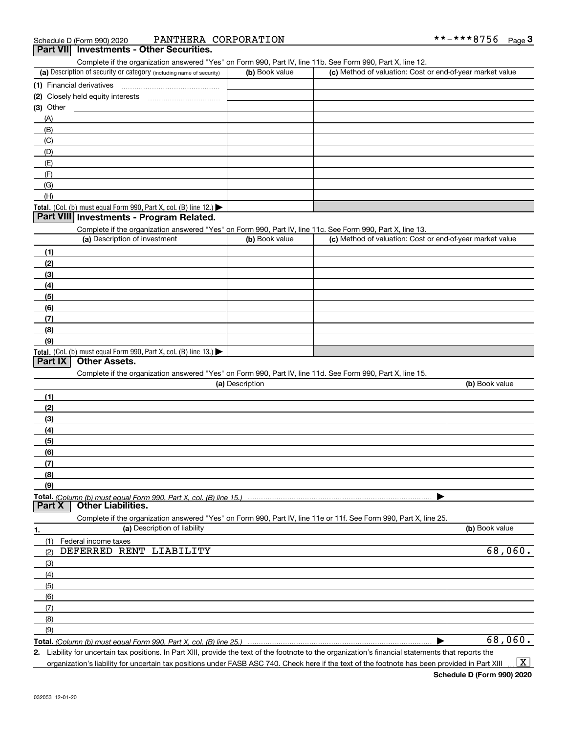| PANTHERA CORPORATION<br>Schedule D (Form 990) 2020                                                         |                 |                                                           | **-***8756     | Page $3$ |
|------------------------------------------------------------------------------------------------------------|-----------------|-----------------------------------------------------------|----------------|----------|
| Part VII Investments - Other Securities.                                                                   |                 |                                                           |                |          |
| Complete if the organization answered "Yes" on Form 990, Part IV, line 11b. See Form 990, Part X, line 12. |                 |                                                           |                |          |
| (a) Description of security or category (including name of security)                                       | (b) Book value  | (c) Method of valuation: Cost or end-of-year market value |                |          |
| (1) Financial derivatives                                                                                  |                 |                                                           |                |          |
|                                                                                                            |                 |                                                           |                |          |
| $(3)$ Other                                                                                                |                 |                                                           |                |          |
| (A)                                                                                                        |                 |                                                           |                |          |
| (B)                                                                                                        |                 |                                                           |                |          |
| (C)                                                                                                        |                 |                                                           |                |          |
| (D)                                                                                                        |                 |                                                           |                |          |
| (E)                                                                                                        |                 |                                                           |                |          |
| (F)                                                                                                        |                 |                                                           |                |          |
| (G)                                                                                                        |                 |                                                           |                |          |
| (H)                                                                                                        |                 |                                                           |                |          |
| Total. (Col. (b) must equal Form 990, Part X, col. (B) line 12.)                                           |                 |                                                           |                |          |
| Part VIII Investments - Program Related.                                                                   |                 |                                                           |                |          |
| Complete if the organization answered "Yes" on Form 990, Part IV, line 11c. See Form 990, Part X, line 13. |                 |                                                           |                |          |
| (a) Description of investment                                                                              | (b) Book value  | (c) Method of valuation: Cost or end-of-year market value |                |          |
| (1)                                                                                                        |                 |                                                           |                |          |
| (2)                                                                                                        |                 |                                                           |                |          |
| (3)                                                                                                        |                 |                                                           |                |          |
| (4)                                                                                                        |                 |                                                           |                |          |
| (5)                                                                                                        |                 |                                                           |                |          |
| (6)                                                                                                        |                 |                                                           |                |          |
| (7)                                                                                                        |                 |                                                           |                |          |
| (8)                                                                                                        |                 |                                                           |                |          |
| (9)                                                                                                        |                 |                                                           |                |          |
| Total. (Col. (b) must equal Form 990, Part X, col. (B) line 13.)                                           |                 |                                                           |                |          |
| <b>Other Assets.</b><br>Part $ X $                                                                         |                 |                                                           |                |          |
| Complete if the organization answered "Yes" on Form 990, Part IV, line 11d. See Form 990, Part X, line 15. |                 |                                                           |                |          |
|                                                                                                            | (a) Description |                                                           | (b) Book value |          |
| (1)                                                                                                        |                 |                                                           |                |          |
| (2)                                                                                                        |                 |                                                           |                |          |
| (3)                                                                                                        |                 |                                                           |                |          |
| (4)                                                                                                        |                 |                                                           |                |          |
| (5)                                                                                                        |                 |                                                           |                |          |
| (6)                                                                                                        |                 |                                                           |                |          |
| (7)                                                                                                        |                 |                                                           |                |          |

**Total.**  *(Column (b) must equal Form 990, Part X, col. (B) line 15.)* **Part X Other Liabilities.**

Complete if the organization answered "Yes" on Form 990, Part IV, line 11e or 11f. See Form 990, Part X, line 25.

| 1.            | (a) Description of liability | (b) Book value |
|---------------|------------------------------|----------------|
| (1)           | Federal income taxes         |                |
| (2)           | DEFERRED RENT LIABILITY      | 68,060.        |
| (3)           |                              |                |
| (4)           |                              |                |
| (5)           |                              |                |
| (6)           |                              |                |
| $\frac{7}{2}$ |                              |                |
| (8)           |                              |                |
| (9)           |                              |                |
|               |                              | 68,060.        |

**2.** Liability for uncertain tax positions. In Part XIII, provide the text of the footnote to the organization's financial statements that reports the organization's liability for uncertain tax positions under FASB ASC 740. Check here if the text of the footnote has been provided in Part XIII  $\vert$  X  $\vert$ 

 $\blacktriangleright$ 

**(8) (9)**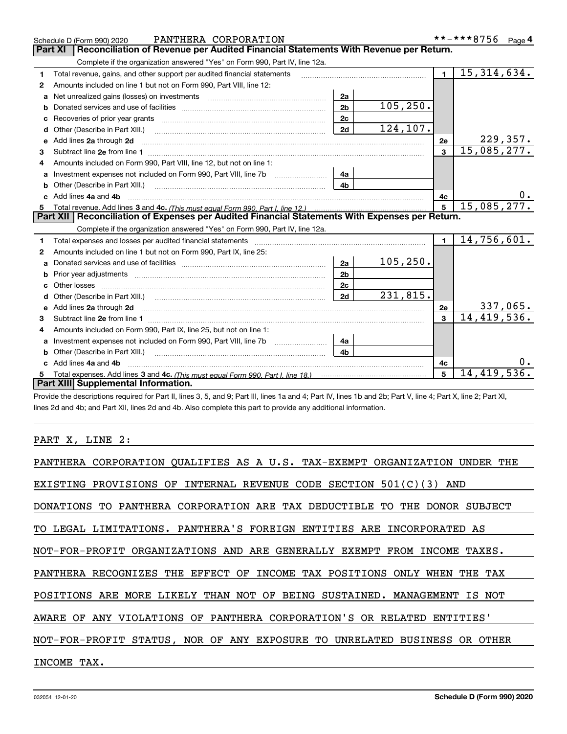|    | PANTHERA CORPORATION<br>Schedule D (Form 990) 2020                                                                                                                                                                                  |                |                                                                                                                                                                                                                               |                | **-***8756 Page 4 |
|----|-------------------------------------------------------------------------------------------------------------------------------------------------------------------------------------------------------------------------------------|----------------|-------------------------------------------------------------------------------------------------------------------------------------------------------------------------------------------------------------------------------|----------------|-------------------|
|    | Reconciliation of Revenue per Audited Financial Statements With Revenue per Return.<br><b>Part XI</b>                                                                                                                               |                |                                                                                                                                                                                                                               |                |                   |
|    | Complete if the organization answered "Yes" on Form 990, Part IV, line 12a.                                                                                                                                                         |                |                                                                                                                                                                                                                               |                |                   |
| 1  | Total revenue, gains, and other support per audited financial statements                                                                                                                                                            |                | and a construction of the construction of the construction of the construction of the construction of the construction of the construction of the construction of the construction of the construction of the construction of | $\blacksquare$ | 15,314,634.       |
| 2  | Amounts included on line 1 but not on Form 990, Part VIII, line 12:                                                                                                                                                                 |                |                                                                                                                                                                                                                               |                |                   |
| a  | Net unrealized gains (losses) on investments [11] matter contracts and the unrealized gains (losses) on investments                                                                                                                 | 2a             |                                                                                                                                                                                                                               |                |                   |
| b  |                                                                                                                                                                                                                                     | 2 <sub>b</sub> | 105, 250.                                                                                                                                                                                                                     |                |                   |
| c  |                                                                                                                                                                                                                                     | 2c             |                                                                                                                                                                                                                               |                |                   |
| d  | Other (Describe in Part XIII.)                                                                                                                                                                                                      | 2d             | 124,107.                                                                                                                                                                                                                      |                |                   |
| е  | Add lines 2a through 2d <b>[10]</b> University of the state of the state of the state of the state of the state of the state of the state of the state of the state of the state of the state of the state of the state of the stat |                |                                                                                                                                                                                                                               | 2e             | 229,357.          |
| 3  |                                                                                                                                                                                                                                     |                |                                                                                                                                                                                                                               | 3              | 15,085,277.       |
|    | Amounts included on Form 990, Part VIII, line 12, but not on line 1:                                                                                                                                                                |                |                                                                                                                                                                                                                               |                |                   |
| a  | Investment expenses not included on Form 990, Part VIII, line 7b                                                                                                                                                                    | 4a             |                                                                                                                                                                                                                               |                |                   |
| b  | Other (Describe in Part XIII.) <b>Construction Contract Construction</b> Chemistry Construction Chemistry Chemistry Chemistry Chemistry Chemistry Chemistry Chemistry Chemistry Chemistry Chemistry Chemistry Chemistry Chemistry C | 4 <sub>b</sub> |                                                                                                                                                                                                                               |                |                   |
|    | Add lines 4a and 4b                                                                                                                                                                                                                 |                |                                                                                                                                                                                                                               | 4c             |                   |
| 5  |                                                                                                                                                                                                                                     |                |                                                                                                                                                                                                                               | 5              | 15,085,277.       |
|    | Part XII   Reconciliation of Expenses per Audited Financial Statements With Expenses per Return.                                                                                                                                    |                |                                                                                                                                                                                                                               |                |                   |
|    | Complete if the organization answered "Yes" on Form 990, Part IV, line 12a.                                                                                                                                                         |                |                                                                                                                                                                                                                               |                |                   |
| 1. | Total expenses and losses per audited financial statements [11] [12] manuscription control expenses and losses per audited financial statements [12] [12] manuscription of the statements [12] manuscription of the statements      |                |                                                                                                                                                                                                                               | $\blacksquare$ | 14,756,601.       |
| 2  | Amounts included on line 1 but not on Form 990, Part IX, line 25:                                                                                                                                                                   |                |                                                                                                                                                                                                                               |                |                   |
| a  |                                                                                                                                                                                                                                     | 2a             | 105, 250.                                                                                                                                                                                                                     |                |                   |
|    |                                                                                                                                                                                                                                     | 2 <sub>b</sub> |                                                                                                                                                                                                                               |                |                   |
| c  |                                                                                                                                                                                                                                     | 2c             |                                                                                                                                                                                                                               |                |                   |
|    |                                                                                                                                                                                                                                     | 2d             | 231,815.                                                                                                                                                                                                                      |                |                   |
|    |                                                                                                                                                                                                                                     |                |                                                                                                                                                                                                                               | 2e             | 337,065.          |
| 3  |                                                                                                                                                                                                                                     |                |                                                                                                                                                                                                                               | $\mathbf{a}$   | 14,419,536.       |
| 4  | Amounts included on Form 990, Part IX, line 25, but not on line 1:                                                                                                                                                                  |                |                                                                                                                                                                                                                               |                |                   |
| a  | Investment expenses not included on Form 990, Part VIII, line 7b [1000000000000000000000000000000000                                                                                                                                | 4а             |                                                                                                                                                                                                                               |                |                   |
| b  |                                                                                                                                                                                                                                     | 4 <sub>h</sub> |                                                                                                                                                                                                                               |                |                   |
|    | Add lines 4a and 4b                                                                                                                                                                                                                 |                |                                                                                                                                                                                                                               | 4c             |                   |
|    |                                                                                                                                                                                                                                     |                |                                                                                                                                                                                                                               | 5              | 14,419,536.       |
|    | Part XIII Supplemental Information.                                                                                                                                                                                                 |                |                                                                                                                                                                                                                               |                |                   |

Provide the descriptions required for Part II, lines 3, 5, and 9; Part III, lines 1a and 4; Part IV, lines 1b and 2b; Part V, line 4; Part X, line 2; Part XI, lines 2d and 4b; and Part XII, lines 2d and 4b. Also complete this part to provide any additional information.

#### PART X, LINE 2:

| PANTHERA CORPORATION QUALIFIES AS A U.S. TAX-EXEMPT ORGANIZATION UNDER<br>THE |
|-------------------------------------------------------------------------------|
| EXISTING PROVISIONS OF INTERNAL REVENUE CODE SECTION $501(C)(3)$ AND          |
| DONATIONS TO PANTHERA CORPORATION ARE TAX DEDUCTIBLE TO THE DONOR SUBJECT     |
| TO LEGAL LIMITATIONS. PANTHERA'S FOREIGN ENTITIES ARE INCORPORATED AS         |
| NOT-FOR-PROFIT ORGANIZATIONS AND ARE GENERALLY EXEMPT FROM INCOME TAXES.      |
| PANTHERA RECOGNIZES THE EFFECT OF INCOME TAX POSITIONS ONLY WHEN<br>THE TAX   |
| POSITIONS ARE MORE LIKELY THAN NOT OF BEING SUSTAINED. MANAGEMENT IS NOT      |
| AWARE OF ANY VIOLATIONS OF PANTHERA CORPORATION'S OR RELATED ENTITIES'        |
| NOT-FOR-PROFIT STATUS, NOR OF ANY EXPOSURE TO UNRELATED BUSINESS OR OTHER     |
| INCOME TAX.                                                                   |
|                                                                               |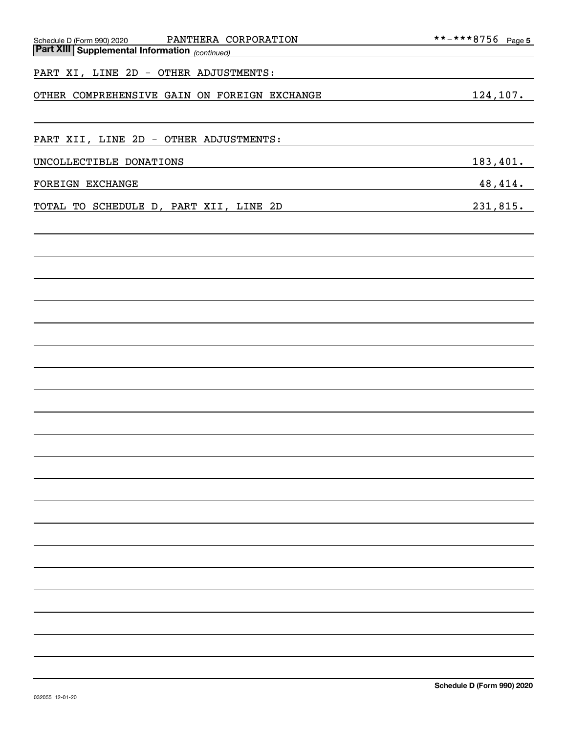| PANTHERA CORPORATION<br>Schedule D (Form 990) 2020    | **-***8756    Page 5 |
|-------------------------------------------------------|----------------------|
| <b>Part XIII Supplemental Information</b> (continued) |                      |
| PART XI, LINE 2D - OTHER ADJUSTMENTS:                 |                      |
| OTHER COMPREHENSIVE GAIN ON FOREIGN EXCHANGE          | 124,107.             |
|                                                       |                      |
| PART XII, LINE 2D - OTHER ADJUSTMENTS:                |                      |
| UNCOLLECTIBLE DONATIONS                               | 183,401.             |
| FOREIGN EXCHANGE                                      | 48, 414.             |
| TOTAL TO SCHEDULE D, PART XII, LINE 2D                | 231,815.             |
|                                                       |                      |
|                                                       |                      |
|                                                       |                      |
|                                                       |                      |
|                                                       |                      |
|                                                       |                      |
|                                                       |                      |
|                                                       |                      |
|                                                       |                      |
|                                                       |                      |
|                                                       |                      |
|                                                       |                      |
|                                                       |                      |
|                                                       |                      |
|                                                       |                      |
|                                                       |                      |
|                                                       |                      |
|                                                       |                      |
|                                                       |                      |
|                                                       |                      |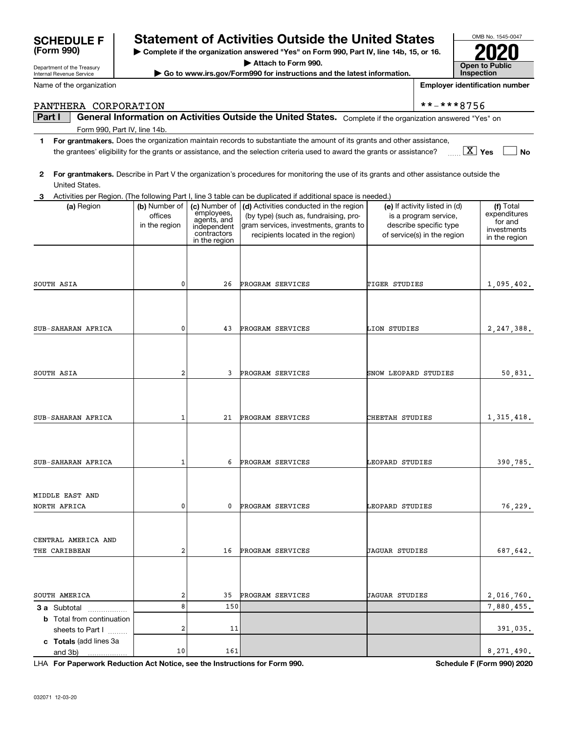# **SCHEDULE F Statement of Activities Outside the United States**

**| Complete if the organization answered "Yes" on Form 990, Part IV, line 14b, 15, or 16. | Attach to Form 990.**

**| Go to www.irs.gov/Form990 for instructions and the latest information.**

**Part I**  $\parallel$  General Information on Activities Outside the United States. Complete if the organization answered "Yes" on

PANTHERA CORPORATION  $* * - * * * 8756$ 

| $\mathbf{2}$<br>United States.                                                   |                                           |                                                                          | For grantmakers. Describe in Part V the organization's procedures for monitoring the use of its grants and other assistance outside the                                                                                                                                                             |                                                                                                                 |                                                                      |
|----------------------------------------------------------------------------------|-------------------------------------------|--------------------------------------------------------------------------|-----------------------------------------------------------------------------------------------------------------------------------------------------------------------------------------------------------------------------------------------------------------------------------------------------|-----------------------------------------------------------------------------------------------------------------|----------------------------------------------------------------------|
|                                                                                  |                                           |                                                                          |                                                                                                                                                                                                                                                                                                     |                                                                                                                 |                                                                      |
| 3<br>(a) Region                                                                  | (b) Number of<br>offices<br>in the region | employees,<br>agents, and<br>independent<br>contractors<br>in the region | Activities per Region. (The following Part I, line 3 table can be duplicated if additional space is needed.)<br>(c) Number of $\vert$ (d) Activities conducted in the region<br>(by type) (such as, fundraising, pro-<br>gram services, investments, grants to<br>recipients located in the region) | (e) If activity listed in (d)<br>is a program service,<br>describe specific type<br>of service(s) in the region | (f) Total<br>expenditures<br>for and<br>investments<br>in the region |
| SOUTH ASIA                                                                       | 0                                         | 26                                                                       | PROGRAM SERVICES                                                                                                                                                                                                                                                                                    | TIGER STUDIES                                                                                                   | 1,095,402.                                                           |
| SUB-SAHARAN AFRICA                                                               | $\mathbf 0$                               | 43                                                                       | PROGRAM SERVICES                                                                                                                                                                                                                                                                                    | LION STUDIES                                                                                                    | 2,247,388.                                                           |
| SOUTH ASIA                                                                       | $\overline{\mathbf{c}}$                   | 3                                                                        | PROGRAM SERVICES                                                                                                                                                                                                                                                                                    | SNOW LEOPARD STUDIES                                                                                            | 50,831.                                                              |
| SUB-SAHARAN AFRICA                                                               | $\mathbf{1}$                              | 21                                                                       | PROGRAM SERVICES                                                                                                                                                                                                                                                                                    | CHEETAH STUDIES                                                                                                 | 1, 315, 418.                                                         |
| SUB-SAHARAN AFRICA                                                               | 1                                         | 6                                                                        | PROGRAM SERVICES                                                                                                                                                                                                                                                                                    | LEOPARD STUDIES                                                                                                 | 390,785.                                                             |
| MIDDLE EAST AND<br>NORTH AFRICA                                                  | 0                                         | 0                                                                        | PROGRAM SERVICES                                                                                                                                                                                                                                                                                    | LEOPARD STUDIES                                                                                                 | 76,229.                                                              |
| CENTRAL AMERICA AND<br>THE CARIBBEAN                                             | 2                                         | 16                                                                       | PROGRAM SERVICES                                                                                                                                                                                                                                                                                    | <b>JAGUAR STUDIES</b>                                                                                           | 687,642.                                                             |
| SOUTH AMERICA                                                                    | 2                                         | 35                                                                       | PROGRAM SERVICES                                                                                                                                                                                                                                                                                    | <b>JAGUAR STUDIES</b>                                                                                           | 2,016,760.                                                           |
| <b>3 a</b> Subtotal<br>.<br><b>b</b> Total from continuation<br>sheets to Part I | 8<br>2                                    | 150<br>11                                                                |                                                                                                                                                                                                                                                                                                     |                                                                                                                 | 7,880,455.<br>391,035.                                               |
| c Totals (add lines 3a<br>and 3b)<br>.                                           | 10                                        | 161                                                                      |                                                                                                                                                                                                                                                                                                     |                                                                                                                 | 8,271,490.                                                           |

**1For grantmakers.**  Does the organization maintain records to substantiate the amount of its grants and other assistance,

the grantees' eligibility for the grants or assistance, and the selection criteria used to award the grants or assistance?

Form 990, Part IV, line 14b.

Department of the Treasury Internal Revenue Service

Name of the organization

| <b>Open to Public</b><br><b>Inspection</b> |
|--------------------------------------------|

**Yes No** X

OMB No. 1545-0047

**2020**

**For Paperwork Reduction Act Notice, see the Instructions for Form 990. Schedule F (Form 990) 2020** LHA

**Employer identification number**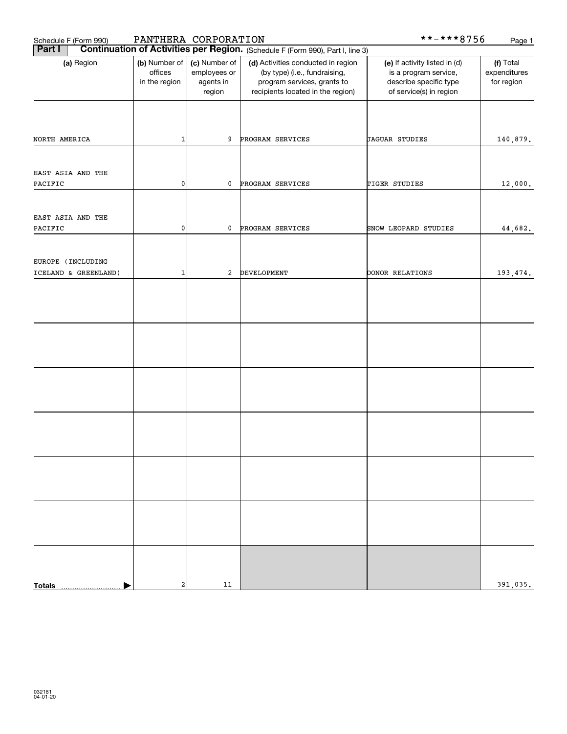| Schedule F (Form 990)        | PANTHERA CORPORATION                      |                                                      |                                                                                                                                         | **-***8756                                                                                                  | Page 1                                  |
|------------------------------|-------------------------------------------|------------------------------------------------------|-----------------------------------------------------------------------------------------------------------------------------------------|-------------------------------------------------------------------------------------------------------------|-----------------------------------------|
| Part I                       |                                           |                                                      | <b>Continuation of Activities per Region.</b> (Schedule F (Form 990), Part I, line 3)                                                   |                                                                                                             |                                         |
| (a) Region                   | (b) Number of<br>offices<br>in the region | (c) Number of<br>employees or<br>agents in<br>region | (d) Activities conducted in region<br>(by type) (i.e., fundraising,<br>program services, grants to<br>recipients located in the region) | (e) If activity listed in (d)<br>is a program service,<br>describe specific type<br>of service(s) in region | (f) Total<br>expenditures<br>for region |
| NORTH AMERICA                | $\mathbf 1$                               | 9                                                    | PROGRAM SERVICES                                                                                                                        | <b>JAGUAR STUDIES</b>                                                                                       | 140,879.                                |
| EAST ASIA AND THE<br>PACIFIC | 0                                         | 0                                                    | PROGRAM SERVICES                                                                                                                        | TIGER STUDIES                                                                                               | 12,000.                                 |
| EAST ASIA AND THE            |                                           |                                                      |                                                                                                                                         |                                                                                                             |                                         |
| PACIFIC                      | 0                                         | 0                                                    | PROGRAM SERVICES                                                                                                                        | SNOW LEOPARD STUDIES                                                                                        | 44,682.                                 |
| EUROPE (INCLUDING            |                                           |                                                      |                                                                                                                                         |                                                                                                             |                                         |
| ICELAND & GREENLAND)         | $\mathbf 1$                               | 2                                                    | DEVELOPMENT                                                                                                                             | DONOR RELATIONS                                                                                             | 193,474.                                |
|                              |                                           |                                                      |                                                                                                                                         |                                                                                                             |                                         |
|                              |                                           |                                                      |                                                                                                                                         |                                                                                                             |                                         |
|                              |                                           |                                                      |                                                                                                                                         |                                                                                                             |                                         |
|                              |                                           |                                                      |                                                                                                                                         |                                                                                                             |                                         |
|                              |                                           |                                                      |                                                                                                                                         |                                                                                                             |                                         |
|                              |                                           |                                                      |                                                                                                                                         |                                                                                                             |                                         |
|                              |                                           |                                                      |                                                                                                                                         |                                                                                                             |                                         |
|                              |                                           |                                                      |                                                                                                                                         |                                                                                                             |                                         |
| <b>Totals</b>                | $\mathbf 2$                               | 11                                                   |                                                                                                                                         |                                                                                                             | 391,035.                                |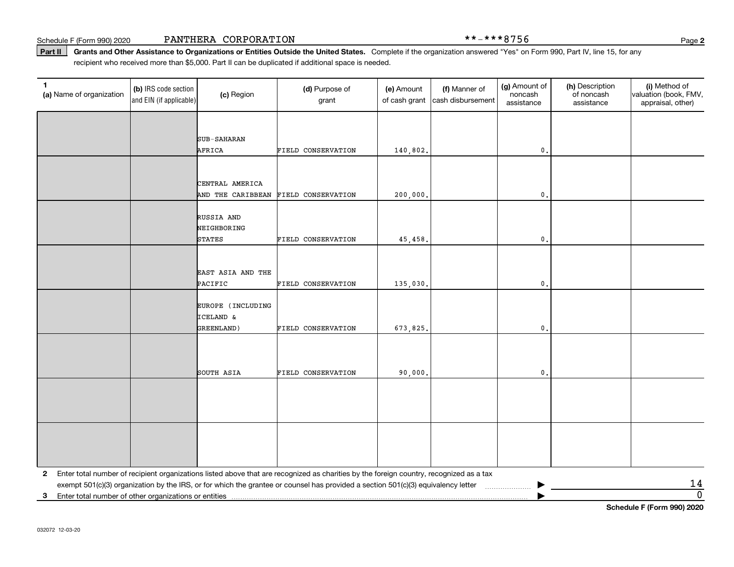Schedule F (Form 990) 2020 Page PANTHERA CORPORATION \*\*-\*\*\*8756

Part II | Grants and Other Assistance to Organizations or Entities Outside the United States. Complete if the organization answered "Yes" on Form 990, Part IV, line 15, for any recipient who received more than \$5,000. Part II can be duplicated if additional space is needed.

| $\mathbf{1}$<br>(a) Name of organization                                | (b) IRS code section<br>and EIN (if applicable) | (c) Region                   | (d) Purpose of<br>grant                                                                                                                 | (e) Amount<br>of cash grant | (f) Manner of<br>cash disbursement | (g) Amount of<br>noncash<br>assistance | (h) Description<br>of noncash<br>assistance | (i) Method of<br>valuation (book, FMV,<br>appraisal, other) |
|-------------------------------------------------------------------------|-------------------------------------------------|------------------------------|-----------------------------------------------------------------------------------------------------------------------------------------|-----------------------------|------------------------------------|----------------------------------------|---------------------------------------------|-------------------------------------------------------------|
|                                                                         |                                                 |                              |                                                                                                                                         |                             |                                    |                                        |                                             |                                                             |
|                                                                         |                                                 | <b>SUB-SAHARAN</b>           |                                                                                                                                         |                             |                                    |                                        |                                             |                                                             |
|                                                                         |                                                 | AFRICA                       | FIELD CONSERVATION                                                                                                                      | 140,802.                    |                                    | $\mathbf{0}$ .                         |                                             |                                                             |
|                                                                         |                                                 |                              |                                                                                                                                         |                             |                                    |                                        |                                             |                                                             |
|                                                                         |                                                 | CENTRAL AMERICA              |                                                                                                                                         |                             |                                    |                                        |                                             |                                                             |
|                                                                         |                                                 | AND THE CARIBBEAN            | FIELD CONSERVATION                                                                                                                      | 200,000.                    |                                    | $\mathbf{0}$ .                         |                                             |                                                             |
|                                                                         |                                                 |                              |                                                                                                                                         |                             |                                    |                                        |                                             |                                                             |
|                                                                         |                                                 | RUSSIA AND<br>NEIGHBORING    |                                                                                                                                         |                             |                                    |                                        |                                             |                                                             |
|                                                                         |                                                 | <b>STATES</b>                | FIELD CONSERVATION                                                                                                                      | 45, 458.                    |                                    | $\mathbf{0}$ .                         |                                             |                                                             |
|                                                                         |                                                 |                              |                                                                                                                                         |                             |                                    |                                        |                                             |                                                             |
|                                                                         |                                                 |                              |                                                                                                                                         |                             |                                    |                                        |                                             |                                                             |
|                                                                         |                                                 | EAST ASIA AND THE<br>PACIFIC | FIELD CONSERVATION                                                                                                                      | 135,030.                    |                                    | $\mathbf{0}$ .                         |                                             |                                                             |
|                                                                         |                                                 |                              |                                                                                                                                         |                             |                                    |                                        |                                             |                                                             |
|                                                                         |                                                 | EUROPE (INCLUDING            |                                                                                                                                         |                             |                                    |                                        |                                             |                                                             |
|                                                                         |                                                 | ICELAND &                    |                                                                                                                                         |                             |                                    |                                        |                                             |                                                             |
|                                                                         |                                                 | GREENLAND)                   | FIELD CONSERVATION                                                                                                                      | 673,825.                    |                                    | $\mathbf{0}$ .                         |                                             |                                                             |
|                                                                         |                                                 |                              |                                                                                                                                         |                             |                                    |                                        |                                             |                                                             |
|                                                                         |                                                 |                              |                                                                                                                                         |                             |                                    |                                        |                                             |                                                             |
|                                                                         |                                                 | SOUTH ASIA                   | FIELD CONSERVATION                                                                                                                      | 90,000.                     |                                    | $\mathbf{0}$ .                         |                                             |                                                             |
|                                                                         |                                                 |                              |                                                                                                                                         |                             |                                    |                                        |                                             |                                                             |
|                                                                         |                                                 |                              |                                                                                                                                         |                             |                                    |                                        |                                             |                                                             |
|                                                                         |                                                 |                              |                                                                                                                                         |                             |                                    |                                        |                                             |                                                             |
|                                                                         |                                                 |                              |                                                                                                                                         |                             |                                    |                                        |                                             |                                                             |
|                                                                         |                                                 |                              |                                                                                                                                         |                             |                                    |                                        |                                             |                                                             |
|                                                                         |                                                 |                              |                                                                                                                                         |                             |                                    |                                        |                                             |                                                             |
| $\mathbf{2}$                                                            |                                                 |                              | Enter total number of recipient organizations listed above that are recognized as charities by the foreign country, recognized as a tax |                             |                                    |                                        |                                             | <u>14</u>                                                   |
| Enter total number of other organizations or entities<br>3 <sup>1</sup> |                                                 |                              | exempt 501(c)(3) organization by the IRS, or for which the grantee or counsel has provided a section 501(c)(3) equivalency letter       |                             |                                    |                                        |                                             | $\overline{0}$                                              |

**Schedule F (Form 990) 2020**

**2**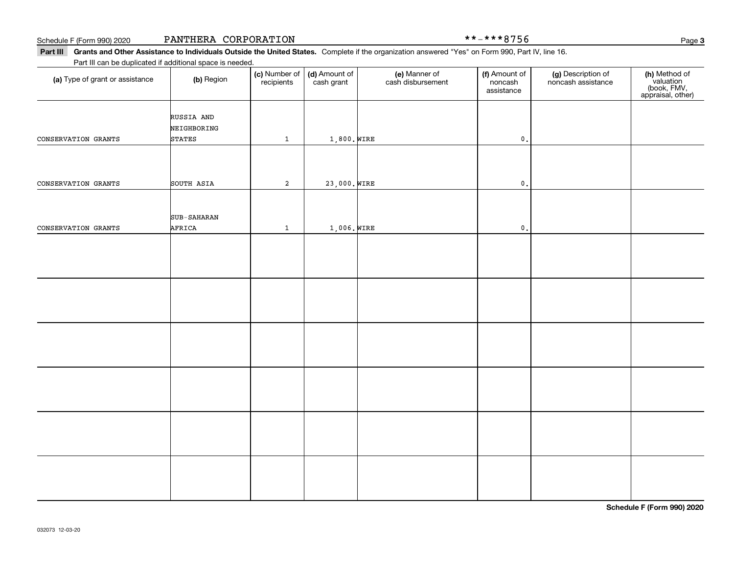Schedule F (Form 990) 2020 **PANTHERA** CORPORATION \* \*-\* \* \* 8 7 5 6 Page

Part III Grants and Other Assistance to Individuals Outside the United States. Complete if the organization answered "Yes" on Form 990, Part IV, line 16. Part III can be duplicated if additional space is needed.

| (a) Type of grant or assistance | (b) Region                                 | (c) Number of<br>recipients | (d) Amount of<br>cash grant | (e) Manner of<br>cash disbursement | (f) Amount of<br>noncash<br>assistance | (g) Description of<br>noncash assistance | (h) Method of<br>valuation<br>(book, FMV,<br>appraisal, other) |
|---------------------------------|--------------------------------------------|-----------------------------|-----------------------------|------------------------------------|----------------------------------------|------------------------------------------|----------------------------------------------------------------|
| CONSERVATION GRANTS             | RUSSIA AND<br>NEIGHBORING<br><b>STATES</b> |                             | 1,800. WIRE                 |                                    | $\mathbf{0}$ .                         |                                          |                                                                |
|                                 |                                            | $\mathbf{1}$                |                             |                                    |                                        |                                          |                                                                |
| CONSERVATION GRANTS             | SOUTH ASIA                                 | $\mathbf 2$                 | 23,000. WIRE                |                                    | $\mathfrak o$ .                        |                                          |                                                                |
|                                 |                                            |                             |                             |                                    |                                        |                                          |                                                                |
| CONSERVATION GRANTS             | <b>SUB-SAHARAN</b><br>AFRICA               | $\mathbf{1}$                | $1,006.$ WIRE               |                                    | $\mathfrak o$ .                        |                                          |                                                                |
|                                 |                                            |                             |                             |                                    |                                        |                                          |                                                                |
|                                 |                                            |                             |                             |                                    |                                        |                                          |                                                                |
|                                 |                                            |                             |                             |                                    |                                        |                                          |                                                                |
|                                 |                                            |                             |                             |                                    |                                        |                                          |                                                                |
|                                 |                                            |                             |                             |                                    |                                        |                                          |                                                                |
|                                 |                                            |                             |                             |                                    |                                        |                                          |                                                                |
|                                 |                                            |                             |                             |                                    |                                        |                                          |                                                                |
|                                 |                                            |                             |                             |                                    |                                        |                                          |                                                                |
|                                 |                                            |                             |                             |                                    |                                        |                                          |                                                                |
|                                 |                                            |                             |                             |                                    |                                        |                                          |                                                                |
|                                 |                                            |                             |                             |                                    |                                        |                                          |                                                                |
|                                 |                                            |                             |                             |                                    |                                        |                                          |                                                                |

**Schedule F (Form 990) 2020**

**3**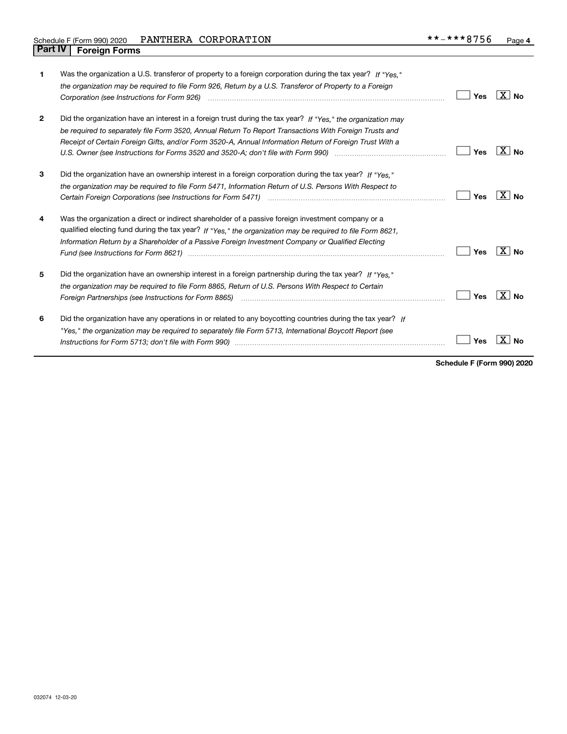| 1            | Was the organization a U.S. transferor of property to a foreign corporation during the tax year? If "Yes."<br>the organization may be required to file Form 926, Return by a U.S. Transferor of Property to a Foreign<br>Corporation (see Instructions for Form 926) <i>manual content content corporation</i> (see Instructions for Form 926)                                                                                          | <b>Yes</b> | ∣X∣No          |
|--------------|-----------------------------------------------------------------------------------------------------------------------------------------------------------------------------------------------------------------------------------------------------------------------------------------------------------------------------------------------------------------------------------------------------------------------------------------|------------|----------------|
| $\mathbf{2}$ | Did the organization have an interest in a foreign trust during the tax year? If "Yes," the organization may<br>be required to separately file Form 3520, Annual Return To Report Transactions With Foreign Trusts and<br>Receipt of Certain Foreign Gifts, and/or Form 3520-A, Annual Information Return of Foreign Trust With a                                                                                                       | Yes        | X<br><b>No</b> |
| 3            | Did the organization have an ownership interest in a foreign corporation during the tax year? If "Yes."<br>the organization may be required to file Form 5471, Information Return of U.S. Persons With Respect to                                                                                                                                                                                                                       | <b>Yes</b> | X  <br>Nο      |
| 4            | Was the organization a direct or indirect shareholder of a passive foreign investment company or a<br>qualified electing fund during the tax year? If "Yes," the organization may be required to file Form 8621.<br>Information Return by a Shareholder of a Passive Foreign Investment Company or Qualified Electing<br>Fund (see Instructions for Form 8621) manufactured control to the control of the control of the control of the | Yes        | X<br>Nο        |
| 5            | Did the organization have an ownership interest in a foreign partnership during the tax year? If "Yes."<br>the organization may be required to file Form 8865, Return of U.S. Persons With Respect to Certain                                                                                                                                                                                                                           | Yes        | X∣No           |
| 6            | Did the organization have any operations in or related to any boycotting countries during the tax year? If<br>"Yes," the organization may be required to separately file Form 5713, International Boycott Report (see                                                                                                                                                                                                                   | Yes        |                |

**Schedule F (Form 990) 2020**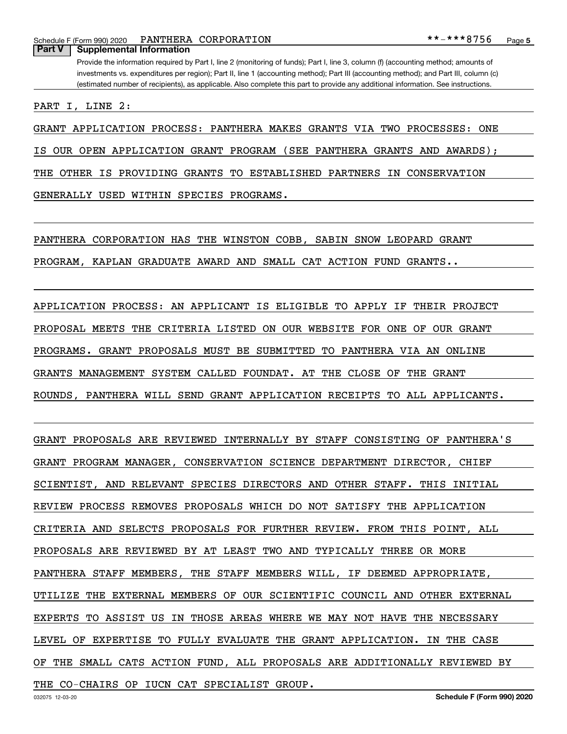Schedule F (Form 990) 2020 **PANTHERA CORPORATION \* \* – \* \* \* 8**  $756$  Page

**Part V Supplemental Information**

Provide the information required by Part I, line 2 (monitoring of funds); Part I, line 3, column (f) (accounting method; amounts of investments vs. expenditures per region); Part II, line 1 (accounting method); Part III (accounting method); and Part III, column (c) (estimated number of recipients), as applicable. Also complete this part to provide any additional information. See instructions.

PART I, LINE 2:

GRANT APPLICATION PROCESS: PANTHERA MAKES GRANTS VIA TWO PROCESSES: ONE

IS OUR OPEN APPLICATION GRANT PROGRAM (SEE PANTHERA GRANTS AND AWARDS);

THE OTHER IS PROVIDING GRANTS TO ESTABLISHED PARTNERS IN CONSERVATION

GENERALLY USED WITHIN SPECIES PROGRAMS.

PANTHERA CORPORATION HAS THE WINSTON COBB, SABIN SNOW LEOPARD GRANT

PROGRAM, KAPLAN GRADUATE AWARD AND SMALL CAT ACTION FUND GRANTS..

APPLICATION PROCESS: AN APPLICANT IS ELIGIBLE TO APPLY IF THEIR PROJECT PROPOSAL MEETS THE CRITERIA LISTED ON OUR WEBSITE FOR ONE OF OUR GRANT PROGRAMS. GRANT PROPOSALS MUST BE SUBMITTED TO PANTHERA VIA AN ONLINE GRANTS MANAGEMENT SYSTEM CALLED FOUNDAT. AT THE CLOSE OF THE GRANT ROUNDS, PANTHERA WILL SEND GRANT APPLICATION RECEIPTS TO ALL APPLICANTS.

GRANT PROPOSALS ARE REVIEWED INTERNALLY BY STAFF CONSISTING OF PANTHERA'S GRANT PROGRAM MANAGER, CONSERVATION SCIENCE DEPARTMENT DIRECTOR, CHIEF SCIENTIST, AND RELEVANT SPECIES DIRECTORS AND OTHER STAFF. THIS INITIAL REVIEW PROCESS REMOVES PROPOSALS WHICH DO NOT SATISFY THE APPLICATION CRITERIA AND SELECTS PROPOSALS FOR FURTHER REVIEW. FROM THIS POINT, ALL PROPOSALS ARE REVIEWED BY AT LEAST TWO AND TYPICALLY THREE OR MORE PANTHERA STAFF MEMBERS, THE STAFF MEMBERS WILL, IF DEEMED APPROPRIATE, UTILIZE THE EXTERNAL MEMBERS OF OUR SCIENTIFIC COUNCIL AND OTHER EXTERNAL EXPERTS TO ASSIST US IN THOSE AREAS WHERE WE MAY NOT HAVE THE NECESSARY LEVEL OF EXPERTISE TO FULLY EVALUATE THE GRANT APPLICATION. IN THE CASE OF THE SMALL CATS ACTION FUND, ALL PROPOSALS ARE ADDITIONALLY REVIEWED BY THE CO-CHAIRS OP IUCN CAT SPECIALIST GROUP.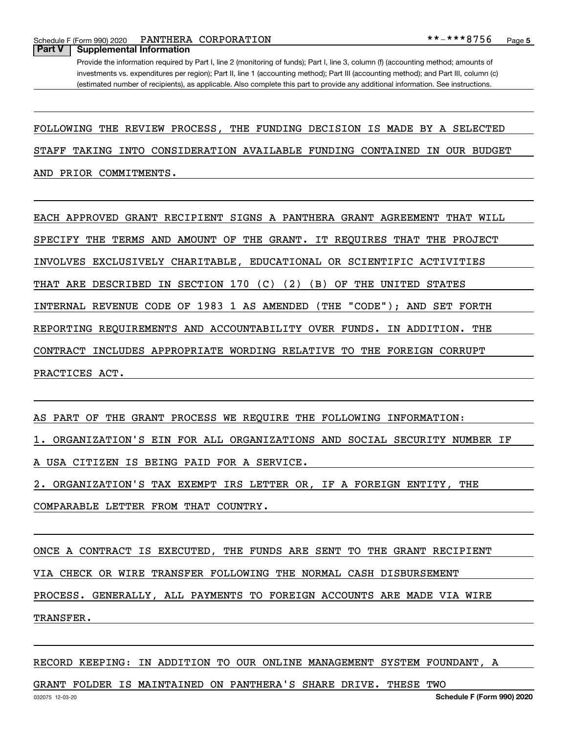Schedule F (Form 990) 2020 **PANTHERA CORPORATION \* \* – \* \* \* 8**  $756$  Page

#### **Part V Supplemental Information**

Provide the information required by Part I, line 2 (monitoring of funds); Part I, line 3, column (f) (accounting method; amounts of investments vs. expenditures per region); Part II, line 1 (accounting method); Part III (accounting method); and Part III, column (c) (estimated number of recipients), as applicable. Also complete this part to provide any additional information. See instructions.

FOLLOWING THE REVIEW PROCESS, THE FUNDING DECISION IS MADE BY A SELECTED

STAFF TAKING INTO CONSIDERATION AVAILABLE FUNDING CONTAINED IN OUR BUDGET

AND PRIOR COMMITMENTS.

EACH APPROVED GRANT RECIPIENT SIGNS A PANTHERA GRANT AGREEMENT THAT WILL SPECIFY THE TERMS AND AMOUNT OF THE GRANT. IT REQUIRES THAT THE PROJECT INVOLVES EXCLUSIVELY CHARITABLE, EDUCATIONAL OR SCIENTIFIC ACTIVITIES THAT ARE DESCRIBED IN SECTION 170 (C) (2) (B) OF THE UNITED STATES INTERNAL REVENUE CODE OF 1983 1 AS AMENDED (THE "CODE"); AND SET FORTH REPORTING REQUIREMENTS AND ACCOUNTABILITY OVER FUNDS. IN ADDITION. THE CONTRACT INCLUDES APPROPRIATE WORDING RELATIVE TO THE FOREIGN CORRUPT PRACTICES ACT.

AS PART OF THE GRANT PROCESS WE REQUIRE THE FOLLOWING INFORMATION:

1. ORGANIZATION'S EIN FOR ALL ORGANIZATIONS AND SOCIAL SECURITY NUMBER IF

A USA CITIZEN IS BEING PAID FOR A SERVICE.

2. ORGANIZATION'S TAX EXEMPT IRS LETTER OR, IF A FOREIGN ENTITY, THE

COMPARABLE LETTER FROM THAT COUNTRY.

ONCE A CONTRACT IS EXECUTED, THE FUNDS ARE SENT TO THE GRANT RECIPIENT VIA CHECK OR WIRE TRANSFER FOLLOWING THE NORMAL CASH DISBURSEMENT PROCESS. GENERALLY, ALL PAYMENTS TO FOREIGN ACCOUNTS ARE MADE VIA WIRE TRANSFER.

RECORD KEEPING: IN ADDITION TO OUR ONLINE MANAGEMENT SYSTEM FOUNDANT, A

GRANT FOLDER IS MAINTAINED ON PANTHERA'S SHARE DRIVE. THESE TWO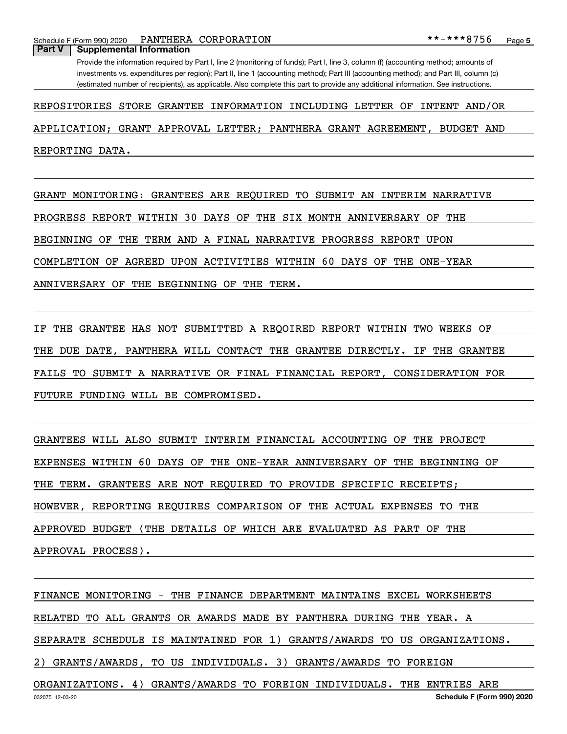Schedule F (Form 990) 2020 **PANTHERA CORPORATION \* \* – \* \* \* 8**  $756$  Page **Part V Supplemental Information**

Provide the information required by Part I, line 2 (monitoring of funds); Part I, line 3, column (f) (accounting method; amounts of investments vs. expenditures per region); Part II, line 1 (accounting method); Part III (accounting method); and Part III, column (c) (estimated number of recipients), as applicable. Also complete this part to provide any additional information. See instructions.

#### REPOSITORIES STORE GRANTEE INFORMATION INCLUDING LETTER OF INTENT AND/OR

APPLICATION; GRANT APPROVAL LETTER; PANTHERA GRANT AGREEMENT, BUDGET AND

REPORTING DATA.

GRANT MONITORING: GRANTEES ARE REQUIRED TO SUBMIT AN INTERIM NARRATIVE PROGRESS REPORT WITHIN 30 DAYS OF THE SIX MONTH ANNIVERSARY OF THE BEGINNING OF THE TERM AND A FINAL NARRATIVE PROGRESS REPORT UPON COMPLETION OF AGREED UPON ACTIVITIES WITHIN 60 DAYS OF THE ONE-YEAR

ANNIVERSARY OF THE BEGINNING OF THE TERM.

IF THE GRANTEE HAS NOT SUBMITTED A REQOIRED REPORT WITHIN TWO WEEKS OF THE DUE DATE, PANTHERA WILL CONTACT THE GRANTEE DIRECTLY. IF THE GRANTEE FAILS TO SUBMIT A NARRATIVE OR FINAL FINANCIAL REPORT, CONSIDERATION FOR FUTURE FUNDING WILL BE COMPROMISED.

GRANTEES WILL ALSO SUBMIT INTERIM FINANCIAL ACCOUNTING OF THE PROJECT EXPENSES WITHIN 60 DAYS OF THE ONE-YEAR ANNIVERSARY OF THE BEGINNING OF THE TERM. GRANTEES ARE NOT REQUIRED TO PROVIDE SPECIFIC RECEIPTS; HOWEVER, REPORTING REQUIRES COMPARISON OF THE ACTUAL EXPENSES TO THE APPROVED BUDGET (THE DETAILS OF WHICH ARE EVALUATED AS PART OF THE APPROVAL PROCESS).

FINANCE MONITORING - THE FINANCE DEPARTMENT MAINTAINS EXCEL WORKSHEETS RELATED TO ALL GRANTS OR AWARDS MADE BY PANTHERA DURING THE YEAR. A SEPARATE SCHEDULE IS MAINTAINED FOR 1) GRANTS/AWARDS TO US ORGANIZATIONS. 2) GRANTS/AWARDS, TO US INDIVIDUALS. 3) GRANTS/AWARDS TO FOREIGN ORGANIZATIONS. 4) GRANTS/AWARDS TO FOREIGN INDIVIDUALS. THE ENTRIES ARE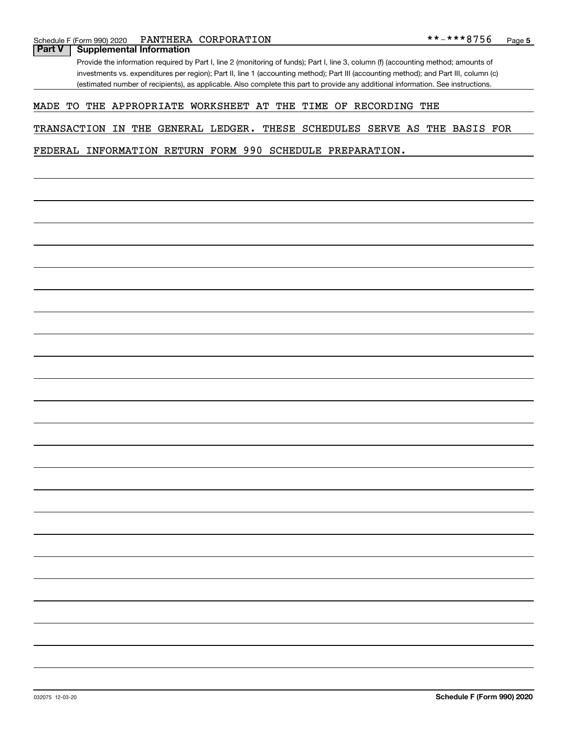### **Part V Supplemental Information**

Provide the information required by Part I, line 2 (monitoring of funds); Part I, line 3, column (f) (accounting method; amounts of investments vs. expenditures per region); Part II, line 1 (accounting method); Part III (accounting method); and Part III, column (c) (estimated number of recipients), as applicable. Also complete this part to provide any additional information. See instructions.

#### MADE TO THE APPROPRIATE WORKSHEET AT THE TIME OF RECORDING THE

TRANSACTION IN THE GENERAL LEDGER. THESE SCHEDULES SERVE AS THE BASIS FOR

FEDERAL INFORMATION RETURN FORM 990 SCHEDULE PREPARATION.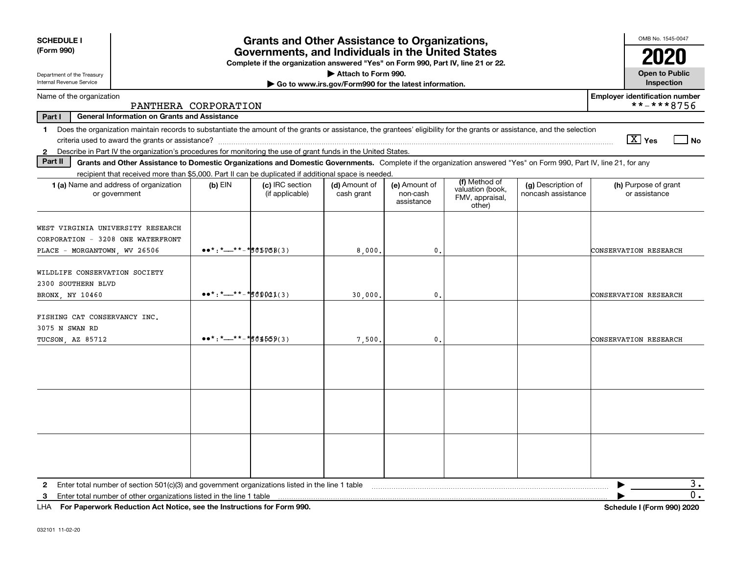| <b>SCHEDULE I</b><br>(Form 990)                                                                                                                                                                                                                                                                                | <b>Grants and Other Assistance to Organizations,</b><br>Governments, and Individuals in the United States<br>Complete if the organization answered "Yes" on Form 990, Part IV, line 21 or 22. |                                    |                                                                              |                                         |                                                                |                                          |                                                     |  |  |  |
|----------------------------------------------------------------------------------------------------------------------------------------------------------------------------------------------------------------------------------------------------------------------------------------------------------------|-----------------------------------------------------------------------------------------------------------------------------------------------------------------------------------------------|------------------------------------|------------------------------------------------------------------------------|-----------------------------------------|----------------------------------------------------------------|------------------------------------------|-----------------------------------------------------|--|--|--|
| Department of the Treasury<br>Internal Revenue Service                                                                                                                                                                                                                                                         |                                                                                                                                                                                               |                                    | Attach to Form 990.<br>Go to www.irs.gov/Form990 for the latest information. |                                         |                                                                |                                          | <b>Open to Public</b><br>Inspection                 |  |  |  |
| Name of the organization                                                                                                                                                                                                                                                                                       | PANTHERA CORPORATION                                                                                                                                                                          |                                    |                                                                              |                                         |                                                                |                                          | <b>Employer identification number</b><br>**-***8756 |  |  |  |
| Part I<br><b>General Information on Grants and Assistance</b>                                                                                                                                                                                                                                                  |                                                                                                                                                                                               |                                    |                                                                              |                                         |                                                                |                                          |                                                     |  |  |  |
| Does the organization maintain records to substantiate the amount of the grants or assistance, the grantees' eligibility for the grants or assistance, and the selection<br>1<br>Describe in Part IV the organization's procedures for monitoring the use of grant funds in the United States.<br>$\mathbf{2}$ |                                                                                                                                                                                               |                                    |                                                                              |                                         |                                                                |                                          | $\sqrt{X}$ Yes<br>$\overline{\phantom{a}}$ No       |  |  |  |
| Part II<br>Grants and Other Assistance to Domestic Organizations and Domestic Governments. Complete if the organization answered "Yes" on Form 990, Part IV, line 21, for any                                                                                                                                  |                                                                                                                                                                                               |                                    |                                                                              |                                         |                                                                |                                          |                                                     |  |  |  |
| recipient that received more than \$5,000. Part II can be duplicated if additional space is needed.<br>1 (a) Name and address of organization<br>or government                                                                                                                                                 | $(b)$ EIN                                                                                                                                                                                     | (c) IRC section<br>(if applicable) | (d) Amount of<br>cash grant                                                  | (e) Amount of<br>non-cash<br>assistance | (f) Method of<br>valuation (book,<br>FMV, appraisal,<br>other) | (g) Description of<br>noncash assistance | (h) Purpose of grant<br>or assistance               |  |  |  |
| WEST VIRGINIA UNIVERSITY RESEARCH<br>CORPORATION - 3208 ONE WATERFRONT<br>PLACE - MORGANTOWN, WV 26506                                                                                                                                                                                                         | $\bullet \bullet \ast : \ast \_ \ast \ast \ast \ast \ast \ast \ast \ast \ast \ast \ast \ast \ast \ast$                                                                                        |                                    | 8,000.                                                                       | 0.                                      |                                                                |                                          | <b>CONSERVATION RESEARCH</b>                        |  |  |  |
| WILDLIFE CONSERVATION SOCIETY<br>2300 SOUTHERN BLVD<br>BRONX, NY 10460                                                                                                                                                                                                                                         | $\bullet\bullet^*$ : *__**-*501041(3)                                                                                                                                                         |                                    | 30,000.                                                                      | $\mathbf{0}$ .                          |                                                                |                                          | CONSERVATION RESEARCH                               |  |  |  |
| FISHING CAT CONSERVANCY INC.<br>3075 N SWAN RD<br>TUCSON, AZ 85712                                                                                                                                                                                                                                             | $\bullet\bullet^*$ : *__**-*501509(3)                                                                                                                                                         |                                    | 7,500.                                                                       | 0.                                      |                                                                |                                          | CONSERVATION RESEARCH                               |  |  |  |
|                                                                                                                                                                                                                                                                                                                |                                                                                                                                                                                               |                                    |                                                                              |                                         |                                                                |                                          |                                                     |  |  |  |
|                                                                                                                                                                                                                                                                                                                |                                                                                                                                                                                               |                                    |                                                                              |                                         |                                                                |                                          |                                                     |  |  |  |
|                                                                                                                                                                                                                                                                                                                |                                                                                                                                                                                               |                                    |                                                                              |                                         |                                                                |                                          |                                                     |  |  |  |
| Enter total number of section 501(c)(3) and government organizations listed in the line 1 table<br>$\mathbf{2}$<br>Enter total number of other organizations listed in the line 1 table<br>3                                                                                                                   |                                                                                                                                                                                               |                                    |                                                                              |                                         |                                                                |                                          | з.<br>0.                                            |  |  |  |

**For Paperwork Reduction Act Notice, see the Instructions for Form 990. Schedule I (Form 990) 2020** LHA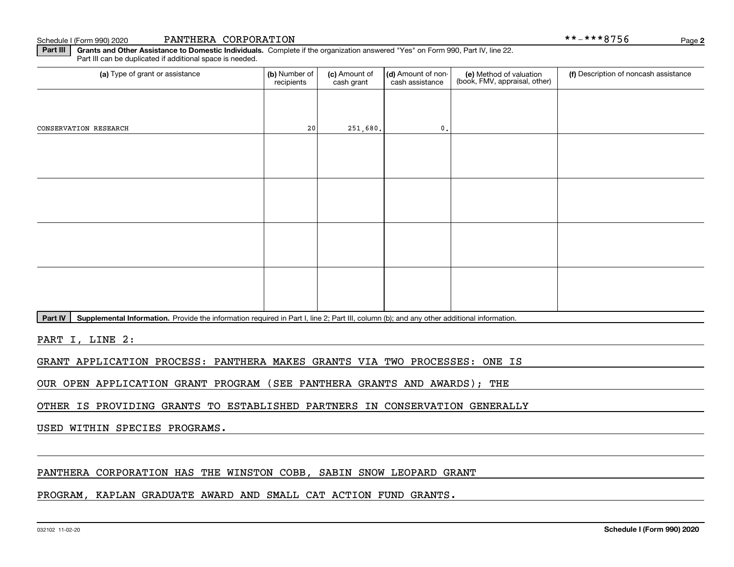Schedule I (Form 990) 2020 PANTHERA CORPORATION \* \* – \* \* \* 8 7 5 6 Page

**2**

**Part III | Grants and Other Assistance to Domestic Individuals. Complete if the organization answered "Yes" on Form 990, Part IV, line 22.** Part III can be duplicated if additional space is needed.

| (a) Type of grant or assistance | (b) Number of<br>recipients | (c) Amount of<br>cash grant | (d) Amount of non-<br>cash assistance | (e) Method of valuation<br>(book, FMV, appraisal, other) | (f) Description of noncash assistance |
|---------------------------------|-----------------------------|-----------------------------|---------------------------------------|----------------------------------------------------------|---------------------------------------|
|                                 |                             |                             |                                       |                                                          |                                       |
| CONSERVATION RESEARCH           | 20                          | 251,680.                    | $\mathfrak o$ .                       |                                                          |                                       |
|                                 |                             |                             |                                       |                                                          |                                       |
|                                 |                             |                             |                                       |                                                          |                                       |
|                                 |                             |                             |                                       |                                                          |                                       |
|                                 |                             |                             |                                       |                                                          |                                       |
|                                 |                             |                             |                                       |                                                          |                                       |
|                                 |                             |                             |                                       |                                                          |                                       |
|                                 |                             |                             |                                       |                                                          |                                       |
|                                 |                             |                             |                                       |                                                          |                                       |

Part IV | Supplemental Information. Provide the information required in Part I, line 2; Part III, column (b); and any other additional information.

PART I, LINE 2:

GRANT APPLICATION PROCESS: PANTHERA MAKES GRANTS VIA TWO PROCESSES: ONE IS

OUR OPEN APPLICATION GRANT PROGRAM (SEE PANTHERA GRANTS AND AWARDS); THE

OTHER IS PROVIDING GRANTS TO ESTABLISHED PARTNERS IN CONSERVATION GENERALLY

USED WITHIN SPECIES PROGRAMS.

PANTHERA CORPORATION HAS THE WINSTON COBB, SABIN SNOW LEOPARD GRANT

PROGRAM, KAPLAN GRADUATE AWARD AND SMALL CAT ACTION FUND GRANTS.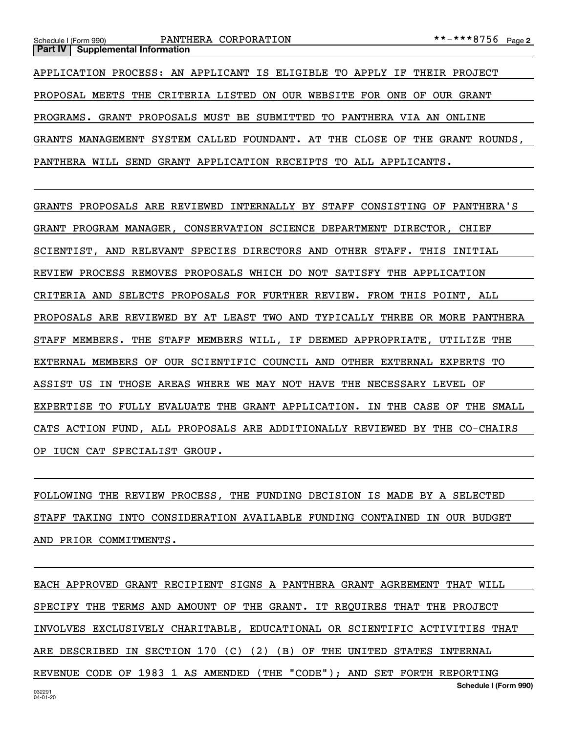APPLICATION PROCESS: AN APPLICANT IS ELIGIBLE TO APPLY IF THEIR PROJECT PROPOSAL MEETS THE CRITERIA LISTED ON OUR WEBSITE FOR ONE OF OUR GRANT PROGRAMS. GRANT PROPOSALS MUST BE SUBMITTED TO PANTHERA VIA AN ONLINE GRANTS MANAGEMENT SYSTEM CALLED FOUNDANT. AT THE CLOSE OF THE GRANT ROUNDS, PANTHERA WILL SEND GRANT APPLICATION RECEIPTS TO ALL APPLICANTS.

GRANTS PROPOSALS ARE REVIEWED INTERNALLY BY STAFF CONSISTING OF PANTHERA'S GRANT PROGRAM MANAGER, CONSERVATION SCIENCE DEPARTMENT DIRECTOR, CHIEF SCIENTIST, AND RELEVANT SPECIES DIRECTORS AND OTHER STAFF. THIS INITIAL REVIEW PROCESS REMOVES PROPOSALS WHICH DO NOT SATISFY THE APPLICATION CRITERIA AND SELECTS PROPOSALS FOR FURTHER REVIEW. FROM THIS POINT, ALL PROPOSALS ARE REVIEWED BY AT LEAST TWO AND TYPICALLY THREE OR MORE PANTHERA STAFF MEMBERS. THE STAFF MEMBERS WILL, IF DEEMED APPROPRIATE, UTILIZE THE EXTERNAL MEMBERS OF OUR SCIENTIFIC COUNCIL AND OTHER EXTERNAL EXPERTS TO ASSIST US IN THOSE AREAS WHERE WE MAY NOT HAVE THE NECESSARY LEVEL OF EXPERTISE TO FULLY EVALUATE THE GRANT APPLICATION. IN THE CASE OF THE SMALL CATS ACTION FUND, ALL PROPOSALS ARE ADDITIONALLY REVIEWED BY THE CO-CHAIRS OP IUCN CAT SPECIALIST GROUP.

FOLLOWING THE REVIEW PROCESS, THE FUNDING DECISION IS MADE BY A SELECTED STAFF TAKING INTO CONSIDERATION AVAILABLE FUNDING CONTAINED IN OUR BUDGET AND PRIOR COMMITMENTS.

032291 04-01-20**Schedule I (Form 990)** EACH APPROVED GRANT RECIPIENT SIGNS A PANTHERA GRANT AGREEMENT THAT WILL SPECIFY THE TERMS AND AMOUNT OF THE GRANT. IT REQUIRES THAT THE PROJECT INVOLVES EXCLUSIVELY CHARITABLE, EDUCATIONAL OR SCIENTIFIC ACTIVITIES THAT ARE DESCRIBED IN SECTION 170 (C) (2) (B) OF THE UNITED STATES INTERNAL REVENUE CODE OF 1983 1 AS AMENDED (THE "CODE"); AND SET FORTH REPORTING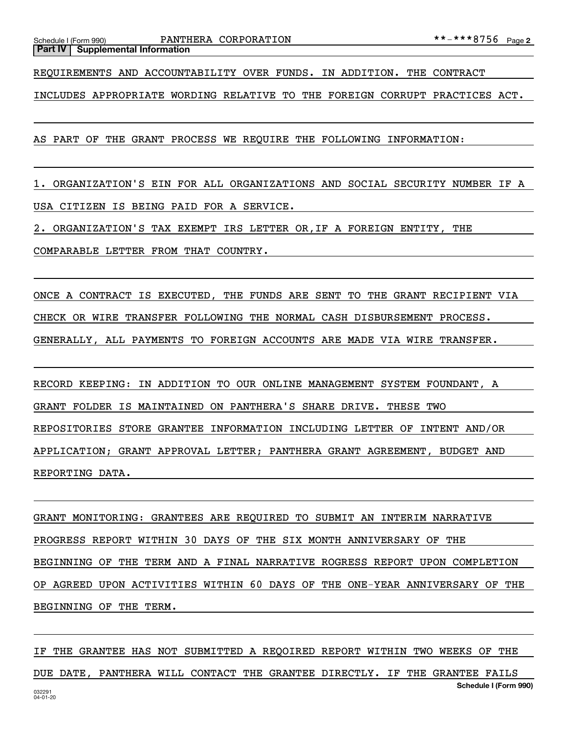**Part IV Supplemental Information**

REQUIREMENTS AND ACCOUNTABILITY OVER FUNDS. IN ADDITION. THE CONTRACT

INCLUDES APPROPRIATE WORDING RELATIVE TO THE FOREIGN CORRUPT PRACTICES ACT.

AS PART OF THE GRANT PROCESS WE REQUIRE THE FOLLOWING INFORMATION:

1. ORGANIZATION'S EIN FOR ALL ORGANIZATIONS AND SOCIAL SECURITY NUMBER IF A USA CITIZEN IS BEING PAID FOR A SERVICE.

2. ORGANIZATION'S TAX EXEMPT IRS LETTER OR,IF A FOREIGN ENTITY, THE

COMPARABLE LETTER FROM THAT COUNTRY.

ONCE A CONTRACT IS EXECUTED, THE FUNDS ARE SENT TO THE GRANT RECIPIENT VIA CHECK OR WIRE TRANSFER FOLLOWING THE NORMAL CASH DISBURSEMENT PROCESS. GENERALLY, ALL PAYMENTS TO FOREIGN ACCOUNTS ARE MADE VIA WIRE TRANSFER.

RECORD KEEPING: IN ADDITION TO OUR ONLINE MANAGEMENT SYSTEM FOUNDANT, A GRANT FOLDER IS MAINTAINED ON PANTHERA'S SHARE DRIVE. THESE TWO REPOSITORIES STORE GRANTEE INFORMATION INCLUDING LETTER OF INTENT AND/OR APPLICATION; GRANT APPROVAL LETTER; PANTHERA GRANT AGREEMENT, BUDGET AND REPORTING DATA.

GRANT MONITORING: GRANTEES ARE REQUIRED TO SUBMIT AN INTERIM NARRATIVE PROGRESS REPORT WITHIN 30 DAYS OF THE SIX MONTH ANNIVERSARY OF THE BEGINNING OF THE TERM AND A FINAL NARRATIVE ROGRESS REPORT UPON COMPLETION OP AGREED UPON ACTIVITIES WITHIN 60 DAYS OF THE ONE-YEAR ANNIVERSARY OF THE BEGINNING OF THE TERM.

032291 04-01-20**Schedule I (Form 990)** IF THE GRANTEE HAS NOT SUBMITTED A REQOIRED REPORT WITHIN TWO WEEKS OF THE DUE DATE, PANTHERA WILL CONTACT THE GRANTEE DIRECTLY. IF THE GRANTEE FAILS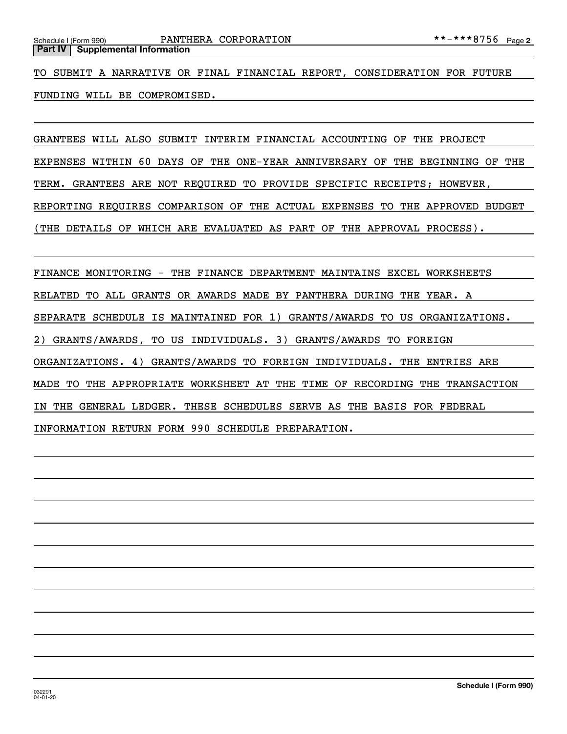**Part IV** Supplemental Information

TO SUBMIT A NARRATIVE OR FINAL FINANCIAL REPORT, CONSIDERATION FOR FUTURE FUNDING WILL BE COMPROMISED.

GRANTEES WILL ALSO SUBMIT INTERIM FINANCIAL ACCOUNTING OF THE PROJECT EXPENSES WITHIN 60 DAYS OF THE ONE-YEAR ANNIVERSARY OF THE BEGINNING OF THE TERM. GRANTEES ARE NOT REQUIRED TO PROVIDE SPECIFIC RECEIPTS; HOWEVER, REPORTING REQUIRES COMPARISON OF THE ACTUAL EXPENSES TO THE APPROVED BUDGET (THE DETAILS OF WHICH ARE EVALUATED AS PART OF THE APPROVAL PROCESS).

FINANCE MONITORING - THE FINANCE DEPARTMENT MAINTAINS EXCEL WORKSHEETS RELATED TO ALL GRANTS OR AWARDS MADE BY PANTHERA DURING THE YEAR. A SEPARATE SCHEDULE IS MAINTAINED FOR 1) GRANTS/AWARDS TO US ORGANIZATIONS. 2) GRANTS/AWARDS, TO US INDIVIDUALS. 3) GRANTS/AWARDS TO FOREIGN ORGANIZATIONS. 4) GRANTS/AWARDS TO FOREIGN INDIVIDUALS. THE ENTRIES ARE MADE TO THE APPROPRIATE WORKSHEET AT THE TIME OF RECORDING THE TRANSACTION IN THE GENERAL LEDGER. THESE SCHEDULES SERVE AS THE BASIS FOR FEDERAL INFORMATION RETURN FORM 990 SCHEDULE PREPARATION.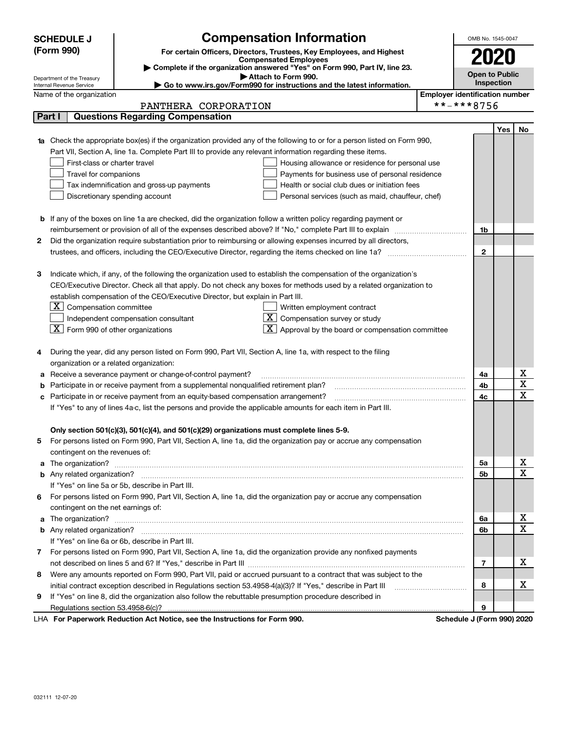|            | <b>SCHEDULE J</b>                                      | <b>Compensation Information</b>                                                                                                                                                                                                          |                                       | OMB No. 1545-0047          |     |             |
|------------|--------------------------------------------------------|------------------------------------------------------------------------------------------------------------------------------------------------------------------------------------------------------------------------------------------|---------------------------------------|----------------------------|-----|-------------|
| (Form 990) |                                                        | For certain Officers, Directors, Trustees, Key Employees, and Highest                                                                                                                                                                    |                                       |                            |     |             |
|            |                                                        | <b>Compensated Employees</b>                                                                                                                                                                                                             |                                       | 2020                       |     |             |
|            |                                                        | Complete if the organization answered "Yes" on Form 990, Part IV, line 23.<br>Attach to Form 990.                                                                                                                                        |                                       | <b>Open to Public</b>      |     |             |
|            | Department of the Treasury<br>Internal Revenue Service | ► Go to www.irs.gov/Form990 for instructions and the latest information.                                                                                                                                                                 |                                       | Inspection                 |     |             |
|            | Name of the organization                               |                                                                                                                                                                                                                                          | <b>Employer identification number</b> |                            |     |             |
|            |                                                        | PANTHERA CORPORATION                                                                                                                                                                                                                     | **-***8756                            |                            |     |             |
| Part I     |                                                        | <b>Questions Regarding Compensation</b>                                                                                                                                                                                                  |                                       |                            |     |             |
|            |                                                        |                                                                                                                                                                                                                                          |                                       |                            | Yes | No          |
|            |                                                        | 1a Check the appropriate box(es) if the organization provided any of the following to or for a person listed on Form 990,                                                                                                                |                                       |                            |     |             |
|            |                                                        | Part VII, Section A, line 1a. Complete Part III to provide any relevant information regarding these items.                                                                                                                               |                                       |                            |     |             |
|            | First-class or charter travel                          | Housing allowance or residence for personal use                                                                                                                                                                                          |                                       |                            |     |             |
|            | Travel for companions                                  | Payments for business use of personal residence                                                                                                                                                                                          |                                       |                            |     |             |
|            |                                                        | Tax indemnification and gross-up payments<br>Health or social club dues or initiation fees                                                                                                                                               |                                       |                            |     |             |
|            |                                                        | Discretionary spending account<br>Personal services (such as maid, chauffeur, chef)                                                                                                                                                      |                                       |                            |     |             |
|            |                                                        |                                                                                                                                                                                                                                          |                                       |                            |     |             |
|            |                                                        | <b>b</b> If any of the boxes on line 1a are checked, did the organization follow a written policy regarding payment or                                                                                                                   |                                       |                            |     |             |
|            |                                                        | reimbursement or provision of all of the expenses described above? If "No," complete Part III to explain                                                                                                                                 |                                       | 1b                         |     |             |
| 2          |                                                        | Did the organization require substantiation prior to reimbursing or allowing expenses incurred by all directors,                                                                                                                         |                                       |                            |     |             |
|            |                                                        |                                                                                                                                                                                                                                          |                                       | 2                          |     |             |
|            |                                                        |                                                                                                                                                                                                                                          |                                       |                            |     |             |
| З          |                                                        | Indicate which, if any, of the following the organization used to establish the compensation of the organization's<br>CEO/Executive Director. Check all that apply. Do not check any boxes for methods used by a related organization to |                                       |                            |     |             |
|            |                                                        | establish compensation of the CEO/Executive Director, but explain in Part III.                                                                                                                                                           |                                       |                            |     |             |
|            | $\boxed{\textbf{X}}$ Compensation committee            | Written employment contract                                                                                                                                                                                                              |                                       |                            |     |             |
|            |                                                        | $ \mathbf{X} $ Compensation survey or study<br>Independent compensation consultant                                                                                                                                                       |                                       |                            |     |             |
|            | $\boxed{\textbf{X}}$ Form 990 of other organizations   | $X$ Approval by the board or compensation committee                                                                                                                                                                                      |                                       |                            |     |             |
|            |                                                        |                                                                                                                                                                                                                                          |                                       |                            |     |             |
| 4          |                                                        | During the year, did any person listed on Form 990, Part VII, Section A, line 1a, with respect to the filing                                                                                                                             |                                       |                            |     |             |
|            | organization or a related organization:                |                                                                                                                                                                                                                                          |                                       |                            |     |             |
| а          |                                                        | Receive a severance payment or change-of-control payment?                                                                                                                                                                                |                                       | 4a                         |     | х           |
| b          |                                                        | Participate in or receive payment from a supplemental nonqualified retirement plan?                                                                                                                                                      |                                       | 4b                         |     | $\mathbf X$ |
| c          |                                                        | Participate in or receive payment from an equity-based compensation arrangement?                                                                                                                                                         |                                       | 4с                         |     | $\mathbf X$ |
|            |                                                        | If "Yes" to any of lines 4a-c, list the persons and provide the applicable amounts for each item in Part III.                                                                                                                            |                                       |                            |     |             |
|            |                                                        |                                                                                                                                                                                                                                          |                                       |                            |     |             |
|            |                                                        | Only section 501(c)(3), 501(c)(4), and 501(c)(29) organizations must complete lines 5-9.                                                                                                                                                 |                                       |                            |     |             |
|            |                                                        | For persons listed on Form 990, Part VII, Section A, line 1a, did the organization pay or accrue any compensation                                                                                                                        |                                       |                            |     |             |
|            | contingent on the revenues of:                         |                                                                                                                                                                                                                                          |                                       |                            |     |             |
|            |                                                        | a The organization? <b>Constitution</b> and the organization?                                                                                                                                                                            |                                       | 5a                         |     | х           |
|            |                                                        |                                                                                                                                                                                                                                          |                                       | 5b                         |     | X           |
|            |                                                        | If "Yes" on line 5a or 5b, describe in Part III.                                                                                                                                                                                         |                                       |                            |     |             |
|            |                                                        | 6 For persons listed on Form 990, Part VII, Section A, line 1a, did the organization pay or accrue any compensation                                                                                                                      |                                       |                            |     |             |
|            | contingent on the net earnings of:                     |                                                                                                                                                                                                                                          |                                       |                            |     |             |
|            |                                                        | a The organization? <b>Entitled Strategies and Strategies and Strategies and Strategies and Strategies and Strategies and Strategies and Strategies and Strategies and Strategies and Strategies and Strategies and Strategies a</b>     |                                       | 6a                         |     | x           |
|            |                                                        |                                                                                                                                                                                                                                          |                                       | 6b                         |     | X           |
|            |                                                        | If "Yes" on line 6a or 6b, describe in Part III.                                                                                                                                                                                         |                                       |                            |     |             |
|            |                                                        | 7 For persons listed on Form 990, Part VII, Section A, line 1a, did the organization provide any nonfixed payments                                                                                                                       |                                       |                            |     |             |
|            |                                                        |                                                                                                                                                                                                                                          |                                       | 7                          |     | х           |
| 8          |                                                        | Were any amounts reported on Form 990, Part VII, paid or accrued pursuant to a contract that was subject to the                                                                                                                          |                                       |                            |     |             |
|            |                                                        | initial contract exception described in Regulations section 53.4958-4(a)(3)? If "Yes," describe in Part III                                                                                                                              |                                       | 8                          |     | х           |
| 9          |                                                        | If "Yes" on line 8, did the organization also follow the rebuttable presumption procedure described in                                                                                                                                   |                                       |                            |     |             |
|            | Regulations section 53.4958-6(c)?                      |                                                                                                                                                                                                                                          |                                       | 9                          |     |             |
|            |                                                        | LHA For Paperwork Reduction Act Notice, see the Instructions for Form 990.                                                                                                                                                               |                                       | Schedule J (Form 990) 2020 |     |             |

032111 12-07-20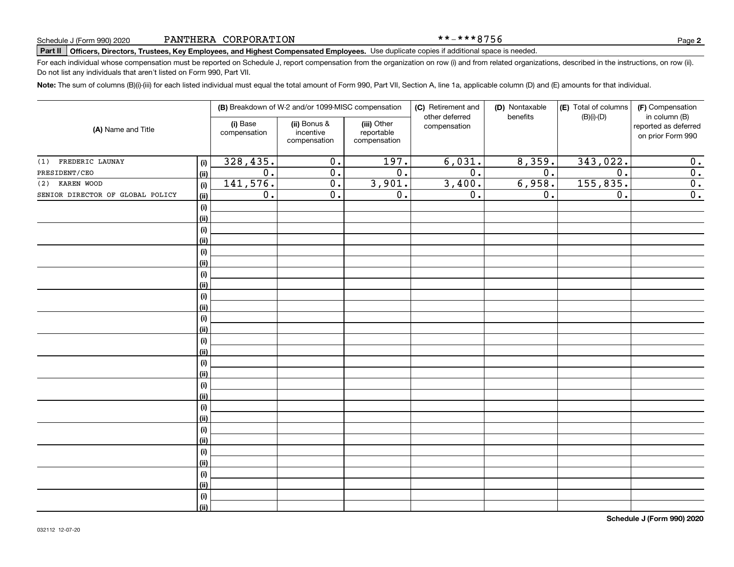\*\*-\*\*\*8756

# Schedule J (Form 990) 2020 PANTHERA CORPORATION **In the part of the set of the set of the set of the Page Page**<br>Part II | Officers, Directors, Trustees, Key Employees, and Highest Compensated Employees. Use duplicate copie

For each individual whose compensation must be reported on Schedule J, report compensation from the organization on row (i) and from related organizations, described in the instructions, on row (ii). Do not list any individuals that aren't listed on Form 990, Part VII.

**Note:**  The sum of columns (B)(i)-(iii) for each listed individual must equal the total amount of Form 990, Part VII, Section A, line 1a, applicable column (D) and (E) amounts for that individual.

| (A) Name and Title               |             |                          | (B) Breakdown of W-2 and/or 1099-MISC compensation |                                           | (C) Retirement and<br>other deferred | (D) Nontaxable<br>benefits | (E) Total of columns | (F) Compensation<br>in column (B)         |
|----------------------------------|-------------|--------------------------|----------------------------------------------------|-------------------------------------------|--------------------------------------|----------------------------|----------------------|-------------------------------------------|
|                                  |             | (i) Base<br>compensation | (ii) Bonus &<br>incentive<br>compensation          | (iii) Other<br>reportable<br>compensation | compensation                         |                            | $(B)(i)-(D)$         | reported as deferred<br>on prior Form 990 |
| (1) FREDERIC LAUNAY              | (i)         | 328,435.                 | $\mathbf 0$ .                                      | 197.                                      | 6,031.                               | 8,359.                     | 343,022.             | 0.                                        |
| PRESIDENT/CEO                    | <u>(ii)</u> | $\overline{0}$ .         | $\overline{0}$ .                                   | $\overline{0}$ .                          | $\overline{0}$ .                     | $\overline{0}$ .           | $\overline{0}$ .     | $\overline{0}$ .                          |
| (2) KAREN WOOD                   | (i)         | 141,576.                 | $\overline{0}$ .                                   | 3,901.                                    | 3,400.                               | 6,958.                     | 155,835.             | $\overline{0}$ .                          |
| SENIOR DIRECTOR OF GLOBAL POLICY | <u>(ii)</u> | $\overline{0}$ .         | $\overline{0}$ .                                   | $\overline{0}$ .                          | $\overline{0}$ .                     | 0.                         | $\overline{0}$ .     | $\overline{\mathbf{0}}$ .                 |
|                                  | (i)         |                          |                                                    |                                           |                                      |                            |                      |                                           |
|                                  | <u>(ii)</u> |                          |                                                    |                                           |                                      |                            |                      |                                           |
|                                  | $(\sf{i})$  |                          |                                                    |                                           |                                      |                            |                      |                                           |
|                                  | <u>(ii)</u> |                          |                                                    |                                           |                                      |                            |                      |                                           |
|                                  | $(\sf{i})$  |                          |                                                    |                                           |                                      |                            |                      |                                           |
|                                  | <u>(ii)</u> |                          |                                                    |                                           |                                      |                            |                      |                                           |
|                                  | (i)         |                          |                                                    |                                           |                                      |                            |                      |                                           |
|                                  | <u>(ii)</u> |                          |                                                    |                                           |                                      |                            |                      |                                           |
|                                  | (i)         |                          |                                                    |                                           |                                      |                            |                      |                                           |
|                                  | (ii)        |                          |                                                    |                                           |                                      |                            |                      |                                           |
|                                  | (i)         |                          |                                                    |                                           |                                      |                            |                      |                                           |
|                                  | (ii)        |                          |                                                    |                                           |                                      |                            |                      |                                           |
|                                  | $(\sf{i})$  |                          |                                                    |                                           |                                      |                            |                      |                                           |
|                                  | (ii)        |                          |                                                    |                                           |                                      |                            |                      |                                           |
|                                  | $(\sf{i})$  |                          |                                                    |                                           |                                      |                            |                      |                                           |
|                                  | <u>(ii)</u> |                          |                                                    |                                           |                                      |                            |                      |                                           |
|                                  | $(\sf{i})$  |                          |                                                    |                                           |                                      |                            |                      |                                           |
|                                  | <u>(ii)</u> |                          |                                                    |                                           |                                      |                            |                      |                                           |
|                                  | (i)         |                          |                                                    |                                           |                                      |                            |                      |                                           |
|                                  | (ii)        |                          |                                                    |                                           |                                      |                            |                      |                                           |
|                                  | (i)         |                          |                                                    |                                           |                                      |                            |                      |                                           |
|                                  | (ii)        |                          |                                                    |                                           |                                      |                            |                      |                                           |
|                                  | (i)         |                          |                                                    |                                           |                                      |                            |                      |                                           |
|                                  | (ii)        |                          |                                                    |                                           |                                      |                            |                      |                                           |
|                                  | (i)         |                          |                                                    |                                           |                                      |                            |                      |                                           |
|                                  | (ii)        |                          |                                                    |                                           |                                      |                            |                      |                                           |
|                                  | (i)         |                          |                                                    |                                           |                                      |                            |                      |                                           |
|                                  | (ii)        |                          |                                                    |                                           |                                      |                            |                      |                                           |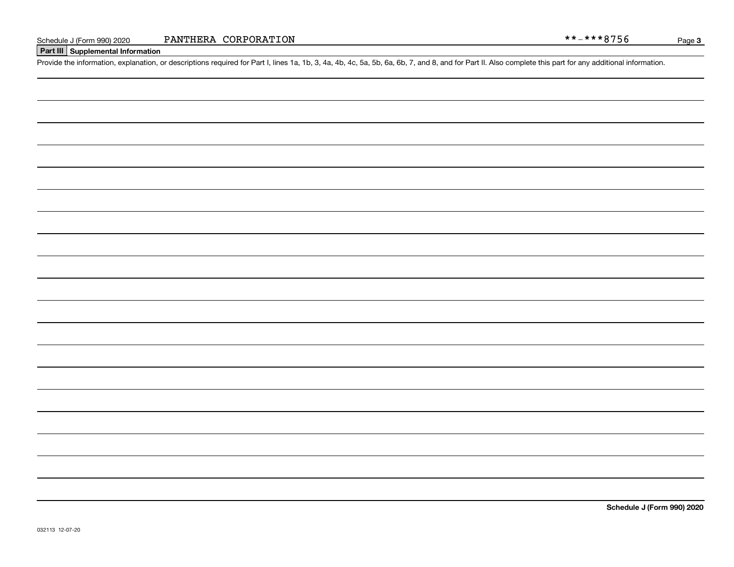Page 3

### **Part III Supplemental Information**

Schedule J (Form 990) 2020 PANTHERA CORPORATION<br>Part III Supplemental Information<br>Provide the information, explanation, or descriptions required for Part I, lines 1a, 1b, 3, 4a, 4b, 4c, 5a, 5b, 6a, 6b, 7, and 8, and for Pa

**Schedule J (Form 990) 2020**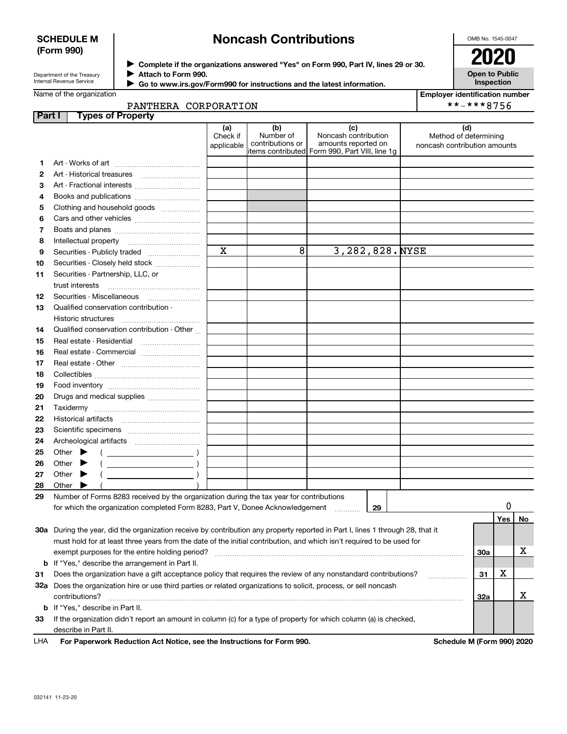#### **SCHEDULE M (Form 990)**

# **Noncash Contributions**

OMB No. 1545-0047

| Department of the Treasury      |
|---------------------------------|
| <b>Internal Revenue Service</b> |

**Complete if the organizations answered "Yes" on Form 990, Part IV, lines 29 or 30.** <sup>J</sup>**2020 Attach to Form 990.** J

 **Go to www.irs.gov/Form990 for instructions and the latest information.** J

| <b>Open to Public</b><br>Inspection |
|-------------------------------------|
|                                     |

PANTHERA CORPORATION

| <b>Employer identification number</b> |
|---------------------------------------|
| **-***8756                            |

| Part | <b>Types of Property</b>                                                                                                                                                           |                               |                                      |                                                                                                       |                                                              |         |    |
|------|------------------------------------------------------------------------------------------------------------------------------------------------------------------------------------|-------------------------------|--------------------------------------|-------------------------------------------------------------------------------------------------------|--------------------------------------------------------------|---------|----|
|      |                                                                                                                                                                                    | (a)<br>Check if<br>applicable | (b)<br>Number of<br>contributions or | (c)<br>Noncash contribution<br>amounts reported on<br>litems contributed Form 990, Part VIII, line 1g | (d)<br>Method of determining<br>noncash contribution amounts |         |    |
| 1    |                                                                                                                                                                                    |                               |                                      |                                                                                                       |                                                              |         |    |
| 2    | Art - Historical treasures                                                                                                                                                         |                               |                                      |                                                                                                       |                                                              |         |    |
| з    | Art - Fractional interests                                                                                                                                                         |                               |                                      |                                                                                                       |                                                              |         |    |
| 4    | Books and publications                                                                                                                                                             |                               |                                      |                                                                                                       |                                                              |         |    |
| 5    | Clothing and household goods                                                                                                                                                       |                               |                                      |                                                                                                       |                                                              |         |    |
| 6    |                                                                                                                                                                                    |                               |                                      |                                                                                                       |                                                              |         |    |
| 7    |                                                                                                                                                                                    |                               |                                      |                                                                                                       |                                                              |         |    |
| 8    |                                                                                                                                                                                    |                               |                                      |                                                                                                       |                                                              |         |    |
| 9    | Securities - Publicly traded                                                                                                                                                       | $\mathbf X$                   | 8                                    | 3,282,828. NYSE                                                                                       |                                                              |         |    |
| 10   | Securities - Closely held stock                                                                                                                                                    |                               |                                      |                                                                                                       |                                                              |         |    |
| 11   | Securities - Partnership, LLC, or                                                                                                                                                  |                               |                                      |                                                                                                       |                                                              |         |    |
|      | trust interests                                                                                                                                                                    |                               |                                      |                                                                                                       |                                                              |         |    |
| 12   | Securities - Miscellaneous                                                                                                                                                         |                               |                                      |                                                                                                       |                                                              |         |    |
| 13   | Qualified conservation contribution -                                                                                                                                              |                               |                                      |                                                                                                       |                                                              |         |    |
|      | Historic structures<br>$\begin{minipage}{.4\linewidth} \begin{tabular}{l} \hline \multicolumn{3}{c}{\textbf{0.66}} \multicolumn{3}{c}{\textbf{0.66}} \end{tabular} \end{minipage}$ |                               |                                      |                                                                                                       |                                                              |         |    |
| 14   | Qualified conservation contribution - Other                                                                                                                                        |                               |                                      |                                                                                                       |                                                              |         |    |
| 15   |                                                                                                                                                                                    |                               |                                      |                                                                                                       |                                                              |         |    |
| 16   | Real estate - Commercial                                                                                                                                                           |                               |                                      |                                                                                                       |                                                              |         |    |
| 17   |                                                                                                                                                                                    |                               |                                      |                                                                                                       |                                                              |         |    |
| 18   |                                                                                                                                                                                    |                               |                                      |                                                                                                       |                                                              |         |    |
| 19   |                                                                                                                                                                                    |                               |                                      |                                                                                                       |                                                              |         |    |
| 20   | Drugs and medical supplies                                                                                                                                                         |                               |                                      |                                                                                                       |                                                              |         |    |
| 21   |                                                                                                                                                                                    |                               |                                      |                                                                                                       |                                                              |         |    |
| 22   |                                                                                                                                                                                    |                               |                                      |                                                                                                       |                                                              |         |    |
| 23   |                                                                                                                                                                                    |                               |                                      |                                                                                                       |                                                              |         |    |
| 24   |                                                                                                                                                                                    |                               |                                      |                                                                                                       |                                                              |         |    |
| 25   | Other $\blacktriangleright$<br>$\left($ $\right)$                                                                                                                                  |                               |                                      |                                                                                                       |                                                              |         |    |
| 26   | Other $\blacktriangleright$                                                                                                                                                        |                               |                                      |                                                                                                       |                                                              |         |    |
| 27   | $\overline{\phantom{a}}$ )<br>Other $\blacktriangleright$                                                                                                                          |                               |                                      |                                                                                                       |                                                              |         |    |
| 28   | Other $\blacktriangleright$                                                                                                                                                        |                               |                                      |                                                                                                       |                                                              |         |    |
| 29   | Number of Forms 8283 received by the organization during the tax year for contributions                                                                                            |                               |                                      |                                                                                                       |                                                              |         |    |
|      | for which the organization completed Form 8283, Part V, Donee Acknowledgement                                                                                                      |                               |                                      | 29<br>.                                                                                               |                                                              |         | 0  |
|      |                                                                                                                                                                                    |                               |                                      |                                                                                                       |                                                              | Yes     | No |
|      | 30a During the year, did the organization receive by contribution any property reported in Part I, lines 1 through 28, that it                                                     |                               |                                      |                                                                                                       |                                                              |         |    |
|      | must hold for at least three years from the date of the initial contribution, and which isn't required to be used for                                                              |                               |                                      |                                                                                                       |                                                              |         |    |
|      | exempt purposes for the entire holding period?                                                                                                                                     |                               |                                      |                                                                                                       |                                                              | 30a     | x  |
|      | <b>b</b> If "Yes," describe the arrangement in Part II.                                                                                                                            |                               |                                      |                                                                                                       |                                                              |         |    |
| 31   | Does the organization have a gift acceptance policy that requires the review of any nonstandard contributions?                                                                     |                               |                                      |                                                                                                       |                                                              | х<br>31 |    |
|      | 32a Does the organization hire or use third parties or related organizations to solicit, process, or sell noncash                                                                  |                               |                                      |                                                                                                       |                                                              |         |    |
|      | contributions?                                                                                                                                                                     |                               |                                      |                                                                                                       |                                                              | 32a     | x  |
|      | <b>b</b> If "Yes," describe in Part II.                                                                                                                                            |                               |                                      |                                                                                                       |                                                              |         |    |
| 33   | If the organization didn't report an amount in column (c) for a type of property for which column (a) is checked,                                                                  |                               |                                      |                                                                                                       |                                                              |         |    |
|      | describe in Part II.                                                                                                                                                               |                               |                                      |                                                                                                       |                                                              |         |    |
| LHA  | For Paperwork Reduction Act Notice, see the Instructions for Form 990.                                                                                                             |                               |                                      |                                                                                                       | Schedule M (Form 990) 2020                                   |         |    |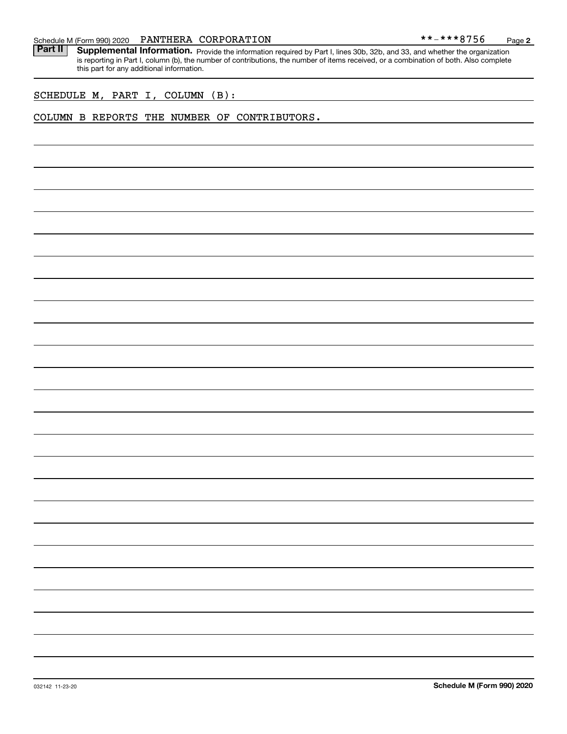Part II | Supplemental Information. Provide the information required by Part I, lines 30b, 32b, and 33, and whether the organization is reporting in Part I, column (b), the number of contributions, the number of items received, or a combination of both. Also complete this part for any additional information.

SCHEDULE M, PART I, COLUMN (B):

#### COLUMN B REPORTS THE NUMBER OF CONTRIBUTORS.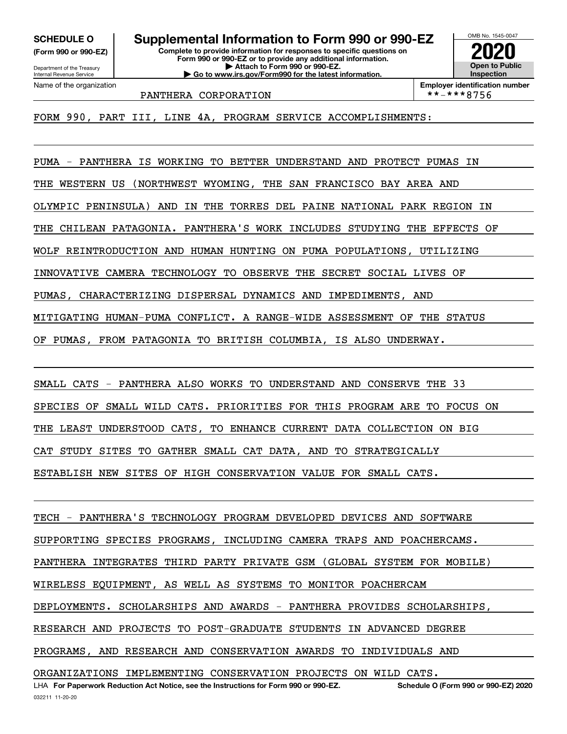**(Form 990 or 990-EZ)**

Department of the Treasury Internal Revenue Service Name of the organization

**Complete to provide information for responses to specific questions on SCHEDULE O Supplemental Information to Form 990 or 990-EZ**

**Form 990 or 990-EZ or to provide any additional information. | Attach to Form 990 or 990-EZ. | Go to www.irs.gov/Form990 for the latest information.**



PANTHERA CORPORATION

**Employer identification number**<br>\*\*-\*\*\*8756

FORM 990, PART III, LINE 4A, PROGRAM SERVICE ACCOMPLISHMENTS:

PUMA - PANTHERA IS WORKING TO BETTER UNDERSTAND AND PROTECT PUMAS IN THE WESTERN US (NORTHWEST WYOMING, THE SAN FRANCISCO BAY AREA AND OLYMPIC PENINSULA) AND IN THE TORRES DEL PAINE NATIONAL PARK REGION IN THE CHILEAN PATAGONIA. PANTHERA'S WORK INCLUDES STUDYING THE EFFECTS OF WOLF REINTRODUCTION AND HUMAN HUNTING ON PUMA POPULATIONS, UTILIZING INNOVATIVE CAMERA TECHNOLOGY TO OBSERVE THE SECRET SOCIAL LIVES OF PUMAS, CHARACTERIZING DISPERSAL DYNAMICS AND IMPEDIMENTS, AND MITIGATING HUMAN-PUMA CONFLICT. A RANGE-WIDE ASSESSMENT OF THE STATUS OF PUMAS, FROM PATAGONIA TO BRITISH COLUMBIA, IS ALSO UNDERWAY.

SMALL CATS - PANTHERA ALSO WORKS TO UNDERSTAND AND CONSERVE THE 33 SPECIES OF SMALL WILD CATS. PRIORITIES FOR THIS PROGRAM ARE TO FOCUS ON THE LEAST UNDERSTOOD CATS, TO ENHANCE CURRENT DATA COLLECTION ON BIG CAT STUDY SITES TO GATHER SMALL CAT DATA, AND TO STRATEGICALLY ESTABLISH NEW SITES OF HIGH CONSERVATION VALUE FOR SMALL CATS.

LHA For Paperwork Reduction Act Notice, see the Instructions for Form 990 or 990-EZ. Schedule O (Form 990 or 990-EZ) 2020 TECH - PANTHERA'S TECHNOLOGY PROGRAM DEVELOPED DEVICES AND SOFTWARE SUPPORTING SPECIES PROGRAMS, INCLUDING CAMERA TRAPS AND POACHERCAMS. PANTHERA INTEGRATES THIRD PARTY PRIVATE GSM (GLOBAL SYSTEM FOR MOBILE) WIRELESS EQUIPMENT, AS WELL AS SYSTEMS TO MONITOR POACHERCAM DEPLOYMENTS. SCHOLARSHIPS AND AWARDS - PANTHERA PROVIDES SCHOLARSHIPS, RESEARCH AND PROJECTS TO POST-GRADUATE STUDENTS IN ADVANCED DEGREE PROGRAMS, AND RESEARCH AND CONSERVATION AWARDS TO INDIVIDUALS AND ORGANIZATIONS IMPLEMENTING CONSERVATION PROJECTS ON WILD CATS.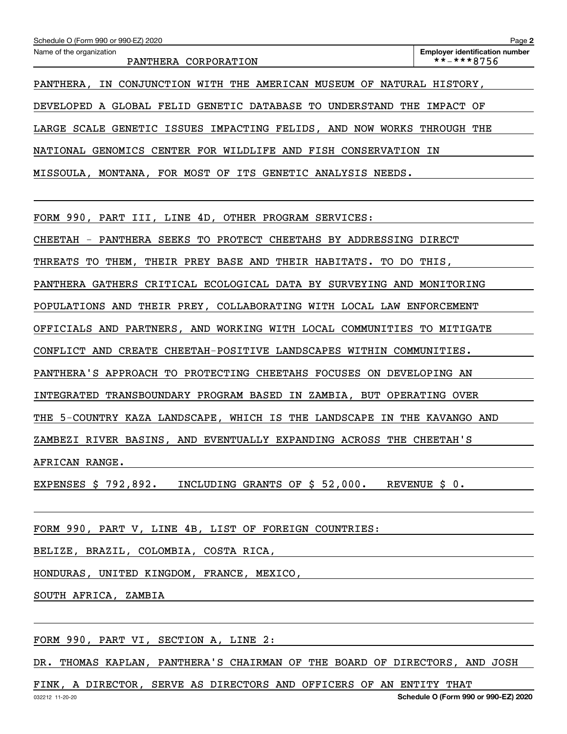| Schedule O (Form 990 or 990-EZ) 2020                                   | Page 2                                              |
|------------------------------------------------------------------------|-----------------------------------------------------|
| Name of the organization<br>PANTHERA CORPORATION                       | <b>Employer identification number</b><br>**-***8756 |
| PANTHERA, IN CONJUNCTION WITH THE AMERICAN MUSEUM OF NATURAL HISTORY,  |                                                     |
| DEVELOPED A GLOBAL FELID GENETIC DATABASE TO UNDERSTAND THE IMPACT OF  |                                                     |
| LARGE SCALE GENETIC ISSUES IMPACTING FELIDS, AND NOW WORKS THROUGH THE |                                                     |
| NATIONAL GENOMICS CENTER FOR WILDLIFE AND FISH CONSERVATION IN         |                                                     |
| MISSOULA, MONTANA, FOR MOST OF ITS GENETIC ANALYSIS NEEDS.             |                                                     |
|                                                                        |                                                     |
|                                                                        |                                                     |

FORM 990, PART III, LINE 4D, OTHER PROGRAM SERVICES:

CHEETAH - PANTHERA SEEKS TO PROTECT CHEETAHS BY ADDRESSING DIRECT

THREATS TO THEM, THEIR PREY BASE AND THEIR HABITATS. TO DO THIS,

PANTHERA GATHERS CRITICAL ECOLOGICAL DATA BY SURVEYING AND MONITORING

POPULATIONS AND THEIR PREY, COLLABORATING WITH LOCAL LAW ENFORCEMENT

OFFICIALS AND PARTNERS, AND WORKING WITH LOCAL COMMUNITIES TO MITIGATE

CONFLICT AND CREATE CHEETAH-POSITIVE LANDSCAPES WITHIN COMMUNITIES.

PANTHERA'S APPROACH TO PROTECTING CHEETAHS FOCUSES ON DEVELOPING AN

INTEGRATED TRANSBOUNDARY PROGRAM BASED IN ZAMBIA, BUT OPERATING OVER

THE 5-COUNTRY KAZA LANDSCAPE, WHICH IS THE LANDSCAPE IN THE KAVANGO AND

ZAMBEZI RIVER BASINS, AND EVENTUALLY EXPANDING ACROSS THE CHEETAH'S

AFRICAN RANGE.

EXPENSES \$ 792,892. INCLUDING GRANTS OF \$ 52,000. REVENUE \$ 0.

FORM 990, PART V, LINE 4B, LIST OF FOREIGN COUNTRIES:

BELIZE, BRAZIL, COLOMBIA, COSTA RICA,

HONDURAS, UNITED KINGDOM, FRANCE, MEXICO,

SOUTH AFRICA, ZAMBIA

FORM 990, PART VI, SECTION A, LINE 2:

DR. THOMAS KAPLAN, PANTHERA'S CHAIRMAN OF THE BOARD OF DIRECTORS, AND JOSH

FINK, A DIRECTOR, SERVE AS DIRECTORS AND OFFICERS OF AN ENTITY THAT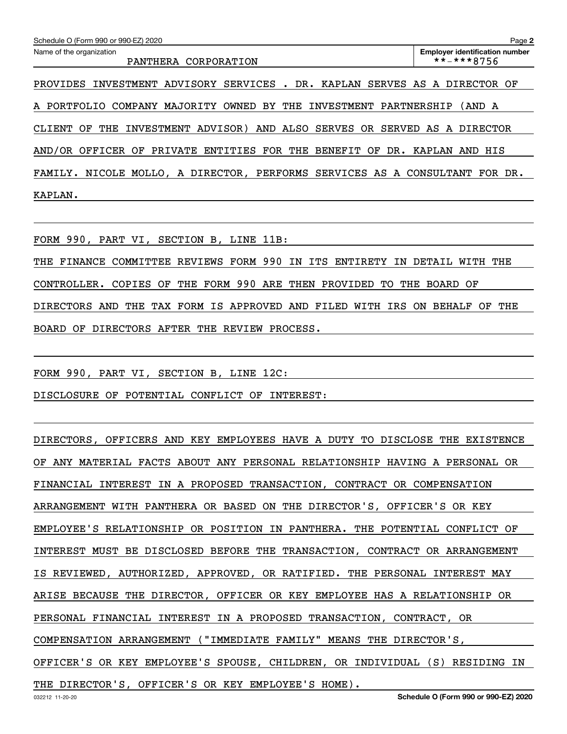| Schedule O (Form 990 or 990-EZ) 2020                                   | Page 2                                              |
|------------------------------------------------------------------------|-----------------------------------------------------|
| Name of the organization<br>PANTHERA CORPORATION                       | <b>Employer identification number</b><br>**-***8756 |
| SERVICES . DR. KAPLAN<br>ADVISORY<br>INVESTMENT<br>PROVIDES            | SERVES AS A DIRECTOR OF                             |
| OWNED BY THE<br>A PORTFOLIO<br>COMPANY<br>MAJORITY<br>INVESTMENT       | PARTNERSHIP<br>(AND A                               |
| ADVISOR) AND ALSO SERVES OR<br>INVESTMENT<br>ΟF<br>THE<br>CLIENT       | SERVED AS A<br>DIRECTOR                             |
| AND/OR OFFICER OF PRIVATE ENTITIES FOR THE BENEFIT OF                  | DR. KAPLAN<br>AND HIS                               |
| NICOLE MOLLO, A DIRECTOR, PERFORMS SERVICES AS A CONSULTANT<br>FAMILY. | FOR DR.                                             |
| KAPLAN.                                                                |                                                     |

FORM 990, PART VI, SECTION B, LINE 11B:

THE FINANCE COMMITTEE REVIEWS FORM 990 IN ITS ENTIRETY IN DETAIL WITH THE CONTROLLER. COPIES OF THE FORM 990 ARE THEN PROVIDED TO THE BOARD OF DIRECTORS AND THE TAX FORM IS APPROVED AND FILED WITH IRS ON BEHALF OF THE BOARD OF DIRECTORS AFTER THE REVIEW PROCESS.

FORM 990, PART VI, SECTION B, LINE 12C:

DISCLOSURE OF POTENTIAL CONFLICT OF INTEREST:

DIRECTORS, OFFICERS AND KEY EMPLOYEES HAVE A DUTY TO DISCLOSE THE EXISTENCE OF ANY MATERIAL FACTS ABOUT ANY PERSONAL RELATIONSHIP HAVING A PERSONAL OR FINANCIAL INTEREST IN A PROPOSED TRANSACTION, CONTRACT OR COMPENSATION ARRANGEMENT WITH PANTHERA OR BASED ON THE DIRECTOR'S, OFFICER'S OR KEY EMPLOYEE'S RELATIONSHIP OR POSITION IN PANTHERA. THE POTENTIAL CONFLICT OF INTEREST MUST BE DISCLOSED BEFORE THE TRANSACTION, CONTRACT OR ARRANGEMENT IS REVIEWED, AUTHORIZED, APPROVED, OR RATIFIED. THE PERSONAL INTEREST MAY ARISE BECAUSE THE DIRECTOR, OFFICER OR KEY EMPLOYEE HAS A RELATIONSHIP OR PERSONAL FINANCIAL INTEREST IN A PROPOSED TRANSACTION, CONTRACT, OR COMPENSATION ARRANGEMENT ("IMMEDIATE FAMILY" MEANS THE DIRECTOR'S, OFFICER'S OR KEY EMPLOYEE'S SPOUSE, CHILDREN, OR INDIVIDUAL (S) RESIDING IN THE DIRECTOR'S, OFFICER'S OR KEY EMPLOYEE'S HOME).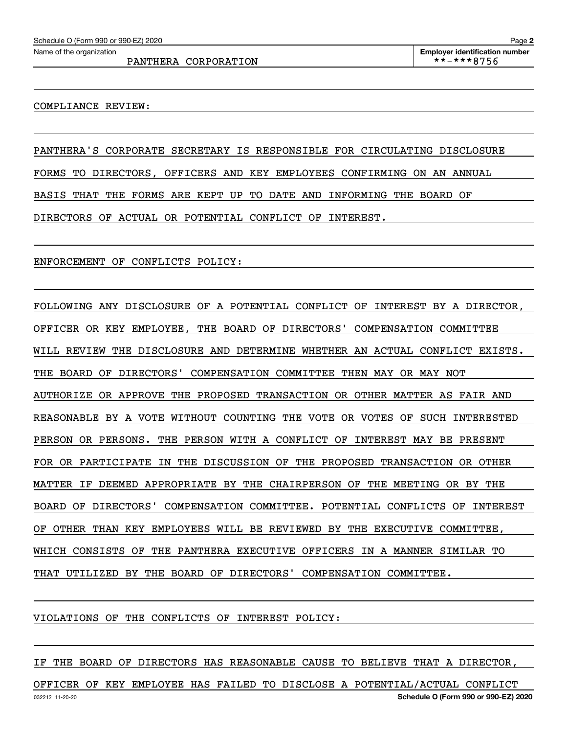PANTHERA CORPORATION  $\qquad \qquad | \qquad **-***8756$ 

#### COMPLIANCE REVIEW:

PANTHERA'S CORPORATE SECRETARY IS RESPONSIBLE FOR CIRCULATING DISCLOSURE FORMS TO DIRECTORS, OFFICERS AND KEY EMPLOYEES CONFIRMING ON AN ANNUAL BASIS THAT THE FORMS ARE KEPT UP TO DATE AND INFORMING THE BOARD OF DIRECTORS OF ACTUAL OR POTENTIAL CONFLICT OF INTEREST.

ENFORCEMENT OF CONFLICTS POLICY:

FOLLOWING ANY DISCLOSURE OF A POTENTIAL CONFLICT OF INTEREST BY A DIRECTOR, OFFICER OR KEY EMPLOYEE, THE BOARD OF DIRECTORS' COMPENSATION COMMITTEE WILL REVIEW THE DISCLOSURE AND DETERMINE WHETHER AN ACTUAL CONFLICT EXISTS. THE BOARD OF DIRECTORS' COMPENSATION COMMITTEE THEN MAY OR MAY NOT AUTHORIZE OR APPROVE THE PROPOSED TRANSACTION OR OTHER MATTER AS FAIR AND REASONABLE BY A VOTE WITHOUT COUNTING THE VOTE OR VOTES OF SUCH INTERESTED PERSON OR PERSONS. THE PERSON WITH A CONFLICT OF INTEREST MAY BE PRESENT FOR OR PARTICIPATE IN THE DISCUSSION OF THE PROPOSED TRANSACTION OR OTHER MATTER IF DEEMED APPROPRIATE BY THE CHAIRPERSON OF THE MEETING OR BY THE BOARD OF DIRECTORS' COMPENSATION COMMITTEE. POTENTIAL CONFLICTS OF INTEREST OF OTHER THAN KEY EMPLOYEES WILL BE REVIEWED BY THE EXECUTIVE COMMITTEE, WHICH CONSISTS OF THE PANTHERA EXECUTIVE OFFICERS IN A MANNER SIMILAR TO THAT UTILIZED BY THE BOARD OF DIRECTORS' COMPENSATION COMMITTEE.

VIOLATIONS OF THE CONFLICTS OF INTEREST POLICY:

IF THE BOARD OF DIRECTORS HAS REASONABLE CAUSE TO BELIEVE THAT A DIRECTOR,

032212 11-20-20 **Schedule O (Form 990 or 990-EZ) 2020** OFFICER OF KEY EMPLOYEE HAS FAILED TO DISCLOSE A POTENTIAL/ACTUAL CONFLICT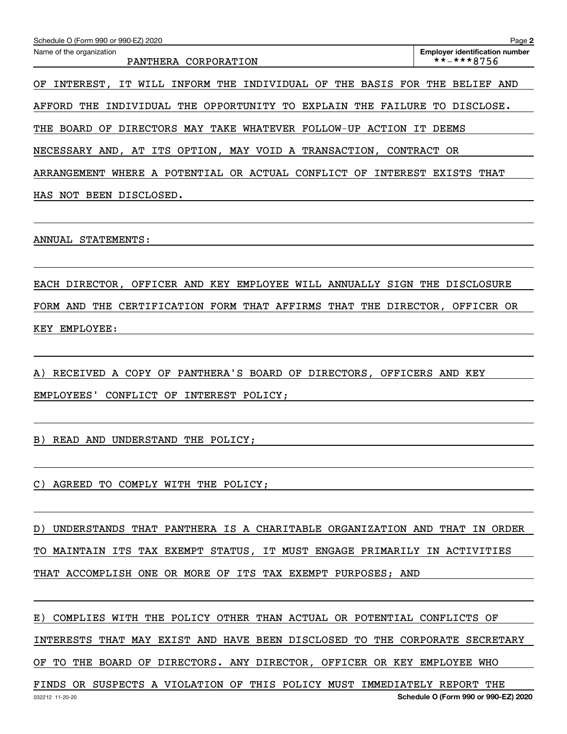| Schedule O (Form 990 or 990-EZ) 2020                                          | Page 2                                              |
|-------------------------------------------------------------------------------|-----------------------------------------------------|
| Name of the organization<br>PANTHERA CORPORATION                              | <b>Emplover identification number</b><br>**-***8756 |
| INTEREST, IT WILL INFORM THE INDIVIDUAL OF THE BASIS FOR THE BELIEF AND<br>ОF |                                                     |
| AFFORD THE INDIVIDUAL THE OPPORTUNITY TO EXPLAIN THE FAILURE TO DISCLOSE.     |                                                     |
| THE BOARD OF DIRECTORS MAY TAKE WHATEVER FOLLOW-UP ACTION IT DEEMS            |                                                     |
| NECESSARY AND, AT ITS OPTION, MAY VOID A TRANSACTION, CONTRACT OR             |                                                     |
| ARRANGEMENT WHERE A POTENTIAL OR ACTUAL CONFLICT OF INTEREST EXISTS THAT      |                                                     |
| HAS NOT BEEN DISCLOSED.                                                       |                                                     |
|                                                                               |                                                     |
| ANNUAL STATEMENTS:                                                            |                                                     |
|                                                                               |                                                     |
| EACH DIRECTOR, OFFICER AND KEY EMPLOYEE WILL ANNUALLY SIGN THE DISCLOSURE     |                                                     |
| FORM AND THE CERTIFICATION FORM THAT AFFIRMS THAT THE DIRECTOR, OFFICER OR    |                                                     |
| KEY EMPLOYEE:                                                                 |                                                     |
|                                                                               |                                                     |
| RECEIVED A COPY OF PANTHERA'S BOARD OF DIRECTORS, OFFICERS AND KEY            |                                                     |
| CONFLICT OF INTEREST POLICY;<br>EMPLOYEES'                                    |                                                     |
|                                                                               |                                                     |
| READ AND UNDERSTAND THE POLICY;<br>B)                                         |                                                     |
|                                                                               |                                                     |
| C) AGREED TO COMPLY WITH THE POLICY;                                          |                                                     |
|                                                                               |                                                     |
| D) UNDERSTANDS THAT PANTHERA IS A CHARITABLE ORGANIZATION AND THAT IN ORDER   |                                                     |
| TO MAINTAIN ITS TAX EXEMPT STATUS, IT MUST ENGAGE PRIMARILY IN ACTIVITIES     |                                                     |
| THAT ACCOMPLISH ONE OR MORE OF ITS TAX EXEMPT PURPOSES; AND                   |                                                     |
|                                                                               |                                                     |
| E) COMPLIES WITH THE POLICY OTHER THAN ACTUAL OR POTENTIAL CONFLICTS OF       |                                                     |
| INTERESTS THAT MAY EXIST AND HAVE BEEN DISCLOSED TO THE CORPORATE SECRETARY   |                                                     |
| OF TO THE BOARD OF DIRECTORS. ANY DIRECTOR, OFFICER OR KEY EMPLOYEE WHO       |                                                     |
| FINDS OR SUSPECTS A VIOLATION OF THIS POLICY MUST IMMEDIATELY REPORT THE      |                                                     |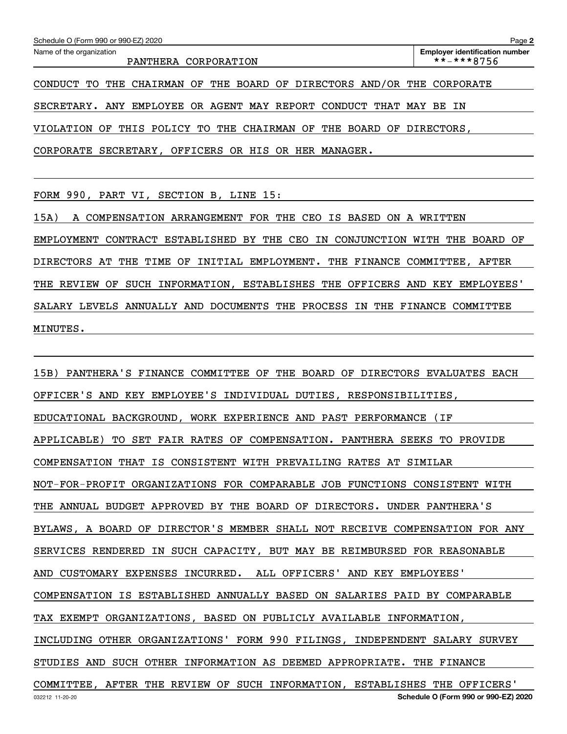| Schedule O (Form 990 or 990-EZ) 2020                                   | Page 2                                              |
|------------------------------------------------------------------------|-----------------------------------------------------|
| Name of the organization<br>PANTHERA CORPORATION                       | <b>Employer identification number</b><br>**-***8756 |
| CONDUCT TO THE CHAIRMAN OF THE BOARD OF DIRECTORS AND/OR THE CORPORATE |                                                     |
| SECRETARY. ANY EMPLOYEE OR AGENT MAY REPORT CONDUCT THAT MAY BE IN     |                                                     |
| VIOLATION OF THIS POLICY TO THE CHAIRMAN OF THE BOARD OF DIRECTORS,    |                                                     |
| CORPORATE SECRETARY, OFFICERS OR HIS OR HER MANAGER.                   |                                                     |

FORM 990, PART VI, SECTION B, LINE 15:

15A) A COMPENSATION ARRANGEMENT FOR THE CEO IS BASED ON A WRITTEN EMPLOYMENT CONTRACT ESTABLISHED BY THE CEO IN CONJUNCTION WITH THE BOARD OF DIRECTORS AT THE TIME OF INITIAL EMPLOYMENT. THE FINANCE COMMITTEE, AFTER THE REVIEW OF SUCH INFORMATION, ESTABLISHES THE OFFICERS AND KEY EMPLOYEES' SALARY LEVELS ANNUALLY AND DOCUMENTS THE PROCESS IN THE FINANCE COMMITTEE MINUTES.

15B) PANTHERA'S FINANCE COMMITTEE OF THE BOARD OF DIRECTORS EVALUATES EACH OFFICER'S AND KEY EMPLOYEE'S INDIVIDUAL DUTIES, RESPONSIBILITIES, EDUCATIONAL BACKGROUND, WORK EXPERIENCE AND PAST PERFORMANCE (IF APPLICABLE) TO SET FAIR RATES OF COMPENSATION. PANTHERA SEEKS TO PROVIDE COMPENSATION THAT IS CONSISTENT WITH PREVAILING RATES AT SIMILAR NOT-FOR-PROFIT ORGANIZATIONS FOR COMPARABLE JOB FUNCTIONS CONSISTENT WITH THE ANNUAL BUDGET APPROVED BY THE BOARD OF DIRECTORS. UNDER PANTHERA'S BYLAWS, A BOARD OF DIRECTOR'S MEMBER SHALL NOT RECEIVE COMPENSATION FOR ANY SERVICES RENDERED IN SUCH CAPACITY, BUT MAY BE REIMBURSED FOR REASONABLE AND CUSTOMARY EXPENSES INCURRED. ALL OFFICERS' AND KEY EMPLOYEES' COMPENSATION IS ESTABLISHED ANNUALLY BASED ON SALARIES PAID BY COMPARABLE TAX EXEMPT ORGANIZATIONS, BASED ON PUBLICLY AVAILABLE INFORMATION, INCLUDING OTHER ORGANIZATIONS' FORM 990 FILINGS, INDEPENDENT SALARY SURVEY STUDIES AND SUCH OTHER INFORMATION AS DEEMED APPROPRIATE. THE FINANCE COMMITTEE, AFTER THE REVIEW OF SUCH INFORMATION, ESTABLISHES THE OFFICERS'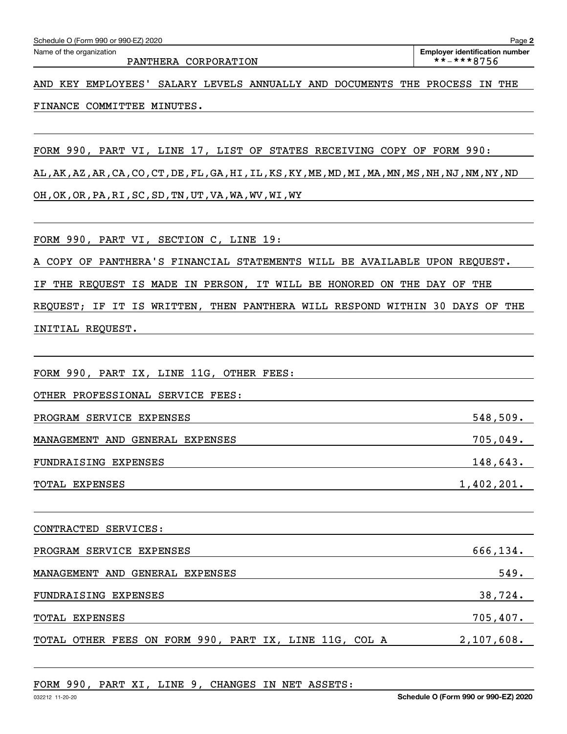AND KEY EMPLOYEES' SALARY LEVELS ANNUALLY AND DOCUMENTS THE PROCESS IN THE FINANCE COMMITTEE MINUTES.

FORM 990, PART VI, LINE 17, LIST OF STATES RECEIVING COPY OF FORM 990:

AL,AK,AZ,AR,CA,CO,CT,DE,FL,GA,HI,IL,KS,KY,ME,MD,MI,MA,MN,MS,NH,NJ,NM,NY,ND OH,OK,OR,PA,RI,SC,SD,TN,UT,VA,WA,WV,WI,WY

FORM 990, PART VI, SECTION C, LINE 19:

A COPY OF PANTHERA'S FINANCIAL STATEMENTS WILL BE AVAILABLE UPON REQUEST.

IF THE REQUEST IS MADE IN PERSON, IT WILL BE HONORED ON THE DAY OF THE

REQUEST; IF IT IS WRITTEN, THEN PANTHERA WILL RESPOND WITHIN 30 DAYS OF THE INITIAL REQUEST.

| FORM 990, PART IX, LINE 11G, OTHER FEES:               |            |
|--------------------------------------------------------|------------|
| OTHER PROFESSIONAL SERVICE FEES:                       |            |
| PROGRAM SERVICE EXPENSES                               | 548,509.   |
| MANAGEMENT AND GENERAL EXPENSES                        | 705,049.   |
| FUNDRAISING EXPENSES                                   | 148,643.   |
| TOTAL EXPENSES                                         | 1,402,201. |
|                                                        |            |
| CONTRACTED SERVICES:                                   |            |
| PROGRAM SERVICE EXPENSES                               | 666,134.   |
| MANAGEMENT AND GENERAL EXPENSES                        | 549.       |
| FUNDRAISING EXPENSES                                   | 38,724.    |
| <b>TOTAL EXPENSES</b>                                  | 705,407.   |
| TOTAL OTHER FEES ON FORM 990, PART IX, LINE 11G, COL A | 2,107,608. |
|                                                        |            |

FORM 990, PART XI, LINE 9, CHANGES IN NET ASSETS: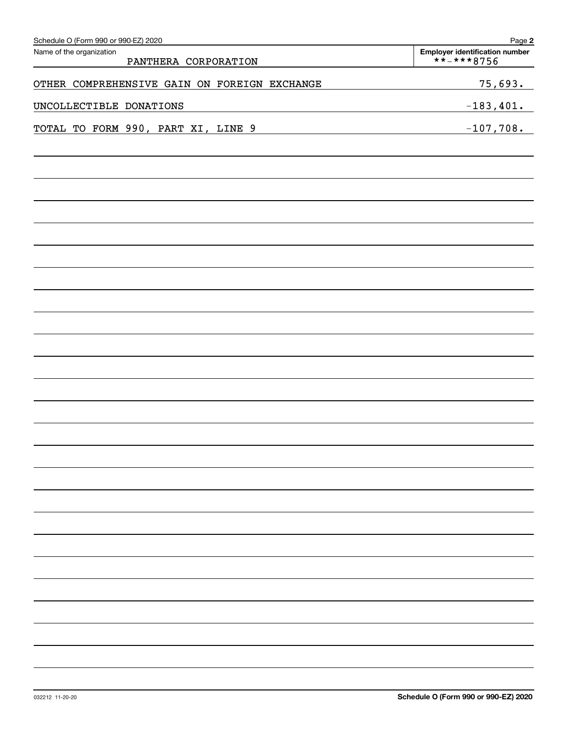| Schedule O (Form 990 or 990-EZ) 2020             | Page 2                                       |
|--------------------------------------------------|----------------------------------------------|
| Name of the organization<br>PANTHERA CORPORATION | Employer identification number<br>**-***8756 |
| OTHER COMPREHENSIVE GAIN ON FOREIGN EXCHANGE     | 75,693.                                      |
| UNCOLLECTIBLE DONATIONS                          | $-183,401.$                                  |
| TOTAL TO FORM 990, PART XI, LINE 9               | $-107,708.$                                  |
|                                                  |                                              |
|                                                  |                                              |
|                                                  |                                              |
|                                                  |                                              |
|                                                  |                                              |
|                                                  |                                              |
|                                                  |                                              |
|                                                  |                                              |
|                                                  |                                              |
|                                                  |                                              |
|                                                  |                                              |
|                                                  |                                              |
|                                                  |                                              |
|                                                  |                                              |
|                                                  |                                              |
|                                                  |                                              |
|                                                  |                                              |
|                                                  |                                              |
|                                                  |                                              |
|                                                  |                                              |
|                                                  |                                              |
|                                                  |                                              |
|                                                  |                                              |
|                                                  |                                              |
|                                                  |                                              |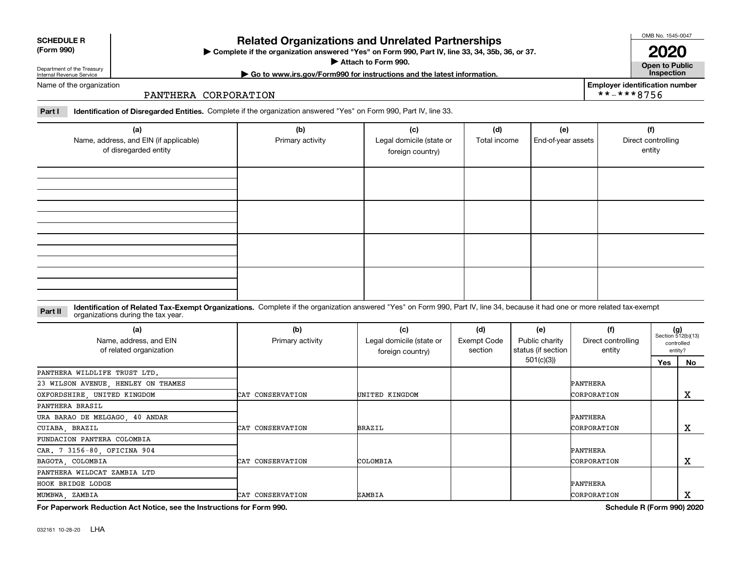**(a)**

## **Related Organizations and Unrelated Partnerships**

**Complete if the organization answered "Yes" on Form 990, Part IV, line 33, 34, 35b, 36, or 37.** |

# **(Form 990)**

**SCHEDULE R**

Department of the Treasury Internal Revenue Service Name of the organization

#### PANTHERA CORPORATION

**Part I Identification of Disregarded Entities.**  Complete if the organization answered "Yes" on Form 990, Part IV, line 33.

| (a)<br>Name, address, and EIN (if applicable)<br>of disregarded entity | (b)<br>Primary activity | (c)<br>Legal domicile (state or<br>foreign country) | (d)<br>Total income | (e)<br>End-of-year assets | (f)<br>Direct controlling<br>entity |
|------------------------------------------------------------------------|-------------------------|-----------------------------------------------------|---------------------|---------------------------|-------------------------------------|
|                                                                        |                         |                                                     |                     |                           |                                     |
|                                                                        |                         |                                                     |                     |                           |                                     |
|                                                                        |                         |                                                     |                     |                           |                                     |
|                                                                        |                         |                                                     |                     |                           |                                     |

#### **Identification of Related Tax-Exempt Organizations.** Complete if the organization answered "Yes" on Form 990, Part IV, line 34, because it had one or more related tax-exempt **Part II** organizations during the tax year.

| (a)                                                                    | (b)              | (c)                      | (d)                           | (e)                | (f)                          | $(g)$<br>Section 512(b)(13) |            |
|------------------------------------------------------------------------|------------------|--------------------------|-------------------------------|--------------------|------------------------------|-----------------------------|------------|
| Name, address, and EIN                                                 | Primary activity | Legal domicile (state or | <b>Exempt Code</b><br>section | Public charity     | Direct controlling<br>entity |                             | controlled |
| of related organization                                                |                  | foreign country)         |                               | status (if section |                              | entity?                     |            |
|                                                                        |                  |                          |                               | 501(c)(3)          |                              | Yes                         | No         |
| PANTHERA WILDLIFE TRUST LTD.                                           |                  |                          |                               |                    |                              |                             |            |
| 23 WILSON AVENUE, HENLEY ON THAMES                                     |                  |                          |                               |                    | PANTHERA                     |                             |            |
| OXFORDSHIRE, UNITED KINGDOM                                            | CAT CONSERVATION | UNITED KINGDOM           |                               |                    | CORPORATION                  |                             | x          |
| PANTHERA BRASIL                                                        |                  |                          |                               |                    |                              |                             |            |
| URA BARAO DE MELGAGO, 40 ANDAR                                         |                  |                          |                               |                    | PANTHERA                     |                             |            |
| CUIABA, BRAZIL                                                         | CAT CONSERVATION | <b>BRAZIL</b>            |                               |                    | CORPORATION                  |                             | x          |
| FUNDACION PANTERA COLOMBIA                                             |                  |                          |                               |                    |                              |                             |            |
| CAR. 7 3156-80, OFICINA 904                                            |                  |                          |                               |                    | PANTHERA                     |                             |            |
| BAGOTA, COLOMBIA                                                       | CAT CONSERVATION | COLOMBIA                 |                               |                    | CORPORATION                  |                             | x          |
| PANTHERA WILDCAT ZAMBIA LTD                                            |                  |                          |                               |                    |                              |                             |            |
| HOOK BRIDGE LODGE                                                      |                  |                          |                               |                    | <b>PANTHERA</b>              |                             |            |
| MUMBWA, ZAMBIA                                                         | CAT CONSERVATION | ZAMBIA                   |                               |                    | CORPORATION                  |                             | x          |
| For Paperwork Reduction Act Notice, see the Instructions for Form 990. |                  |                          |                               |                    | Schedule R (Form 990) 2020   |                             |            |

**Attach to Form 990.**  |

OMB No. 1545-0047

**Open to Public 2020**

**| Go to www.irs.gov/Form990 for instructions and the latest information. Inspection Employer identification number**

\*\*-\*\*\*8756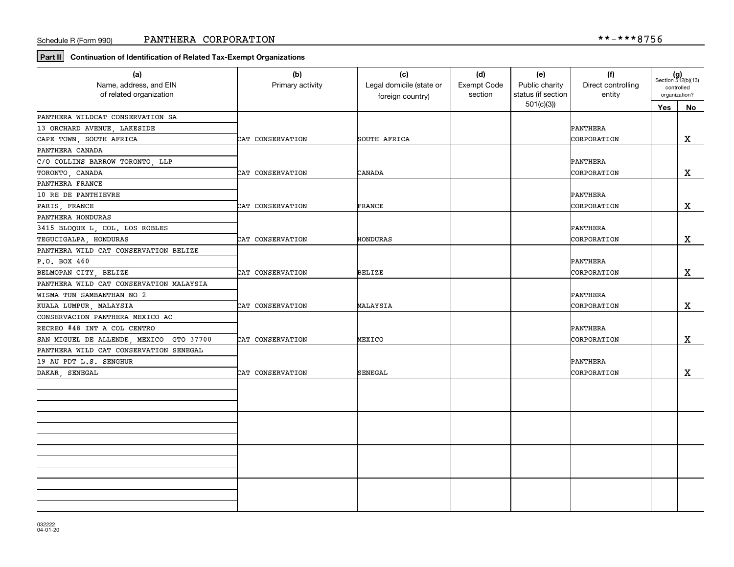**Part II Continuation of Identification of Related Tax-Exempt Organizations**

| (a)                                     | (b)              | (c)                      | (d)         | (e)                                  | (f)                          |                             | $(g)$<br>Section 512(b)(13) |
|-----------------------------------------|------------------|--------------------------|-------------|--------------------------------------|------------------------------|-----------------------------|-----------------------------|
| Name, address, and EIN                  | Primary activity | Legal domicile (state or | Exempt Code | Public charity<br>status (if section | Direct controlling<br>entity | controlled<br>organization? |                             |
| of related organization                 |                  | foreign country)         | section     |                                      |                              |                             |                             |
|                                         |                  |                          |             | 501(c)(3)                            |                              | Yes                         | No                          |
| PANTHERA WILDCAT CONSERVATION SA        |                  |                          |             |                                      |                              |                             |                             |
| 13 ORCHARD AVENUE, LAKESIDE             |                  |                          |             |                                      | PANTHERA                     |                             |                             |
| CAPE TOWN, SOUTH AFRICA                 | CAT CONSERVATION | SOUTH AFRICA             |             |                                      | CORPORATION                  |                             | $\mathbf X$                 |
| PANTHERA CANADA                         |                  |                          |             |                                      |                              |                             |                             |
| C/O COLLINS BARROW TORONTO, LLP         |                  |                          |             |                                      | PANTHERA                     |                             |                             |
| TORONTO, CANADA                         | CAT CONSERVATION | CANADA                   |             |                                      | CORPORATION                  |                             | X                           |
| PANTHERA FRANCE                         |                  |                          |             |                                      |                              |                             |                             |
| 10 RE DE PANTHIEVRE                     |                  |                          |             |                                      | PANTHERA                     |                             |                             |
| PARIS, FRANCE                           | CAT CONSERVATION | FRANCE                   |             |                                      | CORPORATION                  |                             | X                           |
| PANTHERA HONDURAS                       |                  |                          |             |                                      |                              |                             |                             |
| 3415 BLOQUE L, COL. LOS ROBLES          |                  |                          |             |                                      | PANTHERA                     |                             |                             |
| TEGUCIGALPA, HONDURAS                   | CAT CONSERVATION | HONDURAS                 |             |                                      | CORPORATION                  |                             | X                           |
| PANTHERA WILD CAT CONSERVATION BELIZE   |                  |                          |             |                                      |                              |                             |                             |
| P.O. BOX 460                            |                  |                          |             |                                      | PANTHERA                     |                             |                             |
| BELMOPAN CITY BELIZE                    | CAT CONSERVATION | <b>BELIZE</b>            |             |                                      | CORPORATION                  |                             | X                           |
| PANTHERA WILD CAT CONSERVATION MALAYSIA |                  |                          |             |                                      |                              |                             |                             |
| WISMA TUN SAMBANTHAN NO 2               |                  |                          |             |                                      | PANTHERA                     |                             |                             |
| KUALA LUMPUR, MALAYSIA                  | CAT CONSERVATION | MALAYSIA                 |             |                                      | CORPORATION                  |                             | X                           |
| CONSERVACION PANTHERA MEXICO AC         |                  |                          |             |                                      |                              |                             |                             |
| RECREO #48 INT A COL CENTRO             |                  |                          |             |                                      | PANTHERA                     |                             |                             |
| SAN MIGUEL DE ALLENDE, MEXICO GTO 37700 | CAT CONSERVATION | MEXICO                   |             |                                      | CORPORATION                  |                             | X                           |
| PANTHERA WILD CAT CONSERVATION SENEGAL  |                  |                          |             |                                      |                              |                             |                             |
| 19 AU PDT L.S. SENGHUR                  |                  |                          |             |                                      | PANTHERA                     |                             |                             |
| DAKAR, SENEGAL                          | CAT CONSERVATION | SENEGAL                  |             |                                      | CORPORATION                  |                             | $\mathbf X$                 |
|                                         |                  |                          |             |                                      |                              |                             |                             |
|                                         |                  |                          |             |                                      |                              |                             |                             |
|                                         |                  |                          |             |                                      |                              |                             |                             |
|                                         |                  |                          |             |                                      |                              |                             |                             |
|                                         |                  |                          |             |                                      |                              |                             |                             |
|                                         |                  |                          |             |                                      |                              |                             |                             |
|                                         |                  |                          |             |                                      |                              |                             |                             |
|                                         |                  |                          |             |                                      |                              |                             |                             |
|                                         |                  |                          |             |                                      |                              |                             |                             |
|                                         |                  |                          |             |                                      |                              |                             |                             |
|                                         |                  |                          |             |                                      |                              |                             |                             |
|                                         |                  |                          |             |                                      |                              |                             |                             |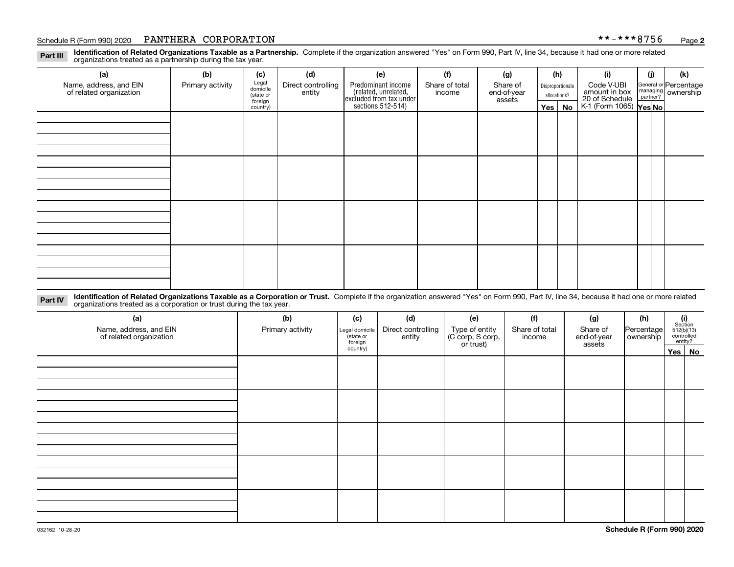#### Schedule R (Form 990) 2020 **PANTHERA CORPORATION** \* \*-\* \* \* 8 7 5 6 <sub>Page</sub>

**Identification of Related Organizations Taxable as a Partnership.** Complete if the organization answered "Yes" on Form 990, Part IV, line 34, because it had one or more related **Part III** organizations treated as a partnership during the tax year.

| (a)                                               | (b)              | (c)                  | (d)                          | (e)                                                                  | (f)                      | (g)                     |         | (h)              | (i)                                                       | (i) | (k)                                                       |
|---------------------------------------------------|------------------|----------------------|------------------------------|----------------------------------------------------------------------|--------------------------|-------------------------|---------|------------------|-----------------------------------------------------------|-----|-----------------------------------------------------------|
| Name, address, and EIN<br>of related organization | Primary activity | Legal<br>domicile    | Direct controlling<br>entity | Predominant income                                                   | Share of total<br>income | Share of<br>end-of-year |         | Disproportionate | Code V-UBI                                                |     | General or Percentage<br>managing<br>partner?<br>partner? |
|                                                   |                  | (state or<br>foreign |                              |                                                                      |                          | assets                  |         | allocations?     |                                                           |     |                                                           |
|                                                   |                  | country)             |                              | (related, unrelated,<br>excluded from tax under<br>sections 512-514) |                          |                         | Yes $ $ | No               | amount in box<br>20 of Schedule<br>K-1 (Form 1065) Yes No |     |                                                           |
|                                                   |                  |                      |                              |                                                                      |                          |                         |         |                  |                                                           |     |                                                           |
|                                                   |                  |                      |                              |                                                                      |                          |                         |         |                  |                                                           |     |                                                           |
|                                                   |                  |                      |                              |                                                                      |                          |                         |         |                  |                                                           |     |                                                           |
|                                                   |                  |                      |                              |                                                                      |                          |                         |         |                  |                                                           |     |                                                           |
|                                                   |                  |                      |                              |                                                                      |                          |                         |         |                  |                                                           |     |                                                           |
|                                                   |                  |                      |                              |                                                                      |                          |                         |         |                  |                                                           |     |                                                           |
|                                                   |                  |                      |                              |                                                                      |                          |                         |         |                  |                                                           |     |                                                           |
|                                                   |                  |                      |                              |                                                                      |                          |                         |         |                  |                                                           |     |                                                           |
|                                                   |                  |                      |                              |                                                                      |                          |                         |         |                  |                                                           |     |                                                           |
|                                                   |                  |                      |                              |                                                                      |                          |                         |         |                  |                                                           |     |                                                           |
|                                                   |                  |                      |                              |                                                                      |                          |                         |         |                  |                                                           |     |                                                           |
|                                                   |                  |                      |                              |                                                                      |                          |                         |         |                  |                                                           |     |                                                           |
|                                                   |                  |                      |                              |                                                                      |                          |                         |         |                  |                                                           |     |                                                           |
|                                                   |                  |                      |                              |                                                                      |                          |                         |         |                  |                                                           |     |                                                           |
|                                                   |                  |                      |                              |                                                                      |                          |                         |         |                  |                                                           |     |                                                           |
|                                                   |                  |                      |                              |                                                                      |                          |                         |         |                  |                                                           |     |                                                           |
|                                                   |                  |                      |                              |                                                                      |                          |                         |         |                  |                                                           |     |                                                           |

**Identification of Related Organizations Taxable as a Corporation or Trust.** Complete if the organization answered "Yes" on Form 990, Part IV, line 34, because it had one or more related **Part IV** organizations treated as a corporation or trust during the tax year.

| (a)<br>Name, address, and EIN<br>of related organization | (b)<br>Primary activity | (c)<br>Legal domicile<br>(state or<br>foreign | (d)<br>Direct controlling<br>entity | (e)<br>Type of entity<br>(C corp, S corp,<br>or trust) | (f)<br>Share of total<br>income | (g)<br>Share of<br>end-of-year<br>assets | (h)<br>Percentage<br>ownership | $(i)$ Section<br>512(b)(13)<br>controlled<br>entity? |
|----------------------------------------------------------|-------------------------|-----------------------------------------------|-------------------------------------|--------------------------------------------------------|---------------------------------|------------------------------------------|--------------------------------|------------------------------------------------------|
|                                                          |                         | country)                                      |                                     |                                                        |                                 |                                          |                                | Yes   No                                             |
|                                                          |                         |                                               |                                     |                                                        |                                 |                                          |                                |                                                      |
|                                                          |                         |                                               |                                     |                                                        |                                 |                                          |                                |                                                      |
|                                                          |                         |                                               |                                     |                                                        |                                 |                                          |                                |                                                      |
|                                                          |                         |                                               |                                     |                                                        |                                 |                                          |                                |                                                      |
|                                                          |                         |                                               |                                     |                                                        |                                 |                                          |                                |                                                      |
|                                                          |                         |                                               |                                     |                                                        |                                 |                                          |                                |                                                      |
|                                                          |                         |                                               |                                     |                                                        |                                 |                                          |                                |                                                      |
|                                                          |                         |                                               |                                     |                                                        |                                 |                                          |                                |                                                      |
|                                                          |                         |                                               |                                     |                                                        |                                 |                                          |                                |                                                      |
|                                                          |                         |                                               |                                     |                                                        |                                 |                                          |                                |                                                      |
|                                                          |                         |                                               |                                     |                                                        |                                 |                                          |                                |                                                      |
|                                                          |                         |                                               |                                     |                                                        |                                 |                                          |                                |                                                      |
|                                                          |                         |                                               |                                     |                                                        |                                 |                                          |                                |                                                      |
|                                                          |                         |                                               |                                     |                                                        |                                 |                                          |                                |                                                      |
|                                                          |                         |                                               |                                     |                                                        |                                 |                                          |                                |                                                      |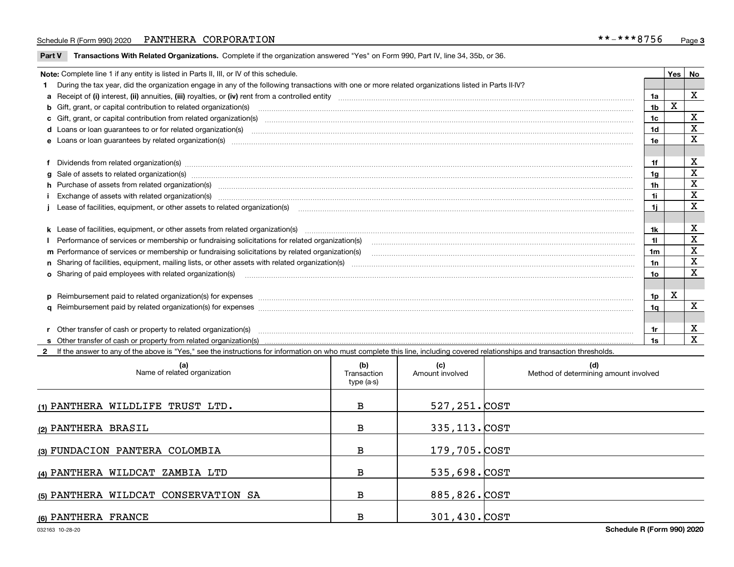#### Schedule R (Form 990) 2020 **PANTHERA CORPORATION** \* \*-\* \* \* 8 7 5 6 <sub>Page</sub>

**Part V** T**ransactions With Related Organizations.** Complete if the organization answered "Yes" on Form 990, Part IV, line 34, 35b, or 36.

| Note: Complete line 1 if any entity is listed in Parts II, III, or IV of this schedule.                                                                                                                                        |                | Yes | No          |
|--------------------------------------------------------------------------------------------------------------------------------------------------------------------------------------------------------------------------------|----------------|-----|-------------|
| 1 During the tax year, did the organization engage in any of the following transactions with one or more related organizations listed in Parts II-IV?                                                                          |                |     |             |
|                                                                                                                                                                                                                                | 1a             |     | X           |
| b Gift, grant, or capital contribution to related organization(s) manufaction contribution of the contribution to related organization(s) manufaction contribution to related organization(s)                                  | 1b             | X   |             |
| c Gift, grant, or capital contribution from related organization(s) manufaction(s) manufaction contribution from related organization(s) manufaction contribution from related organization(s) manufaction continuum contribut | 1c             |     | X           |
|                                                                                                                                                                                                                                | 1 <sub>d</sub> |     | X           |
|                                                                                                                                                                                                                                | 1e             |     | X           |
|                                                                                                                                                                                                                                |                |     |             |
| f Dividends from related organization(s) manufactured and contract the contract of the contract of the contract of the contract of the contract of the contract of the contract of the contract of the contract of the contrac | 1f             |     | x           |
| g Sale of assets to related organization(s) material content and content and content and content and content and content and content and content and content and content and content and content and content and content and c | 1a             |     | X           |
| h Purchase of assets from related organization(s) manufactured and content to the content of the content of the content of the content of the content of the content of the content of the content of the content of the conte | 1h             |     | X           |
|                                                                                                                                                                                                                                | 1i.            |     | $\mathbf x$ |
| Lease of facilities, equipment, or other assets to related organization(s) The manuform manuform manuform manuform manuform manuform manuform manuform manuform manuform manuform manuform manuform manuform manuform manuform | 1i             |     | X           |
|                                                                                                                                                                                                                                |                |     |             |
|                                                                                                                                                                                                                                | 1k             |     | x           |
| Performance of services or membership or fundraising solicitations for related organization(s)                                                                                                                                 | 11             |     | X           |
| m Performance of services or membership or fundraising solicitations by related organization(s)                                                                                                                                | 1m             |     | X           |
|                                                                                                                                                                                                                                | 1n             |     | X           |
| <b>o</b> Sharing of paid employees with related organization(s)                                                                                                                                                                | 1o             |     | X           |
|                                                                                                                                                                                                                                |                |     |             |
| p Reimbursement paid to related organization(s) for expenses [11111] [12] manufacture manufacture manufacture manufacture manufacture manufacture manufacture manufacture manufacture manufacture manufacture manufacture manu | 1p             | х   |             |
|                                                                                                                                                                                                                                | 1a             |     | x           |
|                                                                                                                                                                                                                                |                |     |             |
| r Other transfer of cash or property to related organization(s)                                                                                                                                                                |                |     | X           |
| <b>s</b> Other transfer of cash or property from related organization(s)                                                                                                                                                       | 1s             |     | X           |

**2**If the answer to any of the above is "Yes," see the instructions for information on who must complete this line, including covered relationships and transaction thresholds.

| (a)<br>Name of related organization  | (b)<br>Transaction<br>type (a-s) | (c)<br>Amount involved | (d)<br>Method of determining amount involved |
|--------------------------------------|----------------------------------|------------------------|----------------------------------------------|
| (1) PANTHERA WILDLIFE TRUST LTD.     | В                                | 527,251. COST          |                                              |
| (2) PANTHERA BRASIL                  | В                                | 335, 113. COST         |                                              |
| (3) FUNDACION PANTERA COLOMBIA       | в                                | 179,705. COST          |                                              |
| (4) PANTHERA WILDCAT ZAMBIA LTD      | в                                | 535,698. COST          |                                              |
| (5) PANTHERA WILDCAT CONSERVATION SA | в                                | 885,826. COST          |                                              |
| (6) PANTHERA FRANCE                  | в                                | 301,430. COST          |                                              |

 $\overline{\phantom{a}}$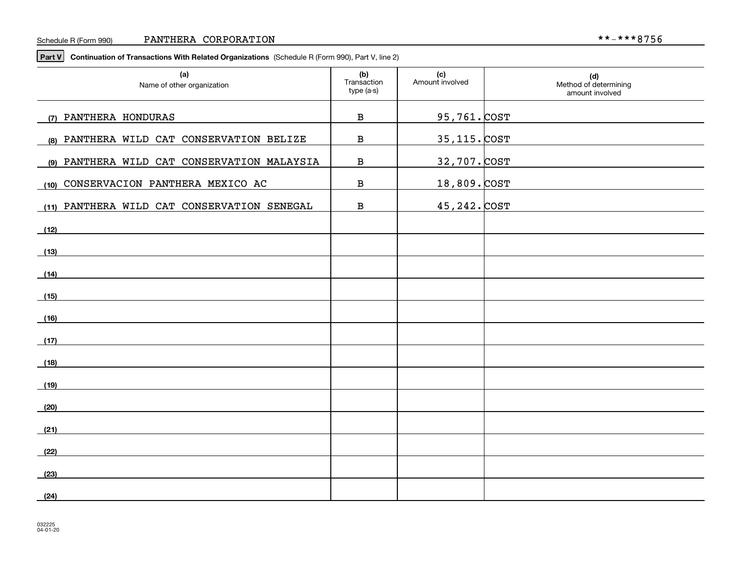**Part V Continuation of Transactions With Related Organizations**  (Schedule R (Form 990), Part V, line 2)

| (a)<br>Name of other organization           | (b)<br>Transaction<br>type (a-s) | (c)<br>Amount involved | (d)<br>Method of determining<br>amount involved |
|---------------------------------------------|----------------------------------|------------------------|-------------------------------------------------|
| (7) PANTHERA HONDURAS                       | $\, {\bf B}$                     | <u>95,761. COST</u>    |                                                 |
| (8) PANTHERA WILD CAT CONSERVATION BELIZE   | $\, {\bf B}$                     | <u>35,115. COST</u>    |                                                 |
| (9) PANTHERA WILD CAT CONSERVATION MALAYSIA | $\, {\bf B}$                     | 32,707. COST           |                                                 |
| (10) CONSERVACION PANTHERA MEXICO AC        | $\, {\bf B}$                     | 18,809. COST           |                                                 |
| (11) PANTHERA WILD CAT CONSERVATION SENEGAL | $\, {\bf B}$                     | 45, 242. COST          |                                                 |
| (12)                                        |                                  |                        |                                                 |
| (13)                                        |                                  |                        |                                                 |
| (14)                                        |                                  |                        |                                                 |
| (15)                                        |                                  |                        |                                                 |
| (16)                                        |                                  |                        |                                                 |
|                                             |                                  |                        |                                                 |
| (17)                                        |                                  |                        |                                                 |
| (18)                                        |                                  |                        |                                                 |
| (19)                                        |                                  |                        |                                                 |
| (20)                                        |                                  |                        |                                                 |
| (21)                                        |                                  |                        |                                                 |
| (22)                                        |                                  |                        |                                                 |
| (23)                                        |                                  |                        |                                                 |
| (24)                                        |                                  |                        |                                                 |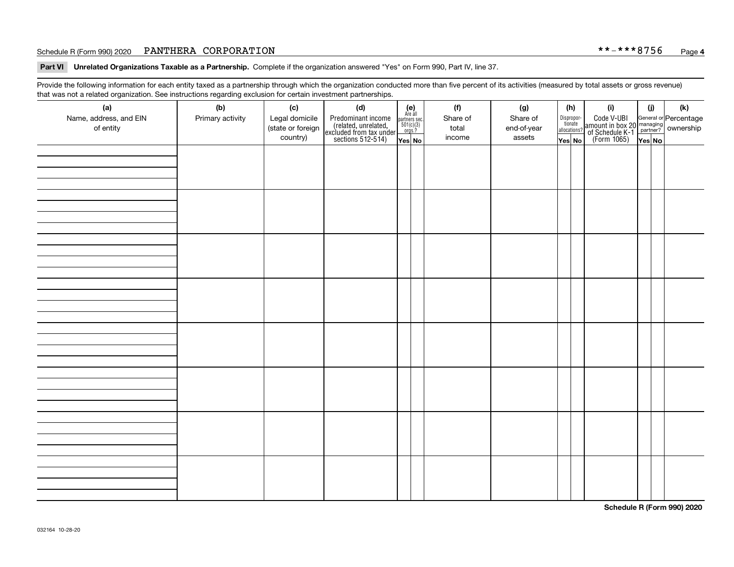#### Schedule R (Form 990) 2020 **PANTHERA CORPORATION** \* \*-\* \* \* 8 7 5 6 <sub>Page</sub>

**Part VI Unrelated Organizations Taxable as a Partnership. Complete if the organization answered "Yes" on Form 990, Part IV, line 37.** 

Provide the following information for each entity taxed as a partnership through which the organization conducted more than five percent of its activities (measured by total assets or gross revenue) that was not a related organization. See instructions regarding exclusion for certain investment partnerships.

| $\overline{\phantom{0}}$<br>(a)<br>Name, address, and EIN<br>of entity | ັ<br>ັ<br>(b)<br>Primary activity | (c)<br>Legal domicile<br>(state or foreign<br>country) | (d)<br>Predominant income<br>(related, unrelated,<br>excluded from tax under<br>sections 512-514) | (e)<br>Are all<br>$\begin{array}{c}\n\text{partners} & \text{sec.} \\ 501(c)(3) & \text{orgs.?} \n\end{array}$<br>Yes No | (f)<br>Share of<br>total<br>income | (g)<br>Share of<br>end-of-year<br>assets | (h)<br>Dispropor-<br>tionate<br>allocations?<br>Yes No | (i)<br>Code V-UBI<br>  amount in box 20 managing<br>  of Schedule K-1 partner?  ownership<br>  of Schedule K-1 partner?  ownership<br>  Yes No | (i)<br>Yes No | (k) |
|------------------------------------------------------------------------|-----------------------------------|--------------------------------------------------------|---------------------------------------------------------------------------------------------------|--------------------------------------------------------------------------------------------------------------------------|------------------------------------|------------------------------------------|--------------------------------------------------------|------------------------------------------------------------------------------------------------------------------------------------------------|---------------|-----|
|                                                                        |                                   |                                                        |                                                                                                   |                                                                                                                          |                                    |                                          |                                                        |                                                                                                                                                |               |     |
|                                                                        |                                   |                                                        |                                                                                                   |                                                                                                                          |                                    |                                          |                                                        |                                                                                                                                                |               |     |
|                                                                        |                                   |                                                        |                                                                                                   |                                                                                                                          |                                    |                                          |                                                        |                                                                                                                                                |               |     |
|                                                                        |                                   |                                                        |                                                                                                   |                                                                                                                          |                                    |                                          |                                                        |                                                                                                                                                |               |     |
|                                                                        |                                   |                                                        |                                                                                                   |                                                                                                                          |                                    |                                          |                                                        |                                                                                                                                                |               |     |
|                                                                        |                                   |                                                        |                                                                                                   |                                                                                                                          |                                    |                                          |                                                        |                                                                                                                                                |               |     |
|                                                                        |                                   |                                                        |                                                                                                   |                                                                                                                          |                                    |                                          |                                                        |                                                                                                                                                |               |     |
|                                                                        |                                   |                                                        |                                                                                                   |                                                                                                                          |                                    |                                          |                                                        |                                                                                                                                                |               |     |

**Schedule R (Form 990) 2020**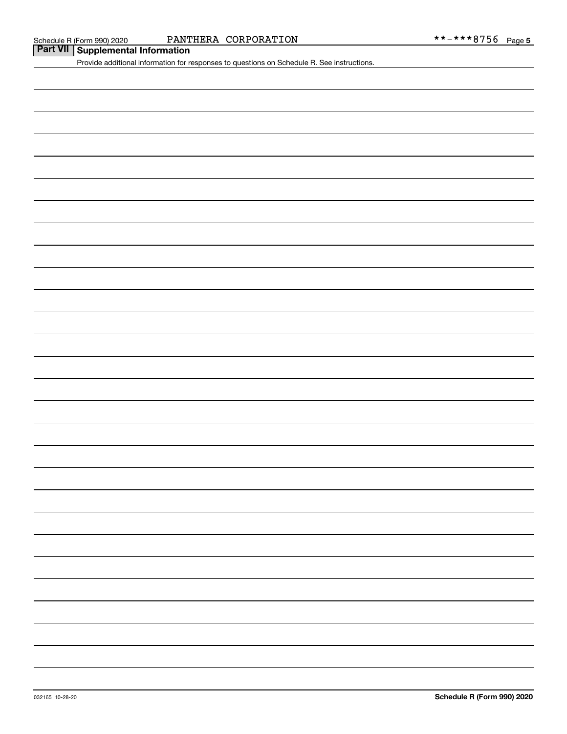#### Schedule R (Form 990) 2020 PANTHERA CORPORATION \* \* – \* \* \* 8 7 5 6 <sub>Page</sub>

# **PANT**<br> **Part VII** Supplemental Information

Provide additional information for responses to questions on Schedule R. See instructions.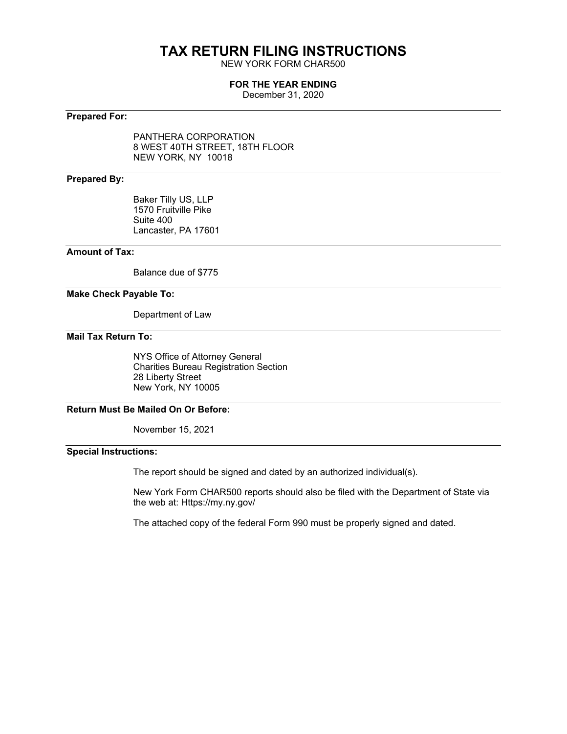# **TAX RETURN FILING INSTRUCTIONS**

NEW YORK FORM CHAR500

#### **FOR THE YEAR ENDING**

December 31, 2020

#### **Prepared For:**

PANTHERA CORPORATION 8 WEST 40TH STREET, 18TH FLOOR NEW YORK, NY 10018

#### **Prepared By:**

Baker Tilly US, LLP 1570 Fruitville Pike Suite 400 Lancaster, PA 17601

#### **Amount of Tax:**

Balance due of \$775

#### **Make Check Payable To:**

Department of Law

### **Mail Tax Return To:**

NYS Office of Attorney General Charities Bureau Registration Section 28 Liberty Street New York, NY 10005

#### **Return Must Be Mailed On Or Before:**

November 15, 2021

#### **Special Instructions:**

The report should be signed and dated by an authorized individual(s).

New York Form CHAR500 reports should also be filed with the Department of State via the web at: Https://my.ny.gov/

The attached copy of the federal Form 990 must be properly signed and dated.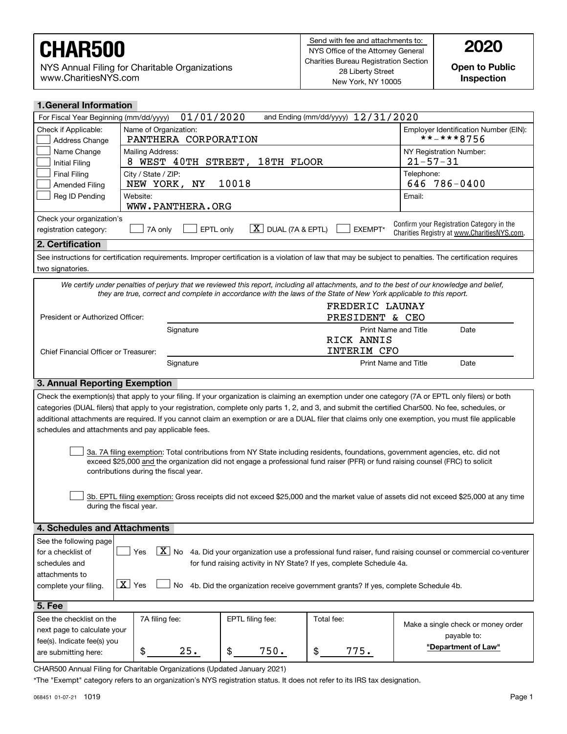NYS Annual Filing for Charitable Organizations www.CharitiesNYS.com

**Open to Public Inspection**

| <b>1. General Information</b>                       |                                                                                                                                                                        |                                      |                                                                                   |                                                                                                                                                            |
|-----------------------------------------------------|------------------------------------------------------------------------------------------------------------------------------------------------------------------------|--------------------------------------|-----------------------------------------------------------------------------------|------------------------------------------------------------------------------------------------------------------------------------------------------------|
| For Fiscal Year Beginning (mm/dd/yyyy)              | 01/01/2020                                                                                                                                                             |                                      | and Ending (mm/dd/yyyy) 12/31/2020                                                |                                                                                                                                                            |
| Check if Applicable:<br>Address Change              | Name of Organization:<br>PANTHERA CORPORATION                                                                                                                          |                                      |                                                                                   | Employer Identification Number (EIN):<br>**-***8756                                                                                                        |
| Name Change<br><b>Initial Filing</b>                | Mailing Address:<br>8 WEST 40TH STREET,                                                                                                                                | 18TH FLOOR                           |                                                                                   | NY Registration Number:<br>$21 - 57 - 31$                                                                                                                  |
| <b>Final Filing</b><br><b>Amended Filing</b>        | City / State / ZIP:<br>NEW YORK,<br>ΝY                                                                                                                                 | 10018                                |                                                                                   | Telephone:<br>$786 - 0400$<br>646                                                                                                                          |
| Reg ID Pending                                      | Website:<br>WWW.PANTHERA.ORG                                                                                                                                           |                                      |                                                                                   | Email:                                                                                                                                                     |
| Check your organization's<br>registration category: | EPTL only<br>7A only                                                                                                                                                   | $\lfloor X \rfloor$ DUAL (7A & EPTL) | EXEMPT*                                                                           | Confirm your Registration Category in the<br>Charities Registry at www.CharitiesNYS.com.                                                                   |
| 2. Certification                                    |                                                                                                                                                                        |                                      |                                                                                   |                                                                                                                                                            |
| two signatories.                                    |                                                                                                                                                                        |                                      |                                                                                   | See instructions for certification requirements. Improper certification is a violation of law that may be subject to penalties. The certification requires |
|                                                     | they are true, correct and complete in accordance with the laws of the State of New York applicable to this report.                                                    |                                      |                                                                                   | We certify under penalties of perjury that we reviewed this report, including all attachments, and to the best of our knowledge and belief,                |
|                                                     |                                                                                                                                                                        |                                      | FREDERIC LAUNAY                                                                   |                                                                                                                                                            |
| President or Authorized Officer:                    |                                                                                                                                                                        |                                      | PRESIDENT & CEO                                                                   |                                                                                                                                                            |
|                                                     | Signature                                                                                                                                                              |                                      | Print Name and Title                                                              | Date                                                                                                                                                       |
|                                                     |                                                                                                                                                                        |                                      | RICK ANNIS                                                                        |                                                                                                                                                            |
| Chief Financial Officer or Treasurer:               |                                                                                                                                                                        |                                      | INTERIM CFO                                                                       |                                                                                                                                                            |
|                                                     | Signature                                                                                                                                                              |                                      | Print Name and Title                                                              | Date                                                                                                                                                       |
| 3. Annual Reporting Exemption                       |                                                                                                                                                                        |                                      |                                                                                   |                                                                                                                                                            |
|                                                     |                                                                                                                                                                        |                                      |                                                                                   | Check the exemption(s) that apply to your filing. If your organization is claiming an exemption under one category (7A or EPTL only filers) or both        |
|                                                     |                                                                                                                                                                        |                                      |                                                                                   | categories (DUAL filers) that apply to your registration, complete only parts 1, 2, and 3, and submit the certified Char500. No fee, schedules, or         |
|                                                     |                                                                                                                                                                        |                                      |                                                                                   | additional attachments are required. If you cannot claim an exemption or are a DUAL filer that claims only one exemption, you must file applicable         |
|                                                     | schedules and attachments and pay applicable fees.                                                                                                                     |                                      |                                                                                   |                                                                                                                                                            |
|                                                     |                                                                                                                                                                        |                                      |                                                                                   |                                                                                                                                                            |
|                                                     | exceed \$25,000 and the organization did not engage a professional fund raiser (PFR) or fund raising counsel (FRC) to solicit<br>contributions during the fiscal year. |                                      |                                                                                   | 3a. 7A filing exemption: Total contributions from NY State including residents, foundations, government agencies, etc. did not                             |
|                                                     | during the fiscal year.                                                                                                                                                |                                      |                                                                                   | 3b. EPTL filing exemption: Gross receipts did not exceed \$25,000 and the market value of assets did not exceed \$25,000 at any time                       |
|                                                     |                                                                                                                                                                        |                                      |                                                                                   |                                                                                                                                                            |
| 4. Schedules and Attachments                        |                                                                                                                                                                        |                                      |                                                                                   |                                                                                                                                                            |
| See the following page                              |                                                                                                                                                                        |                                      |                                                                                   |                                                                                                                                                            |
| for a checklist of                                  | Yes                                                                                                                                                                    |                                      |                                                                                   | $\boxed{\textbf{X}}$ No 4a. Did your organization use a professional fund raiser, fund raising counsel or commercial co-venturer                           |
| schedules and                                       |                                                                                                                                                                        |                                      | for fund raising activity in NY State? If yes, complete Schedule 4a.              |                                                                                                                                                            |
| attachments to                                      |                                                                                                                                                                        |                                      |                                                                                   |                                                                                                                                                            |
| complete your filing.                               | $\boxed{\mathbf{X}}$ Yes<br>No                                                                                                                                         |                                      | 4b. Did the organization receive government grants? If yes, complete Schedule 4b. |                                                                                                                                                            |
| 5. Fee                                              |                                                                                                                                                                        |                                      |                                                                                   |                                                                                                                                                            |
| See the checklist on the                            | 7A filing fee:                                                                                                                                                         | EPTL filing fee:                     | Total fee:                                                                        | Make a single check or money order                                                                                                                         |
| next page to calculate your                         |                                                                                                                                                                        |                                      |                                                                                   | payable to:                                                                                                                                                |
| fee(s). Indicate fee(s) you                         | \$<br>25.                                                                                                                                                              | 750.<br>\$                           | 775.<br>\$                                                                        | "Department of Law"                                                                                                                                        |
| are submitting here:                                |                                                                                                                                                                        |                                      |                                                                                   |                                                                                                                                                            |

CHAR500 Annual Filing for Charitable Organizations (Updated January 2021)

\*The "Exempt" category refers to an organization's NYS registration status. It does not refer to its IRS tax designation.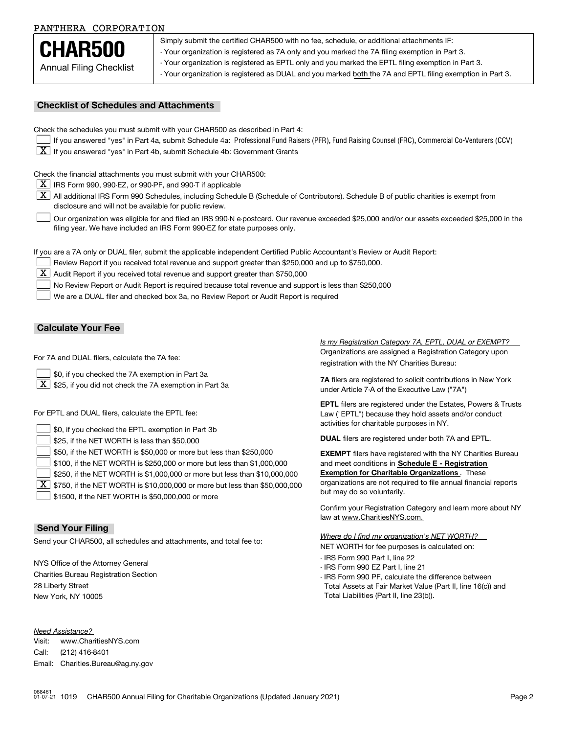Annual Filing Checklist **CHAR500**

Simply submit the certified CHAR500 with no fee, schedule, or additional attachments IF:

- Your organization is registered as 7A only and you marked the 7A filing exemption in Part 3.

- Your organization is registered as EPTL only and you marked the EPTL filing exemption in Part 3.

- Your organization is registered as DUAL and you marked both the 7A and EPTL filing exemption in Part 3.

#### **Checklist of Schedules and Attachments**

Check the schedules you must submit with your CHAR500 as described in Part 4:

- If you answered "yes" in Part 4a, submit Schedule 4a: Professional Fund Raisers (PFR), Fund Raising Counsel (FRC), Commercial Co-Venturers (CCV)
- $\boxed{\textbf{X}}$  If you answered "yes" in Part 4b, submit Schedule 4b: Government Grants

Check the financial attachments you must submit with your CHAR500:

 $\boxed{\textbf{X}}$  IRS Form 990, 990-EZ, or 990-PF, and 990-T if applicable

 $|\overline{\textbf{X}}|$  All additional IRS Form 990 Schedules, including Schedule B (Schedule of Contributors). Schedule B of public charities is exempt from disclosure and will not be available for public review.

Our organization was eligible for and filed an IRS 990-N e-postcard. Our revenue exceeded \$25,000 and/or our assets exceeded \$25,000 in the filing year. We have included an IRS Form 990-EZ for state purposes only.  $\mathcal{L}^{\text{max}}$ 

If you are a 7A only or DUAL filer, submit the applicable independent Certified Public Accountant's Review or Audit Report:

Review Report if you received total revenue and support greater than \$250,000 and up to \$750,000.  $\mathcal{L}^{\text{max}}$ 

 $\boxed{\textbf{X}}$  Audit Report if you received total revenue and support greater than \$750,000

No Review Report or Audit Report is required because total revenue and support is less than \$250,000  $\mathcal{L}^{\text{max}}$ 

We are a DUAL filer and checked box 3a, no Review Report or Audit Report is required  $\mathcal{L}^{\text{max}}$ 

#### **Calculate Your Fee**

For 7A and DUAL filers, calculate the 7A fee:

\$0, if you checked the 7A exemption in Part 3a  $\mathcal{L}^{\text{max}}$ 

 $\boxed{\textbf{X}}$  \$25, if you did not check the 7A exemption in Part 3a

For EPTL and DUAL filers, calculate the EPTL fee:

| $\Box$ \$0, if you checked the EPTL exemption in Part 3b                                        | activities for charitable purposes in NY.                         |
|-------------------------------------------------------------------------------------------------|-------------------------------------------------------------------|
| $\vert$ \$25, if the NET WORTH is less than \$50,000                                            | <b>DUAL</b> filers are registered under both 7A and EPTL.         |
| \$50, if the NET WORTH is \$50,000 or more but less than \$250,000                              | <b>EXEMPT</b> filers have registered with the NY Charities Bureau |
| $\vert$ \$100, if the NET WORTH is \$250,000 or more but less than \$1,000,000                  | and meet conditions in Schedule E - Registration                  |
| \$250, if the NET WORTH is \$1,000,000 or more but less than \$10,000,000                       | <b>Exemption for Charitable Organizations</b> . These             |
| $\boxed{\textbf{X}}$ \$750, if the NET WORTH is \$10,000,000 or more but less than \$50,000,000 | organizations are not required to file annual financial reports   |
| $\vert$ \$1500, if the NET WORTH is \$50,000,000 or more                                        | but may do so voluntarily.                                        |

#### **Send Your Filing**

Send your CHAR500, all schedules and attachments, and total fee to:

NYS Office of the Attorney General Charities Bureau Registration Section 28 Liberty Street New York, NY 10005

*Need Assistance?*

Visit:Call:Email:Charities.Bureau@ag.ny.gov www.CharitiesNYS.com(212) 416-8401

Organizations are assigned a Registration Category upon registration with the NY Charities Bureau: *Is my Registration Category 7A, EPTL, DUAL or EXEMPT?* 

**7A** filers are registered to solicit contributions in New York under Article 7-A of the Executive Law ("7A")

**EPTL** filers are registered under the Estates, Powers & Trusts Law ("EPTL") because they hold assets and/or conduct activities for charitable purposes in NY.

Confirm your Registration Category and learn more about NY law at www.CharitiesNYS.com.

NET WORTH for fee purposes is calculated on: *Where do I find my organization's NET WORTH?*

- IRS Form 990 Part I, line 22
- IRS Form 990 EZ Part I, line 21
- IRS Form 990 PF, calculate the difference between Total Assets at Fair Market Value (Part II, line 16(c)) and Total Liabilities (Part II, line 23(b)).